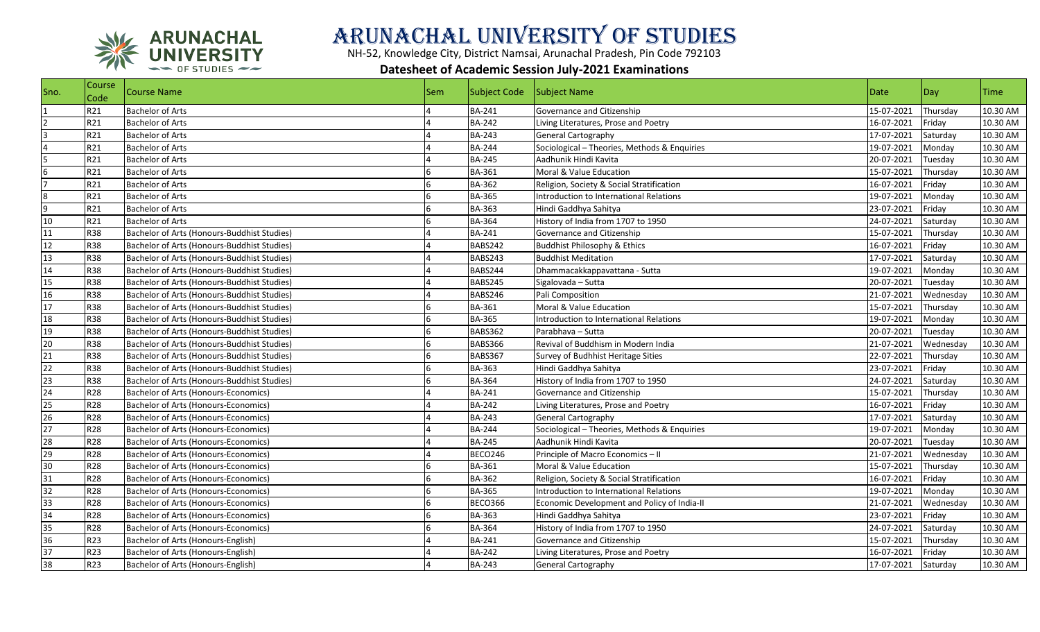

## Arunachal University of Studies

NH-52, Knowledge City, District Namsai, Arunachal Pradesh, Pin Code 792103

## **Datesheet of Academic Session July-2021 Examinations**

| ISno.           | Course          | <b>Course Name</b>                          | lSem. | Subject Code   Subject Name |                                              | Date       | $\mathsf{Day}$ | <b>Time</b> |
|-----------------|-----------------|---------------------------------------------|-------|-----------------------------|----------------------------------------------|------------|----------------|-------------|
|                 | Code            |                                             |       |                             |                                              |            |                |             |
|                 | R21             | <b>Bachelor of Arts</b>                     |       | <b>BA-241</b>               | Governance and Citizenship                   | 15-07-2021 | Thursday       | 10.30 AM    |
|                 | R21             | <b>Bachelor of Arts</b>                     |       | <b>BA-242</b>               | Living Literatures, Prose and Poetry         | 16-07-2021 | Friday         | 10.30 AM    |
|                 | R21             | <b>Bachelor of Arts</b>                     |       | <b>BA-243</b>               | <b>General Cartography</b>                   | 17-07-2021 | Saturday       | 10.30 AM    |
|                 | R21             | <b>Bachelor of Arts</b>                     |       | <b>BA-244</b>               | Sociological - Theories, Methods & Enquiries | 19-07-2021 | Monday         | 10.30 AM    |
|                 | R21             | <b>Bachelor of Arts</b>                     |       | <b>BA-245</b>               | Aadhunik Hindi Kavita                        | 20-07-2021 | Tuesday        | 10.30 AM    |
|                 | R21             | <b>Bachelor of Arts</b>                     |       | <b>BA-361</b>               | Moral & Value Education                      | 15-07-2021 | Thursday       | 10.30 AM    |
|                 | R21             | <b>Bachelor of Arts</b>                     |       | <b>BA-362</b>               | Religion, Society & Social Stratification    | 16-07-2021 | Friday         | 10.30 AM    |
|                 | R21             | <b>Bachelor of Arts</b>                     |       | <b>BA-365</b>               | Introduction to International Relations      | 19-07-2021 | Monday         | 10.30 AM    |
| q               | R21             | <b>Bachelor of Arts</b>                     |       | <b>BA-363</b>               | Hindi Gaddhya Sahitya                        | 23-07-2021 | Friday         | 10.30 AM    |
| 10              | R21             | <b>Bachelor of Arts</b>                     |       | <b>BA-364</b>               | History of India from 1707 to 1950           | 24-07-2021 | Saturday       | 10.30 AM    |
| 11              | R38             | Bachelor of Arts (Honours-Buddhist Studies) |       | <b>BA-241</b>               | Governance and Citizenship                   | 15-07-2021 | Thursday       | 10.30 AM    |
| 12              | R38             | Bachelor of Arts (Honours-Buddhist Studies) |       | BABS242                     | Buddhist Philosophy & Ethics                 | 16-07-2021 | Friday         | 10.30 AM    |
| 13              | R38             | Bachelor of Arts (Honours-Buddhist Studies) |       | BABS243                     | <b>Buddhist Meditation</b>                   | 17-07-2021 | Saturday       | 10.30 AM    |
| 14              | R38             | Bachelor of Arts (Honours-Buddhist Studies) |       | BABS244                     | Dhammacakkappavattana - Sutta                | 19-07-2021 | Monday         | 10.30 AM    |
| 15              | R38             | Bachelor of Arts (Honours-Buddhist Studies) |       | BABS245                     | Sigalovada - Sutta                           | 20-07-2021 | Tuesday        | 10.30 AM    |
| 16              | R38             | Bachelor of Arts (Honours-Buddhist Studies) |       | BABS246                     | Pali Composition                             | 21-07-2021 | Wednesday      | 10.30 AM    |
| 17              | R38             | Bachelor of Arts (Honours-Buddhist Studies) |       | <b>BA-361</b>               | Moral & Value Education                      | 15-07-2021 | Thursday       | 10.30 AM    |
| 18              | R38             | Bachelor of Arts (Honours-Buddhist Studies) |       | <b>BA-365</b>               | Introduction to International Relations      | 19-07-2021 | Monday         | 10.30 AM    |
| 19              | R38             | Bachelor of Arts (Honours-Buddhist Studies) |       | BABS362                     | Parabhava - Sutta                            | 20-07-2021 | Tuesday        | 10.30 AM    |
| 20              | R38             | Bachelor of Arts (Honours-Buddhist Studies) |       | BABS366                     | Revival of Buddhism in Modern India          | 21-07-2021 | Wednesday      | 10.30 AM    |
| $\overline{21}$ | R38             | Bachelor of Arts (Honours-Buddhist Studies) |       | BABS367                     | Survey of Budhhist Heritage Sities           | 22-07-2021 | Thursday       | 10.30 AM    |
| $\overline{22}$ | R38             | Bachelor of Arts (Honours-Buddhist Studies) |       | <b>BA-363</b>               | Hindi Gaddhya Sahitya                        | 23-07-2021 | Friday         | 10.30 AM    |
| 23              | R38             | Bachelor of Arts (Honours-Buddhist Studies) |       | <b>BA-364</b>               | History of India from 1707 to 1950           | 24-07-2021 | Saturday       | 10.30 AM    |
| 24              | R <sub>28</sub> | <b>Bachelor of Arts (Honours-Economics)</b> |       | <b>BA-241</b>               | Governance and Citizenship                   | 15-07-2021 | Thursday       | 10.30 AM    |
| 25              | R28             | Bachelor of Arts (Honours-Economics)        |       | <b>BA-242</b>               | Living Literatures, Prose and Poetry         | 16-07-2021 | Friday         | 10.30 AM    |
| 26              | R28             | Bachelor of Arts (Honours-Economics)        |       | <b>BA-243</b>               | <b>General Cartography</b>                   | 17-07-2021 | Saturday       | 10.30 AM    |
| $\overline{27}$ | R <sub>28</sub> | Bachelor of Arts (Honours-Economics)        |       | <b>BA-244</b>               | Sociological - Theories, Methods & Enquiries | 19-07-2021 | Monday         | 10.30 AM    |
| 28              | R <sub>28</sub> | Bachelor of Arts (Honours-Economics)        |       | <b>BA-245</b>               | Aadhunik Hindi Kavita                        | 20-07-2021 | Tuesday        | 10.30 AM    |
| 29              | R <sub>28</sub> | Bachelor of Arts (Honours-Economics)        |       | <b>BECO246</b>              | Principle of Macro Economics - II            | 21-07-2021 | Wednesday      | 10.30 AM    |
| 30              | R <sub>28</sub> | Bachelor of Arts (Honours-Economics)        |       | <b>BA-361</b>               | Moral & Value Education                      | 15-07-2021 | Thursday       | 10.30 AM    |
| 31              | R <sub>28</sub> | Bachelor of Arts (Honours-Economics)        |       | <b>BA-362</b>               | Religion, Society & Social Stratification    | 16-07-2021 | Friday         | 10.30 AM    |
| 32              | R28             | Bachelor of Arts (Honours-Economics)        |       | <b>BA-365</b>               | Introduction to International Relations      | 19-07-2021 | Monday         | 10.30 AM    |
| 33              | R <sub>28</sub> | Bachelor of Arts (Honours-Economics)        |       | <b>BECO366</b>              | Economic Development and Policy of India-II  | 21-07-2021 | Wednesday      | 10.30 AM    |
| 34              | R <sub>28</sub> | Bachelor of Arts (Honours-Economics)        |       | <b>BA-363</b>               | Hindi Gaddhya Sahitya                        | 23-07-2021 | Friday         | 10.30 AM    |
| 35              | R <sub>28</sub> | Bachelor of Arts (Honours-Economics)        |       | <b>BA-364</b>               | History of India from 1707 to 1950           | 24-07-2021 | Saturday       | 10.30 AM    |
| 36              | R23             | Bachelor of Arts (Honours-English)          |       | <b>BA-241</b>               | Governance and Citizenship                   | 15-07-2021 | Thursday       | 10.30 AM    |
| 37              | R23             | Bachelor of Arts (Honours-English)          |       | <b>BA-242</b>               | Living Literatures, Prose and Poetry         | 16-07-2021 | Friday         | 10.30 AM    |
| 38              | R23             | Bachelor of Arts (Honours-English)          |       | <b>BA-243</b>               | <b>General Cartography</b>                   | 17-07-2021 | Saturday       | 10.30 AM    |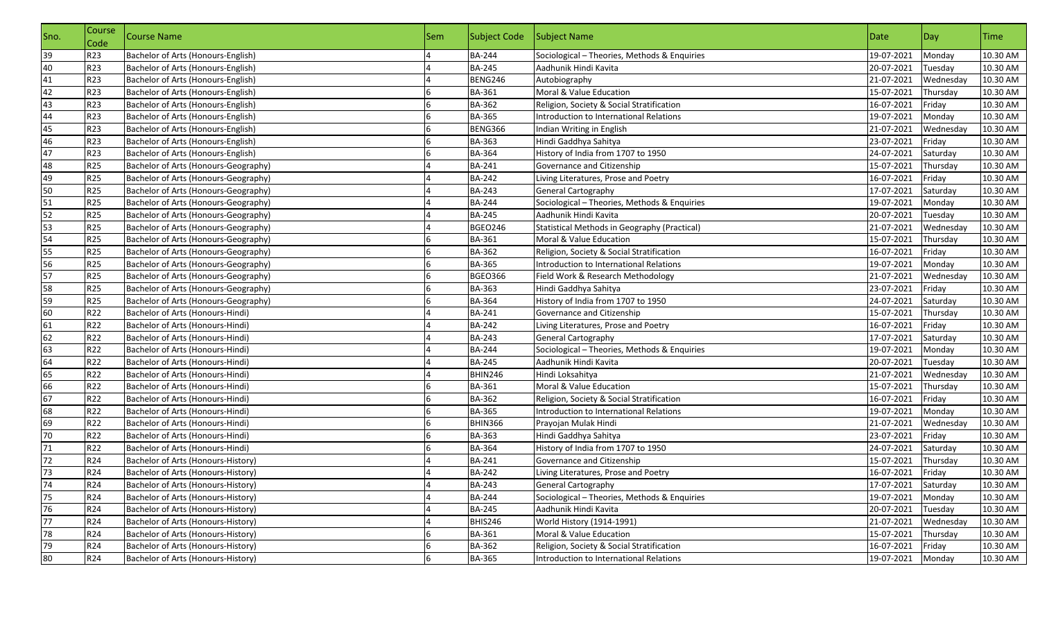| Sno. | Course<br>Code  | Course Name                          | Sem | Subject Code Subject Name |                                                | <b>Date</b> | Day       | <b>Time</b> |
|------|-----------------|--------------------------------------|-----|---------------------------|------------------------------------------------|-------------|-----------|-------------|
| 39   | R23             | Bachelor of Arts (Honours-English)   |     | <b>BA-244</b>             | Sociological - Theories, Methods & Enquiries   | 19-07-2021  | Monday    | 10.30 AM    |
| 40   | R <sub>23</sub> | Bachelor of Arts (Honours-English)   |     | <b>BA-245</b>             | Aadhunik Hindi Kavita                          | 20-07-2021  | Tuesday   | 10.30 AM    |
| 41   | R23             | Bachelor of Arts (Honours-English)   |     | BENG246                   | Autobiography                                  | 21-07-2021  | Wednesday | 10.30 AM    |
| 42   | R <sub>23</sub> | Bachelor of Arts (Honours-English)   |     | <b>BA-361</b>             | Moral & Value Education                        | 15-07-2021  | Thursday  | 10.30 AM    |
| 43   | R23             | Bachelor of Arts (Honours-English)   |     | BA-362                    | Religion, Society & Social Stratification      | 16-07-2021  | Friday    | 10.30 AM    |
| 44   | R23             | Bachelor of Arts (Honours-English)   |     | <b>BA-365</b>             | Introduction to International Relations        | 19-07-2021  | Monday    | 10.30 AM    |
| 45   | R23             | Bachelor of Arts (Honours-English)   |     | BENG366                   | Indian Writing in English                      | 21-07-2021  | Wednesday | 10.30 AM    |
| 46   | R <sub>23</sub> | Bachelor of Arts (Honours-English)   |     | BA-363                    | Hindi Gaddhya Sahitya                          | 23-07-2021  | Friday    | 10.30 AM    |
| 47   | R23             | Bachelor of Arts (Honours-English)   |     | <b>BA-364</b>             | History of India from 1707 to 1950             | 24-07-2021  | Saturday  | 10.30 AM    |
| 48   | <b>R25</b>      | Bachelor of Arts (Honours-Geography) |     | <b>BA-241</b>             | Governance and Citizenship                     | 15-07-2021  | Thursday  | 10.30 AM    |
| 49   | <b>R25</b>      | Bachelor of Arts (Honours-Geography) |     | <b>BA-242</b>             | Living Literatures, Prose and Poetry           | 16-07-2021  | Friday    | 10.30 AM    |
| 50   | R <sub>25</sub> | Bachelor of Arts (Honours-Geography) |     | BA-243                    | <b>General Cartography</b>                     | 17-07-2021  | Saturday  | 10.30 AM    |
| 51   | <b>R25</b>      | Bachelor of Arts (Honours-Geography) |     | <b>BA-244</b>             | Sociological - Theories, Methods & Enquiries   | 19-07-2021  | Monday    | 10.30 AM    |
| 52   | R <sub>25</sub> | Bachelor of Arts (Honours-Geography) |     | <b>BA-245</b>             | Aadhunik Hindi Kavita                          | 20-07-2021  | Tuesday   | 10.30 AM    |
| 53   | R <sub>25</sub> | Bachelor of Arts (Honours-Geography) |     | <b>BGEO246</b>            | Statistical Methods in Geography (Practical)   | 21-07-2021  | Wednesday | 10.30 AM    |
| 54   | <b>R25</b>      | Bachelor of Arts (Honours-Geography) |     | BA-361                    | Moral & Value Education                        | 15-07-2021  | Thursday  | 10.30 AM    |
| 55   | R <sub>25</sub> | Bachelor of Arts (Honours-Geography) |     | <b>BA-362</b>             | Religion, Society & Social Stratification      | 16-07-2021  | Friday    | 10.30 AM    |
| 56   | R <sub>25</sub> | Bachelor of Arts (Honours-Geography) |     | BA-365                    | Introduction to International Relations        | 19-07-2021  | Monday    | 10.30 AM    |
| 57   | <b>R25</b>      | Bachelor of Arts (Honours-Geography) |     | <b>BGEO366</b>            | Field Work & Research Methodology              | 21-07-2021  | Wednesday | 10.30 AM    |
| 58   | R <sub>25</sub> | Bachelor of Arts (Honours-Geography) |     | BA-363                    | Hindi Gaddhya Sahitya                          | 23-07-2021  | Friday    | 10.30 AM    |
| 59   | <b>R25</b>      | Bachelor of Arts (Honours-Geography) |     | <b>BA-364</b>             | History of India from 1707 to 1950             | 24-07-2021  | Saturday  | 10.30 AM    |
| 60   | R22             | Bachelor of Arts (Honours-Hindi)     |     | <b>BA-241</b>             | Governance and Citizenship                     | 15-07-2021  | Thursday  | 10.30 AM    |
| 61   | R22             | Bachelor of Arts (Honours-Hindi)     |     | <b>BA-242</b>             | Living Literatures, Prose and Poetry           | 16-07-2021  | Friday    | 10.30 AM    |
| 62   | R <sub>22</sub> | Bachelor of Arts (Honours-Hindi)     |     | <b>BA-243</b>             | <b>General Cartography</b>                     | 17-07-2021  | Saturday  | 10.30 AM    |
| 63   | R22             | Bachelor of Arts (Honours-Hindi)     |     | BA-244                    | Sociological - Theories, Methods & Enquiries   | 19-07-2021  | Monday    | 10.30 AM    |
| 64   | R22             | Bachelor of Arts (Honours-Hindi)     |     | BA-245                    | Aadhunik Hindi Kavita                          | 20-07-2021  | Tuesday   | 10.30 AM    |
| 65   | R <sub>22</sub> | Bachelor of Arts (Honours-Hindi)     |     | BHIN246                   | Hindi Loksahitya                               | 21-07-2021  | Wednesday | 10.30 AM    |
| 66   | R22             | Bachelor of Arts (Honours-Hindi)     |     | BA-361                    | Moral & Value Education                        | 15-07-2021  | Thursday  | 10.30 AM    |
| 67   | R22             | Bachelor of Arts (Honours-Hindi)     |     | BA-362                    | Religion, Society & Social Stratification      | 16-07-2021  | Friday    | 10.30 AM    |
| 68   | R <sub>22</sub> | Bachelor of Arts (Honours-Hindi)     |     | <b>BA-365</b>             | Introduction to International Relations        | 19-07-2021  | Monday    | 10.30 AM    |
| 69   | R22             | Bachelor of Arts (Honours-Hindi)     |     | BHIN366                   | Prayojan Mulak Hindi                           | 21-07-2021  | Wednesday | 10.30 AM    |
| 70   | R22             | Bachelor of Arts (Honours-Hindi)     |     | <b>BA-363</b>             | Hindi Gaddhya Sahitya                          | 23-07-2021  | Friday    | 10.30 AM    |
| 71   | R22             | Bachelor of Arts (Honours-Hindi)     |     | <b>BA-364</b>             | History of India from 1707 to 1950             | 24-07-2021  | Saturday  | 10.30 AM    |
| 72   | R24             | Bachelor of Arts (Honours-History)   |     | <b>BA-241</b>             | Governance and Citizenship                     | 15-07-2021  | Thursday  | 10.30 AM    |
| 73   | R24             | Bachelor of Arts (Honours-History)   |     | <b>BA-242</b>             | Living Literatures, Prose and Poetry           | 16-07-2021  | Friday    | 10.30 AM    |
| 74   | R <sub>24</sub> | Bachelor of Arts (Honours-History)   |     | <b>BA-243</b>             | <b>General Cartography</b>                     | 17-07-2021  | Saturday  | 10.30 AM    |
| 75   | R <sub>24</sub> | Bachelor of Arts (Honours-History)   |     | <b>BA-244</b>             | Sociological - Theories, Methods & Enquiries   | 19-07-2021  | Monday    | 10.30 AM    |
| 76   | R24             | Bachelor of Arts (Honours-History)   |     | BA-245                    | Aadhunik Hindi Kavita                          | 20-07-2021  | Tuesday   | 10.30 AM    |
| 77   | R24             | Bachelor of Arts (Honours-History)   |     | BHIS246                   | World History (1914-1991)                      | 21-07-2021  | Wednesday | 10.30 AM    |
| 78   | R24             | Bachelor of Arts (Honours-History)   |     | BA-361                    | Moral & Value Education                        | 15-07-2021  | Thursday  | 10.30 AM    |
| 79   | R24             | Bachelor of Arts (Honours-History)   |     | BA-362                    | Religion, Society & Social Stratification      | 16-07-2021  | Friday    | 10.30 AM    |
| 80   | R24             | Bachelor of Arts (Honours-History)   |     | <b>BA-365</b>             | <b>Introduction to International Relations</b> | 19-07-2021  | Monday    | 10.30 AM    |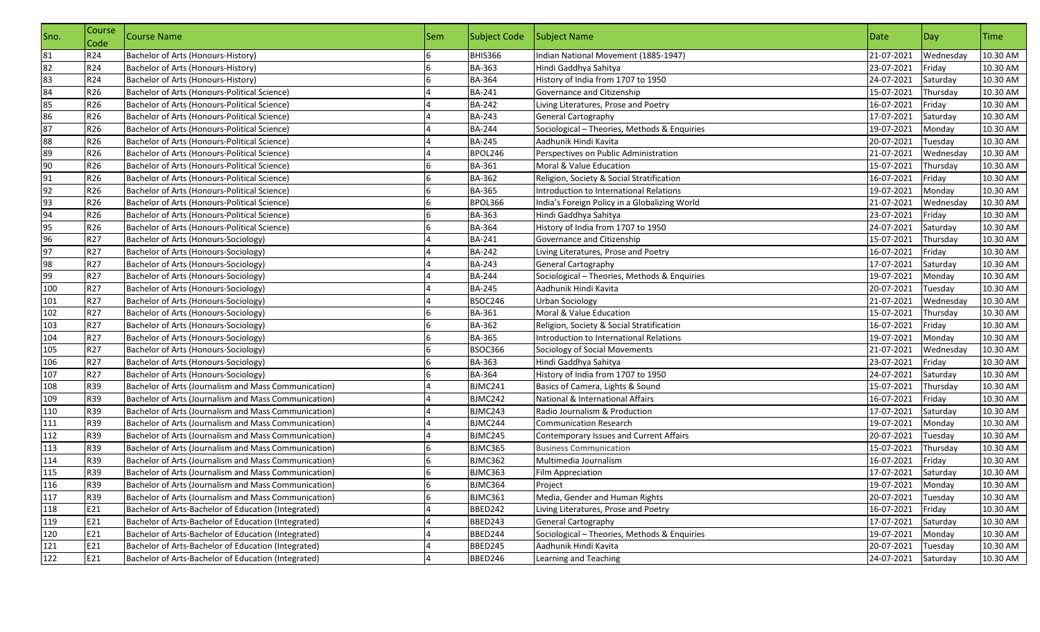| Sno. | Course<br>Code  | Course Name                                          | Sem | Subject Code Subject Name |                                               | Date       | Day       | Time     |
|------|-----------------|------------------------------------------------------|-----|---------------------------|-----------------------------------------------|------------|-----------|----------|
| 81   | R24             | Bachelor of Arts (Honours-History)                   |     | BHIS366                   | Indian National Movement (1885-1947)          | 21-07-2021 | Wednesday | 10.30 AM |
| 82   | R24             | Bachelor of Arts (Honours-History)                   |     | BA-363                    | Hindi Gaddhya Sahitya                         | 23-07-2021 | Friday    | 10.30 AM |
| 83   | R24             | Bachelor of Arts (Honours-History)                   |     | <b>BA-364</b>             | History of India from 1707 to 1950            | 24-07-2021 | Saturday  | 10.30 AM |
| 84   | R <sub>26</sub> | Bachelor of Arts (Honours-Political Science)         |     | <b>BA-241</b>             | Governance and Citizenship                    | 15-07-2021 | Thursday  | 10.30 AM |
| 85   | R <sub>26</sub> | Bachelor of Arts (Honours-Political Science)         |     | <b>BA-242</b>             | Living Literatures, Prose and Poetry          | 16-07-2021 | Friday    | 10.30 AM |
| 86   | R <sub>26</sub> | Bachelor of Arts (Honours-Political Science)         |     | <b>BA-243</b>             | <b>General Cartography</b>                    | 17-07-2021 | Saturday  | 10.30 AM |
| 87   | R <sub>26</sub> | Bachelor of Arts (Honours-Political Science)         |     | <b>BA-244</b>             | Sociological - Theories, Methods & Enquiries  | 19-07-2021 | Monday    | 10.30 AM |
| 88   | R <sub>26</sub> | Bachelor of Arts (Honours-Political Science)         |     | BA-245                    | Aadhunik Hindi Kavita                         | 20-07-2021 | Tuesday   | 10.30 AM |
| 89   | R <sub>26</sub> | Bachelor of Arts (Honours-Political Science)         |     | BPOL246                   | Perspectives on Public Administration         | 21-07-2021 | Wednesday | 10.30 AM |
| 90   | R <sub>26</sub> | Bachelor of Arts (Honours-Political Science)         |     | <b>BA-361</b>             | Moral & Value Education                       | 15-07-2021 | Thursday  | 10.30 AM |
| 91   | R <sub>26</sub> | Bachelor of Arts (Honours-Political Science)         |     | BA-362                    | Religion, Society & Social Stratification     | 16-07-2021 | Friday    | 10.30 AM |
| 92   | R <sub>26</sub> | Bachelor of Arts (Honours-Political Science)         | 6   | <b>BA-365</b>             | Introduction to International Relations       | 19-07-2021 | Monday    | 10.30 AM |
| 93   | R26             | Bachelor of Arts (Honours-Political Science)         |     | BPOL366                   | India's Foreign Policy in a Globalizing World | 21-07-2021 | Wednesday | 10.30 AM |
| 94   | R <sub>26</sub> | Bachelor of Arts (Honours-Political Science)         |     | BA-363                    | Hindi Gaddhya Sahitya                         | 23-07-2021 | Friday    | 10.30 AM |
| 95   | R <sub>26</sub> | Bachelor of Arts (Honours-Political Science)         |     | BA-364                    | History of India from 1707 to 1950            | 24-07-2021 | Saturday  | 10.30 AM |
| 96   | R <sub>27</sub> | Bachelor of Arts (Honours-Sociology)                 |     | BA-241                    | Governance and Citizenship                    | 15-07-2021 | Thursday  | 10.30 AM |
| 97   | R <sub>27</sub> | Bachelor of Arts (Honours-Sociology)                 |     | <b>BA-242</b>             | Living Literatures, Prose and Poetry          | 16-07-2021 | Friday    | 10.30 AM |
| 98   | R <sub>27</sub> | Bachelor of Arts (Honours-Sociology)                 |     | BA-243                    | <b>General Cartography</b>                    | 17-07-2021 | Saturday  | 10.30 AM |
| 99   | R <sub>27</sub> | Bachelor of Arts (Honours-Sociology)                 |     | <b>BA-244</b>             | Sociological - Theories, Methods & Enquiries  | 19-07-2021 | Monday    | 10.30 AM |
| 100  | R27             | Bachelor of Arts (Honours-Sociology)                 |     | <b>BA-245</b>             | Aadhunik Hindi Kavita                         | 20-07-2021 | Tuesday   | 10.30 AM |
| 101  | R <sub>27</sub> | Bachelor of Arts (Honours-Sociology)                 |     | BSOC246                   | <b>Urban Sociology</b>                        | 21-07-2021 | Wednesday | 10.30 AM |
| 102  | R <sub>27</sub> | Bachelor of Arts (Honours-Sociology)                 |     | BA-361                    | Moral & Value Education                       | 15-07-2021 | Thursday  | 10.30 AM |
| 103  | R <sub>27</sub> | Bachelor of Arts (Honours-Sociology)                 |     | BA-362                    | Religion, Society & Social Stratification     | 16-07-2021 | Friday    | 10.30 AM |
| 104  | R <sub>27</sub> | Bachelor of Arts (Honours-Sociology)                 |     | <b>BA-365</b>             | Introduction to International Relations       | 19-07-2021 | Monday    | 10.30 AM |
| 105  | R27             | Bachelor of Arts (Honours-Sociology)                 |     | <b>BSOC366</b>            | Sociology of Social Movements                 | 21-07-2021 | Wednesday | 10.30 AM |
| 106  | R <sub>27</sub> | Bachelor of Arts (Honours-Sociology)                 |     | BA-363                    | Hindi Gaddhya Sahitya                         | 23-07-2021 | Friday    | 10.30 AM |
| 107  | R27             | Bachelor of Arts (Honours-Sociology)                 |     | <b>BA-364</b>             | History of India from 1707 to 1950            | 24-07-2021 | Saturday  | 10.30 AM |
| 108  | R39             | Bachelor of Arts (Journalism and Mass Communication) |     | BJMC241                   | Basics of Camera, Lights & Sound              | 15-07-2021 | Thursday  | 10.30 AM |
| 109  | R39             | Bachelor of Arts (Journalism and Mass Communication) |     | BJMC242                   | National & International Affairs              | 16-07-2021 | Friday    | 10.30 AM |
| 110  | R39             | Bachelor of Arts (Journalism and Mass Communication) |     | BJMC243                   | Radio Journalism & Production                 | 17-07-2021 | Saturday  | 10.30 AM |
| 111  | R39             | Bachelor of Arts (Journalism and Mass Communication) |     | BJMC244                   | <b>Communication Research</b>                 | 19-07-2021 | Monday    | 10.30 AM |
| 112  | R39             | Bachelor of Arts (Journalism and Mass Communication) |     | BJMC245                   | Contemporary Issues and Current Affairs       | 20-07-2021 | Tuesday   | 10.30 AM |
| 113  | R39             | Bachelor of Arts (Journalism and Mass Communication) |     | BJMC365                   | <b>Business Communication</b>                 | 15-07-2021 | Thursday  | 10.30 AM |
| 114  | R39             | Bachelor of Arts (Journalism and Mass Communication) |     | BJMC362                   | Multimedia Journalism                         | 16-07-2021 | Friday    | 10.30 AM |
| 115  | R39             | Bachelor of Arts (Journalism and Mass Communication) | 6   | BJMC363                   | Film Appreciation                             | 17-07-2021 | Saturday  | 10.30 AM |
| 116  | R39             | Bachelor of Arts (Journalism and Mass Communication) |     | BJMC364                   | Project                                       | 19-07-2021 | Monday    | 10.30 AM |
| 117  | R39             | Bachelor of Arts (Journalism and Mass Communication) |     | <b>BJMC361</b>            | Media, Gender and Human Rights                | 20-07-2021 | Tuesday   | 10.30 AM |
| 118  | E21             | Bachelor of Arts-Bachelor of Education (Integrated)  |     | BBED242                   | Living Literatures, Prose and Poetry          | 16-07-2021 | Friday    | 10.30 AM |
| 119  | E21             | Bachelor of Arts-Bachelor of Education (Integrated)  |     | BBED243                   | <b>General Cartography</b>                    | 17-07-2021 | Saturday  | 10.30 AM |
| 120  | E21             | Bachelor of Arts-Bachelor of Education (Integrated)  |     | BBED244                   | Sociological - Theories, Methods & Enquiries  | 19-07-2021 | Monday    | 10.30 AM |
| 121  | E21             | Bachelor of Arts-Bachelor of Education (Integrated)  |     | BBED245                   | Aadhunik Hindi Kavita                         | 20-07-2021 | Tuesday   | 10.30 AM |
| 122  | E21             | Bachelor of Arts-Bachelor of Education (Integrated)  |     | BBED246                   | Learning and Teaching                         | 24-07-2021 | Saturday  | 10.30 AM |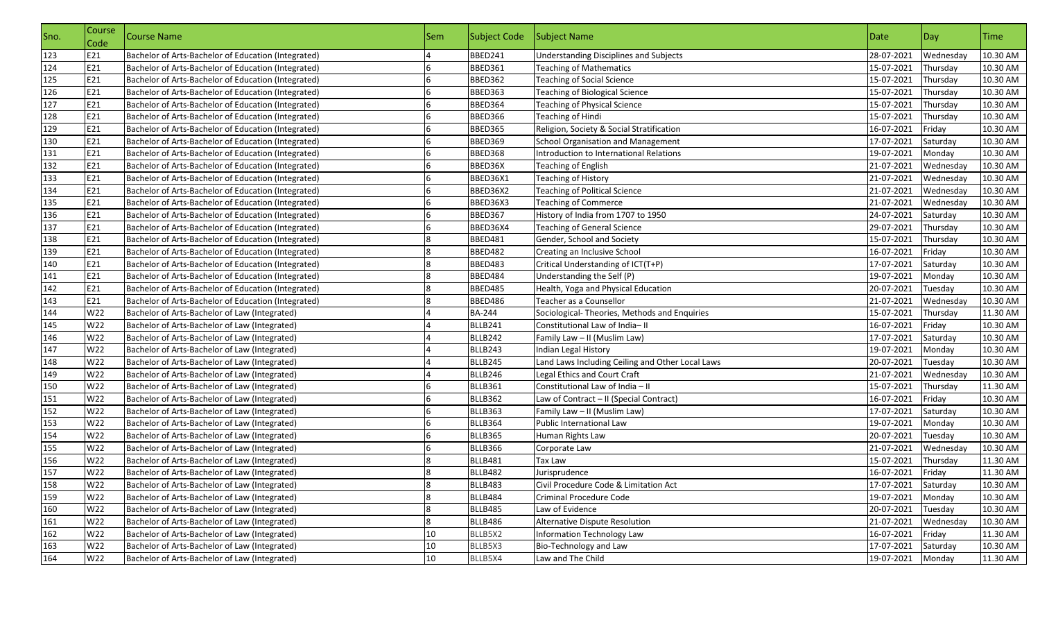| ISno. | Course<br>Code | Course Name                                         | Sem | Subject Code   | Subject Name                                     | Date       | $\log$    | <b>Time</b> |
|-------|----------------|-----------------------------------------------------|-----|----------------|--------------------------------------------------|------------|-----------|-------------|
| 123   | E21            | Bachelor of Arts-Bachelor of Education (Integrated) |     | <b>BBED241</b> | <b>Understanding Disciplines and Subjects</b>    | 28-07-2021 | Wednesday | 10.30 AM    |
| 124   | E21            | Bachelor of Arts-Bachelor of Education (Integrated) |     | <b>BBED361</b> | <b>Teaching of Mathematics</b>                   | 15-07-2021 | Thursday  | 10.30 AM    |
| 125   | E21            | Bachelor of Arts-Bachelor of Education (Integrated) |     | BBED362        | <b>Teaching of Social Science</b>                | 15-07-2021 | Thursday  | 10.30 AM    |
| 126   | E21            | Bachelor of Arts-Bachelor of Education (Integrated) |     | BBED363        | <b>Teaching of Biological Science</b>            | 15-07-2021 | Thursday  | 10.30 AM    |
| 127   | E21            | Bachelor of Arts-Bachelor of Education (Integrated) |     | BBED364        | <b>Teaching of Physical Science</b>              | 15-07-2021 | Thursday  | 10.30 AM    |
| 128   | E21            | Bachelor of Arts-Bachelor of Education (Integrated) |     | BBED366        | <b>Teaching of Hindi</b>                         | 15-07-2021 | Thursday  | 10.30 AM    |
| 129   | E21            | Bachelor of Arts-Bachelor of Education (Integrated) |     | <b>BBED365</b> | Religion, Society & Social Stratification        | 16-07-2021 | Friday    | 10.30 AM    |
| 130   | E21            | Bachelor of Arts-Bachelor of Education (Integrated) |     | <b>BBED369</b> | School Organisation and Management               | 17-07-2021 | Saturday  | 10.30 AM    |
| 131   | E21            | Bachelor of Arts-Bachelor of Education (Integrated) |     | <b>BBED368</b> | Introduction to International Relations          | 19-07-2021 | Monday    | 10.30 AM    |
| 132   | E21            | Bachelor of Arts-Bachelor of Education (Integrated) |     | BBED36X        | <b>Teaching of English</b>                       | 21-07-2021 | Wednesday | 10.30 AM    |
| 133   | E21            | Bachelor of Arts-Bachelor of Education (Integrated) |     | BBED36X1       | <b>Teaching of History</b>                       | 21-07-2021 | Wednesday | 10.30 AM    |
| 134   | E21            | Bachelor of Arts-Bachelor of Education (Integrated) |     | BBED36X2       | <b>Teaching of Political Science</b>             | 21-07-2021 | Wednesday | 10.30 AM    |
| 135   | E21            | Bachelor of Arts-Bachelor of Education (Integrated) |     | BBED36X3       | Teaching of Commerce                             | 21-07-2021 | Wednesday | 10.30 AM    |
| 136   | E21            | Bachelor of Arts-Bachelor of Education (Integrated) |     | <b>BBED367</b> | History of India from 1707 to 1950               | 24-07-2021 | Saturday  | 10.30 AM    |
| 137   | E21            | Bachelor of Arts-Bachelor of Education (Integrated) |     | BBED36X4       | <b>Teaching of General Science</b>               | 29-07-2021 | Thursday  | 10.30 AM    |
| 138   | E21            | Bachelor of Arts-Bachelor of Education (Integrated) |     | <b>BBED481</b> | Gender, School and Society                       | 15-07-2021 | Thursday  | 10.30 AM    |
| 139   | E21            | Bachelor of Arts-Bachelor of Education (Integrated) |     | <b>BBED482</b> | Creating an Inclusive School                     | 16-07-2021 | Friday    | 10.30 AM    |
| 140   | E21            | Bachelor of Arts-Bachelor of Education (Integrated) |     | <b>BBED483</b> | Critical Understanding of ICT(T+P)               | 17-07-2021 | Saturday  | 10.30 AM    |
| 141   | E21            | Bachelor of Arts-Bachelor of Education (Integrated) |     | BBED484        | Understanding the Self (P)                       | 19-07-2021 | Monday    | 10.30 AM    |
| 142   | E21            | Bachelor of Arts-Bachelor of Education (Integrated) |     | <b>BBED485</b> | Health, Yoga and Physical Education              | 20-07-2021 | Tuesday   | 10.30 AM    |
| 143   | E21            | Bachelor of Arts-Bachelor of Education (Integrated) |     | <b>BBED486</b> | Teacher as a Counsellor                          | 21-07-2021 | Wednesday | 10.30 AM    |
| 144   | W22            | Bachelor of Arts-Bachelor of Law (Integrated)       |     | <b>BA-244</b>  | Sociological-Theories, Methods and Enquiries     | 15-07-2021 | Thursday  | 11.30 AM    |
| 145   | W22            | Bachelor of Arts-Bachelor of Law (Integrated)       |     | BLLB241        | Constitutional Law of India-II                   | 16-07-2021 | Friday    | 10.30 AM    |
| 146   | W22            | Bachelor of Arts-Bachelor of Law (Integrated)       |     | <b>BLLB242</b> | Family Law - II (Muslim Law)                     | 17-07-2021 | Saturday  | 10.30 AM    |
| 147   | W22            | Bachelor of Arts-Bachelor of Law (Integrated)       |     | BLLB243        | Indian Legal History                             | 19-07-2021 | Monday    | 10.30 AM    |
| 148   | W22            | Bachelor of Arts-Bachelor of Law (Integrated)       |     | BLLB245        | Land Laws Including Ceiling and Other Local Laws | 20-07-2021 | Tuesday   | 10.30 AM    |
| 149   | W22            | Bachelor of Arts-Bachelor of Law (Integrated)       |     | BLLB246        | Legal Ethics and Court Craft                     | 21-07-2021 | Wednesday | 10.30 AM    |
| 150   | W22            | Bachelor of Arts-Bachelor of Law (Integrated)       |     | BLLB361        | Constitutional Law of India - II                 | 15-07-2021 | Thursday  | 11.30 AM    |
| 151   | W22            | Bachelor of Arts-Bachelor of Law (Integrated)       |     | <b>BLLB362</b> | Law of Contract - II (Special Contract)          | 16-07-2021 | Friday    | 10.30 AM    |
| 152   | W22            | Bachelor of Arts-Bachelor of Law (Integrated)       |     | <b>BLLB363</b> | Family Law - II (Muslim Law)                     | 17-07-2021 | Saturday  | 10.30 AM    |
| 153   | W22            | Bachelor of Arts-Bachelor of Law (Integrated)       |     | BLLB364        | Public International Law                         | 19-07-2021 | Monday    | 10.30 AM    |
| 154   | W22            | Bachelor of Arts-Bachelor of Law (Integrated)       |     | BLLB365        | Human Rights Law                                 | 20-07-2021 | Tuesday   | 10.30 AM    |
| 155   | W22            | Bachelor of Arts-Bachelor of Law (Integrated)       |     | <b>BLLB366</b> | Corporate Law                                    | 21-07-2021 | Wednesday | 10.30 AM    |
| 156   | W22            | Bachelor of Arts-Bachelor of Law (Integrated)       |     | BLLB481        | <b>Tax Law</b>                                   | 15-07-2021 | Thursday  | 11.30 AM    |
| 157   | W22            | Bachelor of Arts-Bachelor of Law (Integrated)       |     | <b>BLLB482</b> | Jurisprudence                                    | 16-07-2021 | Friday    | 11.30 AM    |
| 158   | W22            | Bachelor of Arts-Bachelor of Law (Integrated)       |     | <b>BLLB483</b> | Civil Procedure Code & Limitation Act            | 17-07-2021 | Saturday  | 10.30 AM    |
| 159   | W22            | Bachelor of Arts-Bachelor of Law (Integrated)       | 8   | BLLB484        | Criminal Procedure Code                          | 19-07-2021 | Monday    | 10.30 AM    |
| 160   | W22            | Bachelor of Arts-Bachelor of Law (Integrated)       |     | BLLB485        | Law of Evidence                                  | 20-07-2021 | Tuesday   | 10.30 AM    |
| 161   | W22            | Bachelor of Arts-Bachelor of Law (Integrated)       |     | BLLB486        | Alternative Dispute Resolution                   | 21-07-2021 | Wednesday | 10.30 AM    |
| 162   | W22            | Bachelor of Arts-Bachelor of Law (Integrated)       | 10  | BLLB5X2        | Information Technology Law                       | 16-07-2021 | Friday    | 11.30 AM    |
| 163   | W22            | Bachelor of Arts-Bachelor of Law (Integrated)       | 10  | BLLB5X3        | Bio-Technology and Law                           | 17-07-2021 | Saturday  | 10.30 AM    |
| 164   | W22            | Bachelor of Arts-Bachelor of Law (Integrated)       | 10  | BLLB5X4        | Law and The Child                                | 19-07-2021 | Monday    | 11.30 AM    |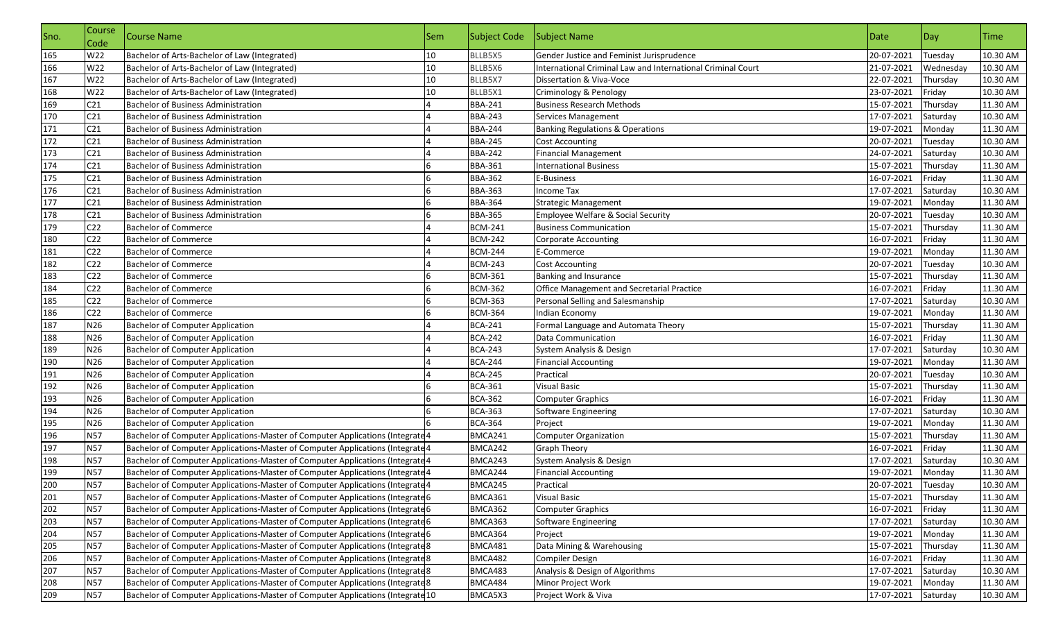| Sno. | Course<br>Code  | <b>Course Name</b>                                                              | Sem | Subject Code   | Subject Name                                                | Date               | Day       | <b>Time</b> |
|------|-----------------|---------------------------------------------------------------------------------|-----|----------------|-------------------------------------------------------------|--------------------|-----------|-------------|
| 165  | W22             | Bachelor of Arts-Bachelor of Law (Integrated)                                   | 10  | BLLB5X5        | Gender Justice and Feminist Jurisprudence                   | 20-07-2021         | Tuesday   | 10.30 AM    |
| 166  | W22             | Bachelor of Arts-Bachelor of Law (Integrated)                                   | 10  | BLLB5X6        | International Criminal Law and International Criminal Court | 21-07-2021         | Wednesday | 10.30 AM    |
| 167  | W22             | Bachelor of Arts-Bachelor of Law (Integrated)                                   | 10  | BLLB5X7        | Dissertation & Viva-Voce                                    | 22-07-2021         | Thursday  | 10.30 AM    |
| 168  | W22             | Bachelor of Arts-Bachelor of Law (Integrated)                                   | 10  | BLLB5X1        | Criminology & Penology                                      | 23-07-2021         | Friday    | 10.30 AM    |
| 169  | C <sub>21</sub> | <b>Bachelor of Business Administration</b>                                      |     | <b>BBA-241</b> | <b>Business Research Methods</b>                            | 15-07-2021         | Thursday  | 11.30 AM    |
| 170  | C <sub>21</sub> | <b>Bachelor of Business Administration</b>                                      |     | <b>BBA-243</b> | Services Management                                         | 17-07-2021         | Saturday  | 10.30 AM    |
| 171  | C <sub>21</sub> | Bachelor of Business Administration                                             |     | <b>BBA-244</b> | <b>Banking Regulations &amp; Operations</b>                 | 19-07-2021         | Monday    | 11.30 AM    |
| 172  | C <sub>21</sub> | Bachelor of Business Administration                                             |     | <b>BBA-245</b> | <b>Cost Accounting</b>                                      | 20-07-2021         | Tuesday   | 10.30 AM    |
| 173  | C <sub>21</sub> | Bachelor of Business Administration                                             |     | <b>BBA-242</b> | <b>Financial Management</b>                                 | 24-07-2021         | Saturday  | 10.30 AM    |
| 174  | C <sub>21</sub> | Bachelor of Business Administration                                             |     | <b>BBA-361</b> | International Business                                      | 15-07-2021         | Thursday  | 11.30 AM    |
| 175  | C <sub>21</sub> | <b>Bachelor of Business Administration</b>                                      |     | <b>BBA-362</b> | E-Business                                                  | 16-07-2021         | Friday    | 11.30 AM    |
| 176  | C <sub>21</sub> | Bachelor of Business Administration                                             |     | <b>BBA-363</b> | ncome Tax                                                   | 17-07-2021         | Saturday  | 10.30 AM    |
| 177  | C <sub>21</sub> | <b>Bachelor of Business Administration</b>                                      |     | <b>BBA-364</b> | <b>Strategic Management</b>                                 | 19-07-2021         | Monday    | 11.30 AM    |
| 178  | C <sub>21</sub> | <b>Bachelor of Business Administration</b>                                      |     | <b>BBA-365</b> | Employee Welfare & Social Security                          | 20-07-2021         | Tuesday   | 10.30 AM    |
| 179  | C <sub>22</sub> | <b>Bachelor of Commerce</b>                                                     |     | <b>BCM-241</b> | <b>Business Communication</b>                               | 15-07-2021         | Thursday  | 11.30 AM    |
| 180  | C <sub>22</sub> | <b>Bachelor of Commerce</b>                                                     |     | <b>BCM-242</b> | Corporate Accounting                                        | 16-07-2021         | Friday    | 11.30 AM    |
| 181  | C <sub>22</sub> | <b>Bachelor of Commerce</b>                                                     |     | <b>BCM-244</b> | E-Commerce                                                  | 19-07-2021         | Monday    | 11.30 AM    |
| 182  | C <sub>22</sub> | <b>Bachelor of Commerce</b>                                                     |     | <b>BCM-243</b> | <b>Cost Accounting</b>                                      | 20-07-2021         | Tuesday   | 10.30 AM    |
| 183  | C <sub>22</sub> | <b>Bachelor of Commerce</b>                                                     |     | <b>BCM-361</b> | Banking and Insurance                                       | 15-07-2021         | Thursday  | 11.30 AM    |
| 184  | C <sub>22</sub> | <b>Bachelor of Commerce</b>                                                     |     | <b>BCM-362</b> | Office Management and Secretarial Practice                  | 16-07-2021         | Friday    | 11.30 AM    |
| 185  | C <sub>22</sub> | <b>Bachelor of Commerce</b>                                                     |     | <b>BCM-363</b> | Personal Selling and Salesmanship                           | 17-07-2021         | Saturday  | 10.30 AM    |
| 186  | C <sub>22</sub> | <b>Bachelor of Commerce</b>                                                     |     | <b>BCM-364</b> | Indian Economy                                              | 19-07-2021         | Monday    | 11.30 AM    |
| 187  | N26             | <b>Bachelor of Computer Application</b>                                         |     | <b>BCA-241</b> | Formal Language and Automata Theory                         | 15-07-2021         | Thursday  | 11.30 AM    |
| 188  | N26             | <b>Bachelor of Computer Application</b>                                         |     | <b>BCA-242</b> | Data Communication                                          | 16-07-2021         | Friday    | 11.30 AM    |
| 189  | N26             | <b>Bachelor of Computer Application</b>                                         |     | <b>BCA-243</b> | System Analysis & Design                                    | 17-07-2021         | Saturday  | 10.30 AM    |
| 190  | N26             | <b>Bachelor of Computer Application</b>                                         |     | <b>BCA-244</b> | <b>Financial Accounting</b>                                 | 19-07-2021         | Monday    | 11.30 AM    |
| 191  | N26             | <b>Bachelor of Computer Application</b>                                         |     | <b>BCA-245</b> | Practical                                                   | 20-07-2021         | Tuesday   | 10.30 AM    |
| 192  | N26             | <b>Bachelor of Computer Application</b>                                         |     | <b>BCA-361</b> | <b>Visual Basic</b>                                         | 15-07-2021         | Thursday  | 11.30 AM    |
| 193  | N26             | <b>Bachelor of Computer Application</b>                                         |     | <b>BCA-362</b> | <b>Computer Graphics</b>                                    | 16-07-2021         | Friday    | 11.30 AM    |
| 194  | N26             | <b>Bachelor of Computer Application</b>                                         |     | <b>BCA-363</b> | Software Engineering                                        | 17-07-2021         | Saturday  | 10.30 AM    |
| 195  | N26             | <b>Bachelor of Computer Application</b>                                         |     | <b>BCA-364</b> | Project                                                     | 19-07-2021         | Monday    | 11.30 AM    |
| 196  | <b>N57</b>      | Bachelor of Computer Applications-Master of Computer Applications (Integrate 4  |     | BMCA241        | <b>Computer Organization</b>                                | 15-07-2021         | Thursday  | 11.30 AM    |
| 197  | <b>N57</b>      | Bachelor of Computer Applications-Master of Computer Applications (Integrate 4  |     | BMCA242        | Graph Theory                                                | 16-07-2021         | Friday    | 11.30 AM    |
| 198  | <b>N57</b>      | Bachelor of Computer Applications-Master of Computer Applications (Integrate 4  |     | BMCA243        | System Analysis & Design                                    | 17-07-2021         | Saturday  | 10.30 AM    |
| 199  | <b>N57</b>      | Bachelor of Computer Applications-Master of Computer Applications (Integrate 4  |     | BMCA244        | <b>Financial Accounting</b>                                 | 19-07-2021         | Monday    | 11.30 AM    |
| 200  | <b>N57</b>      | Bachelor of Computer Applications-Master of Computer Applications (Integrate 4  |     | BMCA245        | Practical                                                   | 20-07-2021 Tuesday |           | 10.30 AM    |
| 201  | <b>N57</b>      | Bachelor of Computer Applications-Master of Computer Applications (Integrate 6  |     | BMCA361        | <b>Visual Basic</b>                                         | 15-07-2021         | Thursday  | 11.30 AM    |
| 202  | <b>N57</b>      | Bachelor of Computer Applications-Master of Computer Applications (Integrate 6  |     | BMCA362        | <b>Computer Graphics</b>                                    | 16-07-2021         | Friday    | 11.30 AM    |
| 203  | <b>N57</b>      | Bachelor of Computer Applications-Master of Computer Applications (Integrate 6  |     | BMCA363        | Software Engineering                                        | 17-07-2021         | Saturday  | 10.30 AM    |
| 204  | <b>N57</b>      | Bachelor of Computer Applications-Master of Computer Applications (Integrate 6  |     | BMCA364        | Project                                                     | 19-07-2021         | Monday    | 11.30 AM    |
| 205  | <b>N57</b>      | Bachelor of Computer Applications-Master of Computer Applications (Integrate 8  |     | BMCA481        | Data Mining & Warehousing                                   | 15-07-2021         | Thursday  | 11.30 AM    |
| 206  | <b>N57</b>      | Bachelor of Computer Applications-Master of Computer Applications (Integrate 8  |     | BMCA482        | <b>Compiler Design</b>                                      | 16-07-2021         | Friday    | 11.30 AM    |
| 207  | <b>N57</b>      | Bachelor of Computer Applications-Master of Computer Applications (Integrate 8  |     | BMCA483        | Analysis & Design of Algorithms                             | 17-07-2021         | Saturday  | 10.30 AM    |
| 208  | <b>N57</b>      | Bachelor of Computer Applications-Master of Computer Applications (Integrate 8  |     | BMCA484        | Minor Project Work                                          | 19-07-2021         | Monday    | 11.30 AM    |
| 209  | <b>N57</b>      | Bachelor of Computer Applications-Master of Computer Applications (Integrate 10 |     | BMCA5X3        | Project Work & Viva                                         | 17-07-2021         | Saturday  | 10.30 AM    |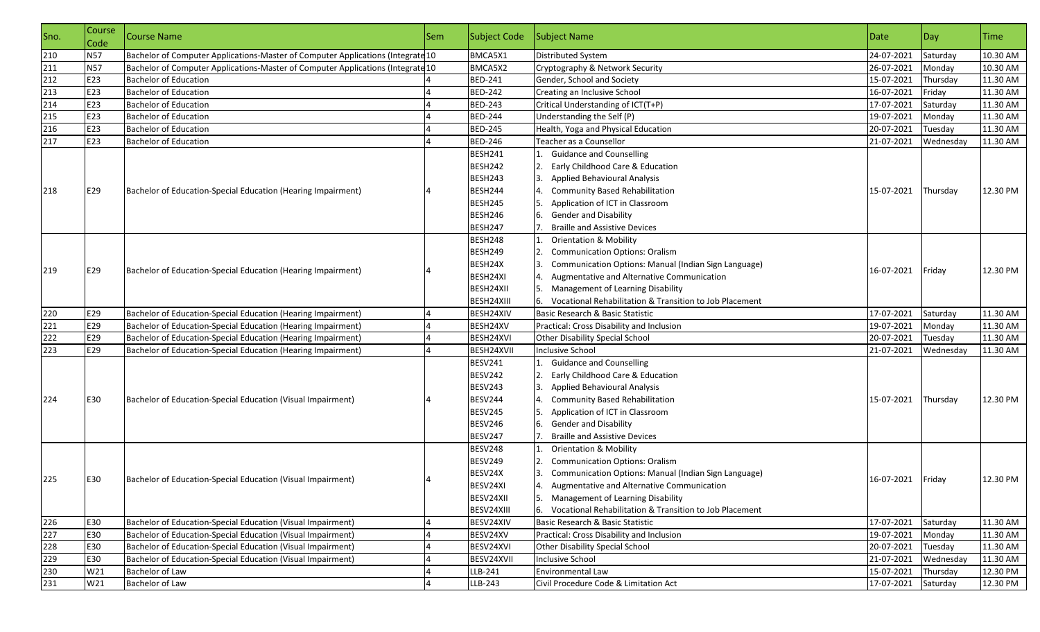| Sno. | Course<br>Code  | <b>Course Name</b>                                                              | <b>Sem</b> | Subject Code   | Subject Name                                               | Date              | Day       | <b>Time</b> |
|------|-----------------|---------------------------------------------------------------------------------|------------|----------------|------------------------------------------------------------|-------------------|-----------|-------------|
| 210  | <b>N57</b>      | Bachelor of Computer Applications-Master of Computer Applications (Integrate 10 |            | BMCA5X1        | <b>Distributed System</b>                                  | 24-07-2021        | Saturday  | 10.30 AM    |
| 211  | N <sub>57</sub> | Bachelor of Computer Applications-Master of Computer Applications (Integrate 10 |            | BMCA5X2        | Cryptography & Network Security                            | 26-07-2021        | Monday    | 10.30 AM    |
| 212  | E23             | <b>Bachelor of Education</b>                                                    |            | BED-241        | Gender, School and Society                                 | 15-07-2021        | Thursday  | 11.30 AM    |
| 213  | E23             | <b>Bachelor of Education</b>                                                    |            | <b>BED-242</b> | Creating an Inclusive School                               | 16-07-2021        | Friday    | 11.30 AM    |
| 214  | E23             | <b>Bachelor of Education</b>                                                    |            | BED-243        | Critical Understanding of ICT(T+P)                         | 17-07-2021        | Saturday  | 11.30 AM    |
| 215  | E23             | <b>Bachelor of Education</b>                                                    |            | <b>BED-244</b> | Understanding the Self (P)                                 | 19-07-2021        | Monday    | 11.30 AM    |
| 216  | E23             | <b>Bachelor of Education</b>                                                    |            | <b>BED-245</b> | Health, Yoga and Physical Education                        | 20-07-2021        | Tuesday   | 11.30 AM    |
| 217  | E23             | <b>Bachelor of Education</b>                                                    |            | <b>BED-246</b> | Teacher as a Counsellor                                    | 21-07-2021        | Wednesday | 11.30 AM    |
|      |                 |                                                                                 |            | BESH241        | <b>Guidance and Counselling</b>                            |                   |           |             |
|      |                 |                                                                                 |            | BESH242        | Early Childhood Care & Education                           |                   |           |             |
|      |                 |                                                                                 |            | BESH243        | Applied Behavioural Analysis                               |                   |           |             |
| 218  | E29             | Bachelor of Education-Special Education (Hearing Impairment)                    |            | BESH244        | <b>Community Based Rehabilitation</b>                      | 15-07-2021        | Thursday  | 12.30 PM    |
|      |                 |                                                                                 |            | <b>BESH245</b> | Application of ICT in Classroom                            |                   |           |             |
|      |                 |                                                                                 |            | BESH246        | Gender and Disability                                      |                   |           |             |
|      |                 |                                                                                 |            | BESH247        | <b>Braille and Assistive Devices</b>                       |                   |           |             |
|      |                 |                                                                                 |            | BESH248        | <b>Orientation &amp; Mobility</b>                          |                   |           |             |
|      |                 |                                                                                 |            | BESH249        | <b>Communication Options: Oralism</b>                      |                   |           |             |
|      |                 |                                                                                 |            | BESH24X        | Communication Options: Manual (Indian Sign Language)       |                   |           |             |
| 219  | E29             | Bachelor of Education-Special Education (Hearing Impairment)                    |            | BESH24XI       | Augmentative and Alternative Communication                 | 16-07-2021        | Friday    | 12.30 PM    |
|      |                 |                                                                                 |            | BESH24XII      | Management of Learning Disability                          |                   |           |             |
|      |                 |                                                                                 |            | BESH24XIII     | Vocational Rehabilitation & Transition to Job Placement    |                   |           |             |
| 220  | E29             | Bachelor of Education-Special Education (Hearing Impairment)                    |            | BESH24XIV      | Basic Research & Basic Statistic                           | 17-07-2021        | Saturday  | 11.30 AM    |
| 221  | E29             | Bachelor of Education-Special Education (Hearing Impairment)                    |            | BESH24XV       | Practical: Cross Disability and Inclusion                  | 19-07-2021        | Monday    | 11.30 AM    |
| 222  | E29             | Bachelor of Education-Special Education (Hearing Impairment)                    |            | BESH24XVI      | <b>Other Disability Special School</b>                     | 20-07-2021        | Tuesday   | 11.30 AM    |
| 223  | E29             | Bachelor of Education-Special Education (Hearing Impairment)                    |            | BESH24XVII     | Inclusive School                                           | 21-07-2021        | Wednesday | 11.30 AM    |
|      |                 |                                                                                 |            | <b>BESV241</b> | <b>Guidance and Counselling</b>                            |                   |           |             |
|      |                 |                                                                                 |            | <b>BESV242</b> | Early Childhood Care & Education                           |                   |           |             |
|      |                 |                                                                                 |            | <b>BESV243</b> | <b>Applied Behavioural Analysis</b>                        |                   |           |             |
| 224  | E30             | Bachelor of Education-Special Education (Visual Impairment)                     |            | BESV244        | <b>Community Based Rehabilitation</b>                      | 15-07-2021        | Thursday  | 12.30 PM    |
|      |                 |                                                                                 |            | <b>BESV245</b> | Application of ICT in Classroom                            |                   |           |             |
|      |                 |                                                                                 |            | BESV246        | <b>Gender and Disability</b>                               |                   |           |             |
|      |                 |                                                                                 |            | <b>BESV247</b> | <b>Braille and Assistive Devices</b>                       |                   |           |             |
|      |                 |                                                                                 |            | <b>BESV248</b> | <b>Orientation &amp; Mobility</b>                          |                   |           |             |
|      |                 |                                                                                 |            | <b>BESV249</b> | <b>Communication Options: Oralism</b>                      |                   |           |             |
|      |                 |                                                                                 |            | BESV24X        | Communication Options: Manual (Indian Sign Language)       |                   |           |             |
| 225  | E30             | Bachelor of Education-Special Education (Visual Impairment)                     |            | BESV24XI       | Augmentative and Alternative Communication                 | 16-07-2021 Friday |           | 12.30 PM    |
|      |                 |                                                                                 |            |                |                                                            |                   |           |             |
|      |                 |                                                                                 |            | BESV24XII      | 5. Management of Learning Disability                       |                   |           |             |
|      |                 |                                                                                 |            | BESV24XIII     | 6. Vocational Rehabilitation & Transition to Job Placement |                   |           |             |
| 226  | E30             | Bachelor of Education-Special Education (Visual Impairment)                     |            | BESV24XIV      | Basic Research & Basic Statistic                           | 17-07-2021        | Saturday  | 11.30 AM    |
| 227  | E30             | Bachelor of Education-Special Education (Visual Impairment)                     |            | BESV24XV       | Practical: Cross Disability and Inclusion                  | 19-07-2021        | Monday    | 11.30 AM    |
| 228  | E30             | Bachelor of Education-Special Education (Visual Impairment)                     |            | BESV24XVI      | <b>Other Disability Special School</b>                     | 20-07-2021        | Tuesday   | 11.30 AM    |
| 229  | E30             | Bachelor of Education-Special Education (Visual Impairment)                     |            | BESV24XVII     | Inclusive School                                           | 21-07-2021        | Wednesday | 11.30 AM    |
| 230  | W21             | Bachelor of Law                                                                 |            | LLB-241        | Environmental Law                                          | 15-07-2021        | Thursday  | 12.30 PM    |
| 231  | W21             | Bachelor of Law                                                                 |            | LLB-243        | Civil Procedure Code & Limitation Act                      | 17-07-2021        | Saturday  | 12.30 PM    |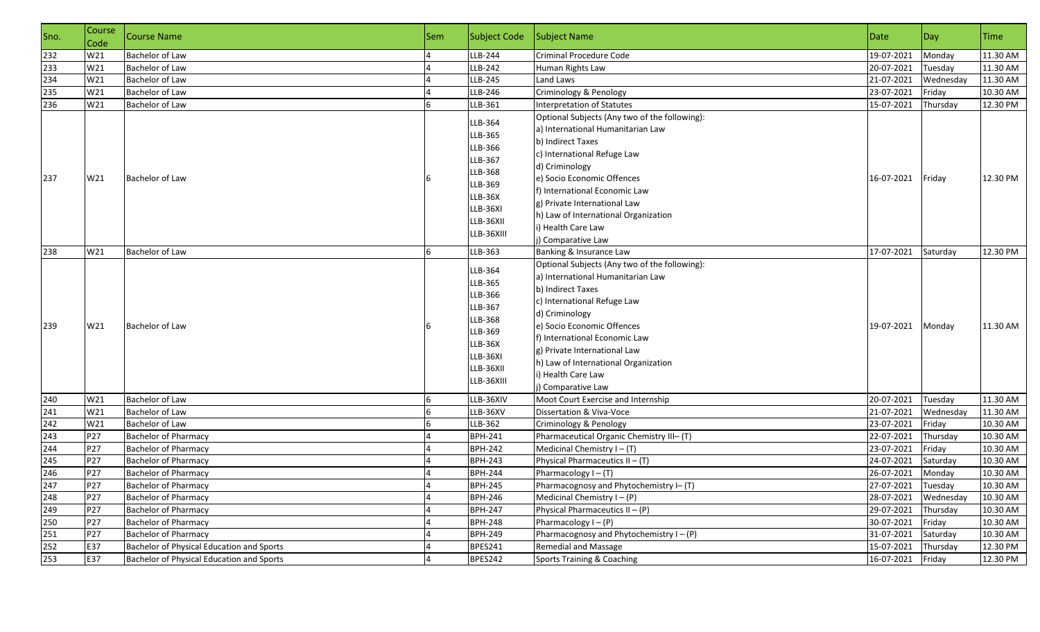| Sno.              | Course<br>Code | Course Name                               | <b>Sem</b> | Subject Code                                                                                                      | Subject Name                                                                                                                                                                                                                                                                                                                               | Date               | Day       | <b>Time</b> |
|-------------------|----------------|-------------------------------------------|------------|-------------------------------------------------------------------------------------------------------------------|--------------------------------------------------------------------------------------------------------------------------------------------------------------------------------------------------------------------------------------------------------------------------------------------------------------------------------------------|--------------------|-----------|-------------|
| 232               | W21            | Bachelor of Law                           |            | LLB-244                                                                                                           | Criminal Procedure Code                                                                                                                                                                                                                                                                                                                    | 19-07-2021         | Monday    | 11.30 AM    |
| 233               | W21            | Bachelor of Law                           |            | LLB-242                                                                                                           | Human Rights Law                                                                                                                                                                                                                                                                                                                           | 20-07-2021         | Tuesday   | 11.30 AM    |
| 234               | W21            | Bachelor of Law                           |            | LLB-245                                                                                                           | Land Laws                                                                                                                                                                                                                                                                                                                                  | 21-07-2021         | Wednesday | 11.30 AM    |
| 235               | W21            | <b>Bachelor of Law</b>                    |            | LLB-246                                                                                                           | Criminology & Penology                                                                                                                                                                                                                                                                                                                     | 23-07-2021         | Friday    | 10.30 AM    |
| 236               | W21            | Bachelor of Law                           |            | LLB-361                                                                                                           | <b>Interpretation of Statutes</b>                                                                                                                                                                                                                                                                                                          | 15-07-2021         | Thursday  | 12.30 PM    |
| 237               | W21            | Bachelor of Law                           |            | LLB-364<br>LLB-365<br>LLB-366<br>LLB-367<br>LLB-368<br>LLB-369<br>$LB-36X$<br>LLB-36XI<br>LLB-36XII<br>LLB-36XIII | Optional Subjects (Any two of the following):<br>a) International Humanitarian Law<br>b) Indirect Taxes<br>c) International Refuge Law<br>d) Criminology<br>e) Socio Economic Offences<br>f) International Economic Law<br>g) Private International Law<br>h) Law of International Organization<br>i) Health Care Law                      | 16-07-2021         | Friday    | 12.30 PM    |
|                   |                |                                           |            |                                                                                                                   | j) Comparative Law                                                                                                                                                                                                                                                                                                                         |                    |           |             |
| 238               | W21            | <b>Bachelor of Law</b>                    |            | LLB-363                                                                                                           | Banking & Insurance Law                                                                                                                                                                                                                                                                                                                    | 17-07-2021         | Saturday  | 12.30 PM    |
| 239               | W21            | Bachelor of Law                           |            | LLB-364<br>LLB-365<br>LLB-366<br>LLB-367<br>LB-368<br>LLB-369<br>LLB-36X<br>LLB-36XI<br>LLB-36XII<br>LLB-36XIII   | Optional Subjects (Any two of the following):<br>a) International Humanitarian Law<br>b) Indirect Taxes<br>c) International Refuge Law<br>d) Criminology<br>e) Socio Economic Offences<br>f) International Economic Law<br>g) Private International Law<br>h) Law of International Organization<br>i) Health Care Law<br>) Comparative Law | 19-07-2021         | Monday    | 11.30 AM    |
| 240               | W21            | <b>Bachelor of Law</b>                    |            | LLB-36XIV                                                                                                         | Moot Court Exercise and Internship                                                                                                                                                                                                                                                                                                         | 20-07-2021         | Tuesday   | 11.30 AM    |
| 241               | W21            | <b>Bachelor of Law</b>                    |            | LLB-36XV                                                                                                          | Dissertation & Viva-Voce                                                                                                                                                                                                                                                                                                                   | 21-07-2021         | Wednesday | 11.30 AM    |
| 242               | W21            | <b>Bachelor of Law</b>                    |            | LLB-362                                                                                                           | Criminology & Penology                                                                                                                                                                                                                                                                                                                     | 23-07-2021         | Friday    | 10.30 AM    |
| 243               | P27            | <b>Bachelor of Pharmacy</b>               |            | <b>BPH-241</b>                                                                                                    | Pharmaceutical Organic Chemistry III- (T)                                                                                                                                                                                                                                                                                                  | 22-07-2021         | Thursday  | 10.30 AM    |
| 244               | P27            | <b>Bachelor of Pharmacy</b>               |            | <b>BPH-242</b>                                                                                                    | Medicinal Chemistry $I - (T)$                                                                                                                                                                                                                                                                                                              | 23-07-2021         | Friday    | 10.30 AM    |
| 245               | P27            | <b>Bachelor of Pharmacy</b>               |            | <b>BPH-243</b>                                                                                                    | Physical Pharmaceutics $II - (T)$                                                                                                                                                                                                                                                                                                          | 24-07-2021         | Saturday  | 10.30 AM    |
|                   | P27            | <b>Bachelor of Pharmacy</b>               |            | <b>BPH-244</b>                                                                                                    | Pharmacology $I - (T)$                                                                                                                                                                                                                                                                                                                     | 26-07-2021         | Monday    | 10.30 AM    |
|                   | P27            | <b>Bachelor of Pharmacy</b>               |            | <b>BPH-245</b>                                                                                                    | Pharmacognosy and Phytochemistry I- (T)                                                                                                                                                                                                                                                                                                    | 27-07-2021 Tuesday |           | 10.30 AM    |
| 246<br>247<br>248 | P27            | <b>Bachelor of Pharmacy</b>               |            | <b>BPH-246</b>                                                                                                    | Medicinal Chemistry $I - (P)$                                                                                                                                                                                                                                                                                                              | 28-07-2021         | Wednesday | 10.30 AM    |
| 249               | P27            | <b>Bachelor of Pharmacy</b>               |            | <b>BPH-247</b>                                                                                                    | Physical Pharmaceutics $II - (P)$                                                                                                                                                                                                                                                                                                          | 29-07-2021         | Thursday  | 10.30 AM    |
| 250               | P27            | <b>Bachelor of Pharmacy</b>               |            | <b>BPH-248</b>                                                                                                    | Pharmacology $I - (P)$                                                                                                                                                                                                                                                                                                                     | 30-07-2021         | Friday    | 10.30 AM    |
| 251               | P27            | <b>Bachelor of Pharmacy</b>               |            | <b>BPH-249</b>                                                                                                    | Pharmacognosy and Phytochemistry $I - (P)$                                                                                                                                                                                                                                                                                                 | 31-07-2021         | Saturday  | 10.30 AM    |
| 252               | E37            | Bachelor of Physical Education and Sports |            | BPES241                                                                                                           | <b>Remedial and Massage</b>                                                                                                                                                                                                                                                                                                                | 15-07-2021         | Thursday  | 12.30 PM    |
| 253               | E37            | Bachelor of Physical Education and Sports | 4          | BPES242                                                                                                           | Sports Training & Coaching                                                                                                                                                                                                                                                                                                                 | 16-07-2021         | Friday    | 12.30 PM    |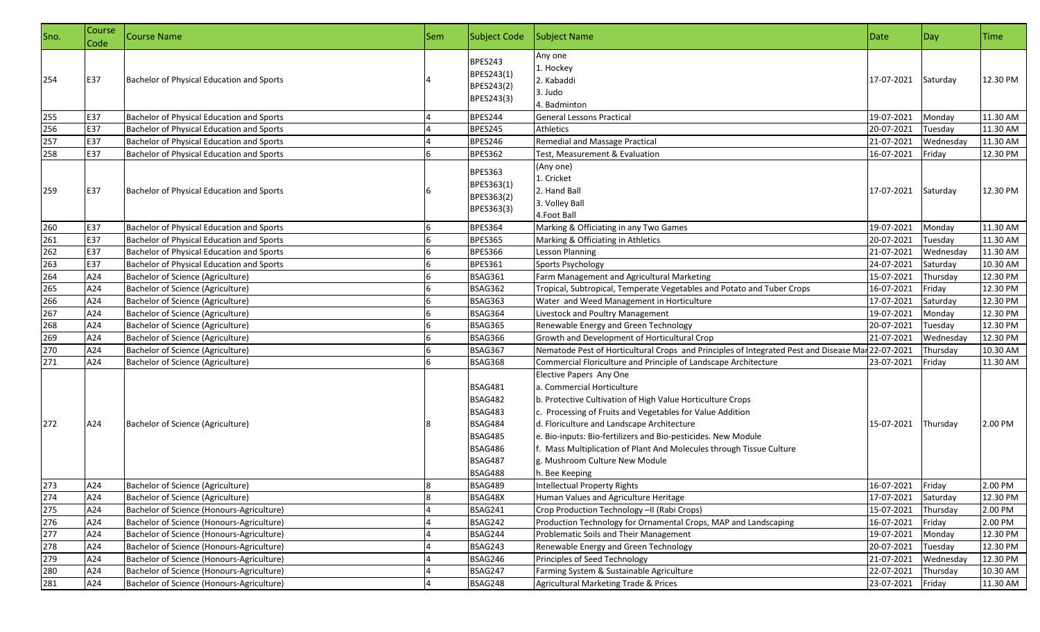| Any one<br>BPES243<br>1. Hockey<br>BPES243(1)<br>E37<br>254<br>2. Kabaddi<br>Bachelor of Physical Education and Sports<br>17-07-2021<br>Saturday<br>12.30 PM<br>BPES243(2)<br>3. Judo<br>BPES243(3)<br>4. Badminton<br>E37<br>255<br>Bachelor of Physical Education and Sports<br>BPES244<br><b>General Lessons Practical</b><br>19-07-2021<br>Monday<br>11.30 AM<br>256<br>E37<br>BPES245<br>Bachelor of Physical Education and Sports<br><b>Athletics</b><br>20-07-2021<br>11.30 AM<br>Tuesday<br>257<br>E37<br>BPES246<br><b>Remedial and Massage Practical</b><br>Bachelor of Physical Education and Sports<br>21-07-2021<br>11.30 AM<br>Wednesday<br>258<br>E37<br><b>BPES362</b><br>12.30 PM<br>Bachelor of Physical Education and Sports<br>Test. Measurement & Evaluation<br>16-07-2021<br>Friday<br>(Any one)<br>BPES363<br>1. Cricket<br>BPES363(1)<br>E37<br>259<br>Bachelor of Physical Education and Sports<br>2. Hand Ball<br>17-07-2021<br>Saturday<br>12.30 PM<br>BPES363(2)<br>3. Volley Ball<br>BPES363(3)<br>4.Foot Ball<br>260<br>E37<br><b>BPES364</b><br>Monday<br>Bachelor of Physical Education and Sports<br>Marking & Officiating in any Two Games<br>19-07-2021<br>11.30 AM<br>261<br>E37<br><b>BPES365</b><br>Bachelor of Physical Education and Sports<br>Marking & Officiating in Athletics<br>20-07-2021<br>Tuesday<br>11.30 AM<br>262<br>E37<br><b>BPES366</b><br>21-07-2021<br>11.30 AM<br>Bachelor of Physical Education and Sports<br><b>Lesson Planning</b><br>Wednesday<br>263<br>E37<br><b>BPES361</b><br>Sports Psychology<br>24-07-2021<br>10.30 AM<br>Bachelor of Physical Education and Sports<br>Saturday<br>264<br>A24<br>BSAG361<br>15-07-2021<br>12.30 PM<br><b>Bachelor of Science (Agriculture)</b><br>Farm Management and Agricultural Marketing<br>Thursday<br>265<br>A24<br>BSAG362<br>Tropical, Subtropical, Temperate Vegetables and Potato and Tuber Crops<br>16-07-2021<br>12.30 PM<br><b>Bachelor of Science (Agriculture)</b><br>Friday<br>266<br>A24<br>BSAG363<br>Water and Weed Management in Horticulture<br>17-07-2021<br>12.30 PM<br><b>Bachelor of Science (Agriculture)</b><br>Saturday<br>267<br>A24<br>BSAG364<br>19-07-2021<br>12.30 PM<br><b>Bachelor of Science (Agriculture)</b><br>Livestock and Poultry Management<br>Monday<br>268<br>A24<br>BSAG365<br>Renewable Energy and Green Technology<br>20-07-2021<br>12.30 PM<br><b>Bachelor of Science (Agriculture)</b><br>Tuesday<br>269<br>A24<br>BSAG366<br>Growth and Development of Horticultural Crop<br>21-07-2021<br>12.30 PM<br><b>Bachelor of Science (Agriculture)</b><br>Wednesday<br>270<br>A24<br>BSAG367<br>Nematode Pest of Horticultural Crops and Principles of Integrated Pest and Disease Mar 22-07-2021<br>10.30 AM<br><b>Bachelor of Science (Agriculture)</b><br>Thursday<br>271<br>A24<br>Bachelor of Science (Agriculture)<br>BSAG368<br>Commercial Floriculture and Principle of Landscape Architecture<br>23-07-2021<br>Friday<br>11.30 AM<br>Elective Papers Any One<br>BSAG481<br>a. Commercial Horticulture |
|-----------------------------------------------------------------------------------------------------------------------------------------------------------------------------------------------------------------------------------------------------------------------------------------------------------------------------------------------------------------------------------------------------------------------------------------------------------------------------------------------------------------------------------------------------------------------------------------------------------------------------------------------------------------------------------------------------------------------------------------------------------------------------------------------------------------------------------------------------------------------------------------------------------------------------------------------------------------------------------------------------------------------------------------------------------------------------------------------------------------------------------------------------------------------------------------------------------------------------------------------------------------------------------------------------------------------------------------------------------------------------------------------------------------------------------------------------------------------------------------------------------------------------------------------------------------------------------------------------------------------------------------------------------------------------------------------------------------------------------------------------------------------------------------------------------------------------------------------------------------------------------------------------------------------------------------------------------------------------------------------------------------------------------------------------------------------------------------------------------------------------------------------------------------------------------------------------------------------------------------------------------------------------------------------------------------------------------------------------------------------------------------------------------------------------------------------------------------------------------------------------------------------------------------------------------------------------------------------------------------------------------------------------------------------------------------------------------------------------------------------------------------------------------------------------------------------------------------------------------------------------------------------------------------------------------------------------------------------------------------------------------------------------------------------------------------|
|                                                                                                                                                                                                                                                                                                                                                                                                                                                                                                                                                                                                                                                                                                                                                                                                                                                                                                                                                                                                                                                                                                                                                                                                                                                                                                                                                                                                                                                                                                                                                                                                                                                                                                                                                                                                                                                                                                                                                                                                                                                                                                                                                                                                                                                                                                                                                                                                                                                                                                                                                                                                                                                                                                                                                                                                                                                                                                                                                                                                                                                                 |
|                                                                                                                                                                                                                                                                                                                                                                                                                                                                                                                                                                                                                                                                                                                                                                                                                                                                                                                                                                                                                                                                                                                                                                                                                                                                                                                                                                                                                                                                                                                                                                                                                                                                                                                                                                                                                                                                                                                                                                                                                                                                                                                                                                                                                                                                                                                                                                                                                                                                                                                                                                                                                                                                                                                                                                                                                                                                                                                                                                                                                                                                 |
|                                                                                                                                                                                                                                                                                                                                                                                                                                                                                                                                                                                                                                                                                                                                                                                                                                                                                                                                                                                                                                                                                                                                                                                                                                                                                                                                                                                                                                                                                                                                                                                                                                                                                                                                                                                                                                                                                                                                                                                                                                                                                                                                                                                                                                                                                                                                                                                                                                                                                                                                                                                                                                                                                                                                                                                                                                                                                                                                                                                                                                                                 |
|                                                                                                                                                                                                                                                                                                                                                                                                                                                                                                                                                                                                                                                                                                                                                                                                                                                                                                                                                                                                                                                                                                                                                                                                                                                                                                                                                                                                                                                                                                                                                                                                                                                                                                                                                                                                                                                                                                                                                                                                                                                                                                                                                                                                                                                                                                                                                                                                                                                                                                                                                                                                                                                                                                                                                                                                                                                                                                                                                                                                                                                                 |
|                                                                                                                                                                                                                                                                                                                                                                                                                                                                                                                                                                                                                                                                                                                                                                                                                                                                                                                                                                                                                                                                                                                                                                                                                                                                                                                                                                                                                                                                                                                                                                                                                                                                                                                                                                                                                                                                                                                                                                                                                                                                                                                                                                                                                                                                                                                                                                                                                                                                                                                                                                                                                                                                                                                                                                                                                                                                                                                                                                                                                                                                 |
|                                                                                                                                                                                                                                                                                                                                                                                                                                                                                                                                                                                                                                                                                                                                                                                                                                                                                                                                                                                                                                                                                                                                                                                                                                                                                                                                                                                                                                                                                                                                                                                                                                                                                                                                                                                                                                                                                                                                                                                                                                                                                                                                                                                                                                                                                                                                                                                                                                                                                                                                                                                                                                                                                                                                                                                                                                                                                                                                                                                                                                                                 |
|                                                                                                                                                                                                                                                                                                                                                                                                                                                                                                                                                                                                                                                                                                                                                                                                                                                                                                                                                                                                                                                                                                                                                                                                                                                                                                                                                                                                                                                                                                                                                                                                                                                                                                                                                                                                                                                                                                                                                                                                                                                                                                                                                                                                                                                                                                                                                                                                                                                                                                                                                                                                                                                                                                                                                                                                                                                                                                                                                                                                                                                                 |
|                                                                                                                                                                                                                                                                                                                                                                                                                                                                                                                                                                                                                                                                                                                                                                                                                                                                                                                                                                                                                                                                                                                                                                                                                                                                                                                                                                                                                                                                                                                                                                                                                                                                                                                                                                                                                                                                                                                                                                                                                                                                                                                                                                                                                                                                                                                                                                                                                                                                                                                                                                                                                                                                                                                                                                                                                                                                                                                                                                                                                                                                 |
|                                                                                                                                                                                                                                                                                                                                                                                                                                                                                                                                                                                                                                                                                                                                                                                                                                                                                                                                                                                                                                                                                                                                                                                                                                                                                                                                                                                                                                                                                                                                                                                                                                                                                                                                                                                                                                                                                                                                                                                                                                                                                                                                                                                                                                                                                                                                                                                                                                                                                                                                                                                                                                                                                                                                                                                                                                                                                                                                                                                                                                                                 |
|                                                                                                                                                                                                                                                                                                                                                                                                                                                                                                                                                                                                                                                                                                                                                                                                                                                                                                                                                                                                                                                                                                                                                                                                                                                                                                                                                                                                                                                                                                                                                                                                                                                                                                                                                                                                                                                                                                                                                                                                                                                                                                                                                                                                                                                                                                                                                                                                                                                                                                                                                                                                                                                                                                                                                                                                                                                                                                                                                                                                                                                                 |
|                                                                                                                                                                                                                                                                                                                                                                                                                                                                                                                                                                                                                                                                                                                                                                                                                                                                                                                                                                                                                                                                                                                                                                                                                                                                                                                                                                                                                                                                                                                                                                                                                                                                                                                                                                                                                                                                                                                                                                                                                                                                                                                                                                                                                                                                                                                                                                                                                                                                                                                                                                                                                                                                                                                                                                                                                                                                                                                                                                                                                                                                 |
|                                                                                                                                                                                                                                                                                                                                                                                                                                                                                                                                                                                                                                                                                                                                                                                                                                                                                                                                                                                                                                                                                                                                                                                                                                                                                                                                                                                                                                                                                                                                                                                                                                                                                                                                                                                                                                                                                                                                                                                                                                                                                                                                                                                                                                                                                                                                                                                                                                                                                                                                                                                                                                                                                                                                                                                                                                                                                                                                                                                                                                                                 |
|                                                                                                                                                                                                                                                                                                                                                                                                                                                                                                                                                                                                                                                                                                                                                                                                                                                                                                                                                                                                                                                                                                                                                                                                                                                                                                                                                                                                                                                                                                                                                                                                                                                                                                                                                                                                                                                                                                                                                                                                                                                                                                                                                                                                                                                                                                                                                                                                                                                                                                                                                                                                                                                                                                                                                                                                                                                                                                                                                                                                                                                                 |
|                                                                                                                                                                                                                                                                                                                                                                                                                                                                                                                                                                                                                                                                                                                                                                                                                                                                                                                                                                                                                                                                                                                                                                                                                                                                                                                                                                                                                                                                                                                                                                                                                                                                                                                                                                                                                                                                                                                                                                                                                                                                                                                                                                                                                                                                                                                                                                                                                                                                                                                                                                                                                                                                                                                                                                                                                                                                                                                                                                                                                                                                 |
|                                                                                                                                                                                                                                                                                                                                                                                                                                                                                                                                                                                                                                                                                                                                                                                                                                                                                                                                                                                                                                                                                                                                                                                                                                                                                                                                                                                                                                                                                                                                                                                                                                                                                                                                                                                                                                                                                                                                                                                                                                                                                                                                                                                                                                                                                                                                                                                                                                                                                                                                                                                                                                                                                                                                                                                                                                                                                                                                                                                                                                                                 |
|                                                                                                                                                                                                                                                                                                                                                                                                                                                                                                                                                                                                                                                                                                                                                                                                                                                                                                                                                                                                                                                                                                                                                                                                                                                                                                                                                                                                                                                                                                                                                                                                                                                                                                                                                                                                                                                                                                                                                                                                                                                                                                                                                                                                                                                                                                                                                                                                                                                                                                                                                                                                                                                                                                                                                                                                                                                                                                                                                                                                                                                                 |
|                                                                                                                                                                                                                                                                                                                                                                                                                                                                                                                                                                                                                                                                                                                                                                                                                                                                                                                                                                                                                                                                                                                                                                                                                                                                                                                                                                                                                                                                                                                                                                                                                                                                                                                                                                                                                                                                                                                                                                                                                                                                                                                                                                                                                                                                                                                                                                                                                                                                                                                                                                                                                                                                                                                                                                                                                                                                                                                                                                                                                                                                 |
|                                                                                                                                                                                                                                                                                                                                                                                                                                                                                                                                                                                                                                                                                                                                                                                                                                                                                                                                                                                                                                                                                                                                                                                                                                                                                                                                                                                                                                                                                                                                                                                                                                                                                                                                                                                                                                                                                                                                                                                                                                                                                                                                                                                                                                                                                                                                                                                                                                                                                                                                                                                                                                                                                                                                                                                                                                                                                                                                                                                                                                                                 |
| BSAG482<br>b. Protective Cultivation of High Value Horticulture Crops<br>BSAG483<br>c. Processing of Fruits and Vegetables for Value Addition<br>BSAG484<br>272<br>A24<br>d. Floriculture and Landscape Architecture<br>Bachelor of Science (Agriculture)<br>15-07-2021<br>Thursday<br>2.00 PM<br><b>BSAG485</b><br>e. Bio-inputs: Bio-fertilizers and Bio-pesticides. New Module<br>BSAG486<br>f. Mass Multiplication of Plant And Molecules through Tissue Culture<br><b>BSAG487</b><br>g. Mushroom Culture New Module<br><b>BSAG488</b><br>h. Bee Keeping                                                                                                                                                                                                                                                                                                                                                                                                                                                                                                                                                                                                                                                                                                                                                                                                                                                                                                                                                                                                                                                                                                                                                                                                                                                                                                                                                                                                                                                                                                                                                                                                                                                                                                                                                                                                                                                                                                                                                                                                                                                                                                                                                                                                                                                                                                                                                                                                                                                                                                    |
| 273<br><b>BSAG489</b><br>16-07-2021 Friday<br>A24<br>2.00 PM<br><b>Intellectual Property Rights</b><br>Bachelor of Science (Agriculture)                                                                                                                                                                                                                                                                                                                                                                                                                                                                                                                                                                                                                                                                                                                                                                                                                                                                                                                                                                                                                                                                                                                                                                                                                                                                                                                                                                                                                                                                                                                                                                                                                                                                                                                                                                                                                                                                                                                                                                                                                                                                                                                                                                                                                                                                                                                                                                                                                                                                                                                                                                                                                                                                                                                                                                                                                                                                                                                        |
| 274<br>A24<br>BSAG48X<br>12.30 PM<br>17-07-2021<br>Bachelor of Science (Agriculture)<br>Human Values and Agriculture Heritage<br>Saturday                                                                                                                                                                                                                                                                                                                                                                                                                                                                                                                                                                                                                                                                                                                                                                                                                                                                                                                                                                                                                                                                                                                                                                                                                                                                                                                                                                                                                                                                                                                                                                                                                                                                                                                                                                                                                                                                                                                                                                                                                                                                                                                                                                                                                                                                                                                                                                                                                                                                                                                                                                                                                                                                                                                                                                                                                                                                                                                       |
| 275<br>A24<br>BSAG241<br>Crop Production Technology -II (Rabi Crops)<br>Bachelor of Science (Honours-Agriculture)<br>15-07-2021<br>2.00 PM<br>Thursday                                                                                                                                                                                                                                                                                                                                                                                                                                                                                                                                                                                                                                                                                                                                                                                                                                                                                                                                                                                                                                                                                                                                                                                                                                                                                                                                                                                                                                                                                                                                                                                                                                                                                                                                                                                                                                                                                                                                                                                                                                                                                                                                                                                                                                                                                                                                                                                                                                                                                                                                                                                                                                                                                                                                                                                                                                                                                                          |
| 276<br>A24<br>BSAG242<br>Production Technology for Ornamental Crops, MAP and Landscaping<br>16-07-2021<br>2.00 PM<br>Bachelor of Science (Honours-Agriculture)<br>Friday                                                                                                                                                                                                                                                                                                                                                                                                                                                                                                                                                                                                                                                                                                                                                                                                                                                                                                                                                                                                                                                                                                                                                                                                                                                                                                                                                                                                                                                                                                                                                                                                                                                                                                                                                                                                                                                                                                                                                                                                                                                                                                                                                                                                                                                                                                                                                                                                                                                                                                                                                                                                                                                                                                                                                                                                                                                                                        |
| 277<br>A24<br><b>BSAG244</b><br>12.30 PM<br>Bachelor of Science (Honours-Agriculture)<br>Problematic Soils and Their Management<br>19-07-2021<br>Monday                                                                                                                                                                                                                                                                                                                                                                                                                                                                                                                                                                                                                                                                                                                                                                                                                                                                                                                                                                                                                                                                                                                                                                                                                                                                                                                                                                                                                                                                                                                                                                                                                                                                                                                                                                                                                                                                                                                                                                                                                                                                                                                                                                                                                                                                                                                                                                                                                                                                                                                                                                                                                                                                                                                                                                                                                                                                                                         |
| 278<br>A24<br>BSAG243<br>Renewable Energy and Green Technology<br>20-07-2021<br>12.30 PM<br>Bachelor of Science (Honours-Agriculture)<br>Tuesday                                                                                                                                                                                                                                                                                                                                                                                                                                                                                                                                                                                                                                                                                                                                                                                                                                                                                                                                                                                                                                                                                                                                                                                                                                                                                                                                                                                                                                                                                                                                                                                                                                                                                                                                                                                                                                                                                                                                                                                                                                                                                                                                                                                                                                                                                                                                                                                                                                                                                                                                                                                                                                                                                                                                                                                                                                                                                                                |
| 279<br>A24<br>BSAG246<br>21-07-2021<br>12.30 PM<br>Bachelor of Science (Honours-Agriculture)<br>Principles of Seed Technology<br>Wednesday                                                                                                                                                                                                                                                                                                                                                                                                                                                                                                                                                                                                                                                                                                                                                                                                                                                                                                                                                                                                                                                                                                                                                                                                                                                                                                                                                                                                                                                                                                                                                                                                                                                                                                                                                                                                                                                                                                                                                                                                                                                                                                                                                                                                                                                                                                                                                                                                                                                                                                                                                                                                                                                                                                                                                                                                                                                                                                                      |
| 280<br>A24<br>Bachelor of Science (Honours-Agriculture)<br>BSAG247<br>Farming System & Sustainable Agriculture<br>22-07-2021<br>10.30 AM<br>Thursday                                                                                                                                                                                                                                                                                                                                                                                                                                                                                                                                                                                                                                                                                                                                                                                                                                                                                                                                                                                                                                                                                                                                                                                                                                                                                                                                                                                                                                                                                                                                                                                                                                                                                                                                                                                                                                                                                                                                                                                                                                                                                                                                                                                                                                                                                                                                                                                                                                                                                                                                                                                                                                                                                                                                                                                                                                                                                                            |
| 281<br>A24<br>BSAG248<br>Agricultural Marketing Trade & Prices<br>23-07-2021<br>Bachelor of Science (Honours-Agriculture)<br>Friday<br>11.30 AM                                                                                                                                                                                                                                                                                                                                                                                                                                                                                                                                                                                                                                                                                                                                                                                                                                                                                                                                                                                                                                                                                                                                                                                                                                                                                                                                                                                                                                                                                                                                                                                                                                                                                                                                                                                                                                                                                                                                                                                                                                                                                                                                                                                                                                                                                                                                                                                                                                                                                                                                                                                                                                                                                                                                                                                                                                                                                                                 |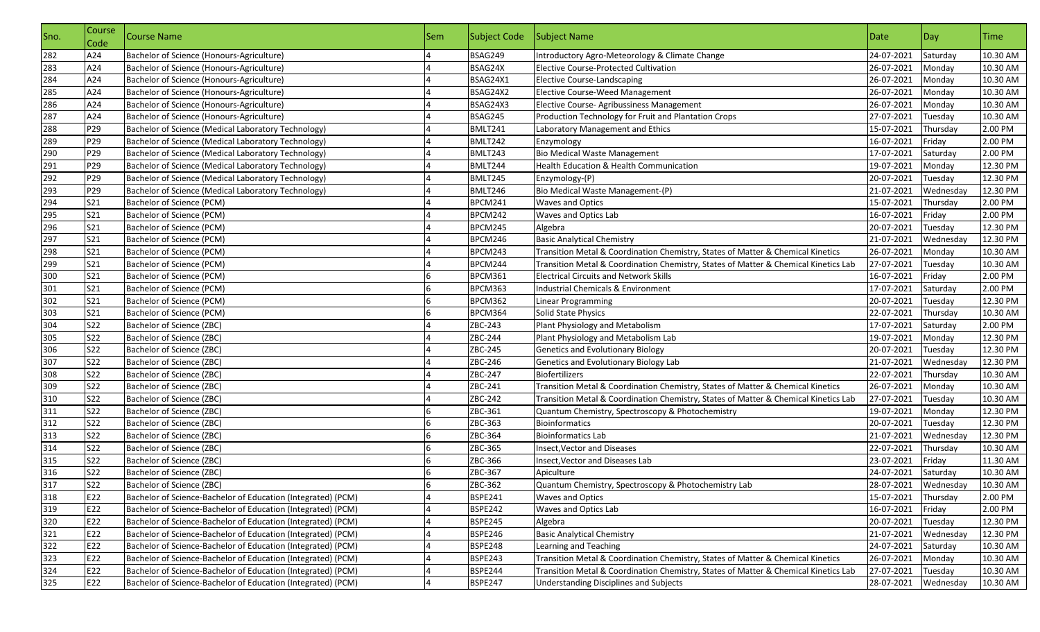| 282<br>A24<br>10.30 AM<br>Bachelor of Science (Honours-Agriculture)<br>BSAG249<br>Introductory Agro-Meteorology & Climate Change<br>24-07-2021<br>Saturday<br>283<br>A24<br>BSAG24X<br>10.30 AM<br>Bachelor of Science (Honours-Agriculture)<br>26-07-2021<br><b>Elective Course-Protected Cultivation</b><br>Monday<br>284<br>A24<br>10.30 AM<br>Bachelor of Science (Honours-Agriculture)<br>BSAG24X1<br>26-07-2021<br><b>Elective Course-Landscaping</b><br>Monday<br>285<br>A24<br>10.30 AM<br>Bachelor of Science (Honours-Agriculture)<br>BSAG24X2<br>Elective Course-Weed Management<br>26-07-2021<br>Monday<br>286<br>A24<br>BSAG24X3<br>10.30 AM<br>Bachelor of Science (Honours-Agriculture)<br>Elective Course- Agribussiness Management<br>26-07-2021<br>Monday<br>287<br>A24<br>BSAG245<br>Production Technology for Fruit and Plantation Crops<br>27-07-2021<br>10.30 AM<br>Bachelor of Science (Honours-Agriculture)<br>Tuesday<br>288<br>P29<br>BMLT241<br>2.00 PM<br>Bachelor of Science (Medical Laboratory Technology)<br>Laboratory Management and Ethics<br>15-07-2021<br>Thursday<br>289<br>P29<br>BMLT242<br>2.00 PM<br>Bachelor of Science (Medical Laboratory Technology)<br>16-07-2021<br>Friday<br>Enzymology<br>290<br>P29<br>BMLT243<br><b>Bio Medical Waste Management</b><br>17-07-2021<br>2.00 PM<br>Bachelor of Science (Medical Laboratory Technology)<br>Saturday<br>291<br>P29<br>12.30 PM<br>BMLT244<br>19-07-2021<br>Bachelor of Science (Medical Laboratory Technology)<br>Health Education & Health Communication<br>Monday<br>292<br>P29<br>BMLT245<br>20-07-2021<br>12.30 PM<br>Bachelor of Science (Medical Laboratory Technology)<br>Enzymology-(P)<br>Tuesday<br>293<br>P29<br>BMLT246<br>12.30 PM<br>Bachelor of Science (Medical Laboratory Technology)<br>Bio Medical Waste Management-(P)<br>21-07-2021<br>Wednesday<br>294<br>S21<br>BPCM241<br>2.00 PM<br>Bachelor of Science (PCM)<br><b>Waves and Optics</b><br>15-07-2021<br>Thursday<br>295<br>S21<br>BPCM242<br>2.00 PM<br>Bachelor of Science (PCM)<br>16-07-2021<br>Friday<br>Waves and Optics Lab<br>296<br>S21<br>12.30 PM<br>Bachelor of Science (PCM)<br>BPCM245<br>20-07-2021<br>Algebra<br>Tuesday<br>297<br>12.30 PM<br>S21<br>Bachelor of Science (PCM)<br>BPCM246<br><b>Basic Analytical Chemistry</b><br>21-07-2021<br>Wednesday<br>298<br>S21<br>Bachelor of Science (PCM)<br>BPCM243<br>Transition Metal & Coordination Chemistry, States of Matter & Chemical Kinetics<br>26-07-2021<br>10.30 AM<br>Monday<br>299<br>S21<br>Bachelor of Science (PCM)<br>BPCM244<br>Transition Metal & Coordination Chemistry, States of Matter & Chemical Kinetics Lab<br>27-07-2021<br>10.30 AM<br>Tuesday<br>300<br>S21<br>Bachelor of Science (PCM)<br>BPCM361<br><b>Electrical Circuits and Network Skills</b><br>16-07-2021<br>Friday<br>2.00 PM<br>301<br>S21<br>BPCM363<br>Industrial Chemicals & Environment<br>17-07-2021<br>2.00 PM<br><b>Bachelor of Science (PCM)</b><br>Saturday<br>302<br>12.30 PM<br>S21<br>Bachelor of Science (PCM)<br>BPCM362<br>20-07-2021<br>Tuesday<br>Linear Programming<br>303<br>10.30 AM<br>S21<br>Bachelor of Science (PCM)<br>BPCM364<br>22-07-2021<br>Solid State Physics<br>Thursday<br>304<br>S22<br>ZBC-243<br>17-07-2021<br>2.00 PM<br>Bachelor of Science (ZBC)<br>Plant Physiology and Metabolism<br>Saturday<br>305<br>S22<br>12.30 PM<br>ZBC-244<br>Plant Physiology and Metabolism Lab<br>19-07-2021<br>Bachelor of Science (ZBC)<br>Monday<br>306<br>S22<br>ZBC-245<br>20-07-2021<br>12.30 PM<br>Bachelor of Science (ZBC)<br><b>Genetics and Evolutionary Biology</b><br>Tuesday<br>307<br>S22<br>ZBC-246<br>12.30 PM<br>Bachelor of Science (ZBC)<br>Genetics and Evolutionary Biology Lab<br>21-07-2021<br>Wednesday<br>308<br>S22<br>ZBC-247<br>10.30 AM<br>22-07-2021<br>Bachelor of Science (ZBC)<br><b>Biofertilizers</b><br>Thursday<br>309<br>S <sub>22</sub><br>ZBC-241<br>10.30 AM<br>Transition Metal & Coordination Chemistry, States of Matter & Chemical Kinetics<br>Bachelor of Science (ZBC)<br>26-07-2021<br>Monday<br>S22<br>ZBC-242<br>310<br>Transition Metal & Coordination Chemistry, States of Matter & Chemical Kinetics Lab<br>10.30 AM<br><b>Bachelor of Science (ZBC)</b><br>27-07-2021<br>Tuesday<br>S22<br>ZBC-361<br>12.30 PM<br>Bachelor of Science (ZBC)<br>Quantum Chemistry, Spectroscopy & Photochemistry<br>19-07-2021<br>Monday<br><b>S22</b><br>312<br>Bachelor of Science (ZBC)<br>ZBC-363<br>20-07-2021<br>12.30 PM<br><b>Bioinformatics</b><br>Tuesday<br>313<br><b>S22</b><br>12.30 PM<br>ZBC-364<br>Bachelor of Science (ZBC)<br><b>Bioinformatics Lab</b><br>21-07-2021<br>Wednesday<br>314<br><b>S22</b><br>ZBC-365<br>22-07-2021<br>10.30 AM<br>Bachelor of Science (ZBC)<br><b>Insect, Vector and Diseases</b><br>Thursday<br>315<br>S22<br>Bachelor of Science (ZBC)<br>ZBC-366<br>23-07-2021<br>11.30 AM<br>Insect, Vector and Diseases Lab<br>Friday<br>316<br>S22<br>ZBC-367<br>24-07-2021<br>10.30 AM<br>Bachelor of Science (ZBC)<br>Saturday<br>Apiculture<br>S <sub>22</sub><br>317<br>ZBC-362<br>28-07-2021<br>10.30 AM<br>Wednesday<br>Bachelor of Science (ZBC)<br>Quantum Chemistry, Spectroscopy & Photochemistry Lab<br>318<br>E22<br><b>BSPE241</b><br>Bachelor of Science-Bachelor of Education (Integrated) (PCM)<br>15-07-2021<br>2.00 PM<br><b>Waves and Optics</b><br>Thursday<br>319<br>E22<br>Bachelor of Science-Bachelor of Education (Integrated) (PCM)<br><b>BSPE242</b><br>Waves and Optics Lab<br>16-07-2021<br>Friday<br>2.00 PM<br>320<br>E22<br>Bachelor of Science-Bachelor of Education (Integrated) (PCM)<br><b>BSPE245</b><br>Algebra<br>20-07-2021<br>12.30 PM<br>Tuesday<br>321<br>E22<br>Bachelor of Science-Bachelor of Education (Integrated) (PCM)<br><b>BSPE246</b><br><b>Basic Analytical Chemistry</b><br>21-07-2021<br>12.30 PM<br>Wednesday<br>322<br>E22<br>Bachelor of Science-Bachelor of Education (Integrated) (PCM)<br><b>BSPE248</b><br>24-07-2021<br>10.30 AM<br><b>Learning and Teaching</b><br>Saturday<br>323<br>E22<br>Bachelor of Science-Bachelor of Education (Integrated) (PCM)<br>BSPE243<br>Transition Metal & Coordination Chemistry, States of Matter & Chemical Kinetics<br>26-07-2021<br>10.30 AM<br>Monday<br>324<br>E22<br>Bachelor of Science-Bachelor of Education (Integrated) (PCM)<br>Transition Metal & Coordination Chemistry, States of Matter & Chemical Kinetics Lab<br>27-07-2021<br>10.30 AM<br>BSPE244<br>Tuesday | Sno. | Course<br>Code | Course Name                                                  | Sem | Subject Code   | Subject Name                           | Date       | Day       | Time     |
|--------------------------------------------------------------------------------------------------------------------------------------------------------------------------------------------------------------------------------------------------------------------------------------------------------------------------------------------------------------------------------------------------------------------------------------------------------------------------------------------------------------------------------------------------------------------------------------------------------------------------------------------------------------------------------------------------------------------------------------------------------------------------------------------------------------------------------------------------------------------------------------------------------------------------------------------------------------------------------------------------------------------------------------------------------------------------------------------------------------------------------------------------------------------------------------------------------------------------------------------------------------------------------------------------------------------------------------------------------------------------------------------------------------------------------------------------------------------------------------------------------------------------------------------------------------------------------------------------------------------------------------------------------------------------------------------------------------------------------------------------------------------------------------------------------------------------------------------------------------------------------------------------------------------------------------------------------------------------------------------------------------------------------------------------------------------------------------------------------------------------------------------------------------------------------------------------------------------------------------------------------------------------------------------------------------------------------------------------------------------------------------------------------------------------------------------------------------------------------------------------------------------------------------------------------------------------------------------------------------------------------------------------------------------------------------------------------------------------------------------------------------------------------------------------------------------------------------------------------------------------------------------------------------------------------------------------------------------------------------------------------------------------------------------------------------------------------------------------------------------------------------------------------------------------------------------------------------------------------------------------------------------------------------------------------------------------------------------------------------------------------------------------------------------------------------------------------------------------------------------------------------------------------------------------------------------------------------------------------------------------------------------------------------------------------------------------------------------------------------------------------------------------------------------------------------------------------------------------------------------------------------------------------------------------------------------------------------------------------------------------------------------------------------------------------------------------------------------------------------------------------------------------------------------------------------------------------------------------------------------------------------------------------------------------------------------------------------------------------------------------------------------------------------------------------------------------------------------------------------------------------------------------------------------------------------------------------------------------------------------------------------------------------------------------------------------------------------------------------------------------------------------------------------------------------------------------------------------------------------------------------------------------------------------------------------------------------------------------------------------------------------------------------------------------------------------------------------------------------------------------------------------------------------------------------------------------------------------------------------------------------------------------------------------------------------------------------------------------------------------------------------------------------------------------------------------------------------------------------------------------------------------------------------------------------------------------------------------------------------------------------------------------------------------------------------------------------------------------------------------------------------------------------------------------------------------------------------------------------------------------------------------------------------------------------------------------------------------------------------------------------------------------------------------------------------------------------------------------------------------------------------------------------------------------------------------------------------------------------------------------------------------------------------------------------------------------------------------------------------------------------------------------------------------------------------------------------------------------------------------------------------------|------|----------------|--------------------------------------------------------------|-----|----------------|----------------------------------------|------------|-----------|----------|
|                                                                                                                                                                                                                                                                                                                                                                                                                                                                                                                                                                                                                                                                                                                                                                                                                                                                                                                                                                                                                                                                                                                                                                                                                                                                                                                                                                                                                                                                                                                                                                                                                                                                                                                                                                                                                                                                                                                                                                                                                                                                                                                                                                                                                                                                                                                                                                                                                                                                                                                                                                                                                                                                                                                                                                                                                                                                                                                                                                                                                                                                                                                                                                                                                                                                                                                                                                                                                                                                                                                                                                                                                                                                                                                                                                                                                                                                                                                                                                                                                                                                                                                                                                                                                                                                                                                                                                                                                                                                                                                                                                                                                                                                                                                                                                                                                                                                                                                                                                                                                                                                                                                                                                                                                                                                                                                                                                                                                                                                                                                                                                                                                                                                                                                                                                                                                                                                                                                                                                                                                                                                                                                                                                                                                                                                                                                                                                                                                                                                                                                    |      |                |                                                              |     |                |                                        |            |           |          |
|                                                                                                                                                                                                                                                                                                                                                                                                                                                                                                                                                                                                                                                                                                                                                                                                                                                                                                                                                                                                                                                                                                                                                                                                                                                                                                                                                                                                                                                                                                                                                                                                                                                                                                                                                                                                                                                                                                                                                                                                                                                                                                                                                                                                                                                                                                                                                                                                                                                                                                                                                                                                                                                                                                                                                                                                                                                                                                                                                                                                                                                                                                                                                                                                                                                                                                                                                                                                                                                                                                                                                                                                                                                                                                                                                                                                                                                                                                                                                                                                                                                                                                                                                                                                                                                                                                                                                                                                                                                                                                                                                                                                                                                                                                                                                                                                                                                                                                                                                                                                                                                                                                                                                                                                                                                                                                                                                                                                                                                                                                                                                                                                                                                                                                                                                                                                                                                                                                                                                                                                                                                                                                                                                                                                                                                                                                                                                                                                                                                                                                                    |      |                |                                                              |     |                |                                        |            |           |          |
|                                                                                                                                                                                                                                                                                                                                                                                                                                                                                                                                                                                                                                                                                                                                                                                                                                                                                                                                                                                                                                                                                                                                                                                                                                                                                                                                                                                                                                                                                                                                                                                                                                                                                                                                                                                                                                                                                                                                                                                                                                                                                                                                                                                                                                                                                                                                                                                                                                                                                                                                                                                                                                                                                                                                                                                                                                                                                                                                                                                                                                                                                                                                                                                                                                                                                                                                                                                                                                                                                                                                                                                                                                                                                                                                                                                                                                                                                                                                                                                                                                                                                                                                                                                                                                                                                                                                                                                                                                                                                                                                                                                                                                                                                                                                                                                                                                                                                                                                                                                                                                                                                                                                                                                                                                                                                                                                                                                                                                                                                                                                                                                                                                                                                                                                                                                                                                                                                                                                                                                                                                                                                                                                                                                                                                                                                                                                                                                                                                                                                                                    |      |                |                                                              |     |                |                                        |            |           |          |
|                                                                                                                                                                                                                                                                                                                                                                                                                                                                                                                                                                                                                                                                                                                                                                                                                                                                                                                                                                                                                                                                                                                                                                                                                                                                                                                                                                                                                                                                                                                                                                                                                                                                                                                                                                                                                                                                                                                                                                                                                                                                                                                                                                                                                                                                                                                                                                                                                                                                                                                                                                                                                                                                                                                                                                                                                                                                                                                                                                                                                                                                                                                                                                                                                                                                                                                                                                                                                                                                                                                                                                                                                                                                                                                                                                                                                                                                                                                                                                                                                                                                                                                                                                                                                                                                                                                                                                                                                                                                                                                                                                                                                                                                                                                                                                                                                                                                                                                                                                                                                                                                                                                                                                                                                                                                                                                                                                                                                                                                                                                                                                                                                                                                                                                                                                                                                                                                                                                                                                                                                                                                                                                                                                                                                                                                                                                                                                                                                                                                                                                    |      |                |                                                              |     |                |                                        |            |           |          |
|                                                                                                                                                                                                                                                                                                                                                                                                                                                                                                                                                                                                                                                                                                                                                                                                                                                                                                                                                                                                                                                                                                                                                                                                                                                                                                                                                                                                                                                                                                                                                                                                                                                                                                                                                                                                                                                                                                                                                                                                                                                                                                                                                                                                                                                                                                                                                                                                                                                                                                                                                                                                                                                                                                                                                                                                                                                                                                                                                                                                                                                                                                                                                                                                                                                                                                                                                                                                                                                                                                                                                                                                                                                                                                                                                                                                                                                                                                                                                                                                                                                                                                                                                                                                                                                                                                                                                                                                                                                                                                                                                                                                                                                                                                                                                                                                                                                                                                                                                                                                                                                                                                                                                                                                                                                                                                                                                                                                                                                                                                                                                                                                                                                                                                                                                                                                                                                                                                                                                                                                                                                                                                                                                                                                                                                                                                                                                                                                                                                                                                                    |      |                |                                                              |     |                |                                        |            |           |          |
|                                                                                                                                                                                                                                                                                                                                                                                                                                                                                                                                                                                                                                                                                                                                                                                                                                                                                                                                                                                                                                                                                                                                                                                                                                                                                                                                                                                                                                                                                                                                                                                                                                                                                                                                                                                                                                                                                                                                                                                                                                                                                                                                                                                                                                                                                                                                                                                                                                                                                                                                                                                                                                                                                                                                                                                                                                                                                                                                                                                                                                                                                                                                                                                                                                                                                                                                                                                                                                                                                                                                                                                                                                                                                                                                                                                                                                                                                                                                                                                                                                                                                                                                                                                                                                                                                                                                                                                                                                                                                                                                                                                                                                                                                                                                                                                                                                                                                                                                                                                                                                                                                                                                                                                                                                                                                                                                                                                                                                                                                                                                                                                                                                                                                                                                                                                                                                                                                                                                                                                                                                                                                                                                                                                                                                                                                                                                                                                                                                                                                                                    |      |                |                                                              |     |                |                                        |            |           |          |
|                                                                                                                                                                                                                                                                                                                                                                                                                                                                                                                                                                                                                                                                                                                                                                                                                                                                                                                                                                                                                                                                                                                                                                                                                                                                                                                                                                                                                                                                                                                                                                                                                                                                                                                                                                                                                                                                                                                                                                                                                                                                                                                                                                                                                                                                                                                                                                                                                                                                                                                                                                                                                                                                                                                                                                                                                                                                                                                                                                                                                                                                                                                                                                                                                                                                                                                                                                                                                                                                                                                                                                                                                                                                                                                                                                                                                                                                                                                                                                                                                                                                                                                                                                                                                                                                                                                                                                                                                                                                                                                                                                                                                                                                                                                                                                                                                                                                                                                                                                                                                                                                                                                                                                                                                                                                                                                                                                                                                                                                                                                                                                                                                                                                                                                                                                                                                                                                                                                                                                                                                                                                                                                                                                                                                                                                                                                                                                                                                                                                                                                    |      |                |                                                              |     |                |                                        |            |           |          |
|                                                                                                                                                                                                                                                                                                                                                                                                                                                                                                                                                                                                                                                                                                                                                                                                                                                                                                                                                                                                                                                                                                                                                                                                                                                                                                                                                                                                                                                                                                                                                                                                                                                                                                                                                                                                                                                                                                                                                                                                                                                                                                                                                                                                                                                                                                                                                                                                                                                                                                                                                                                                                                                                                                                                                                                                                                                                                                                                                                                                                                                                                                                                                                                                                                                                                                                                                                                                                                                                                                                                                                                                                                                                                                                                                                                                                                                                                                                                                                                                                                                                                                                                                                                                                                                                                                                                                                                                                                                                                                                                                                                                                                                                                                                                                                                                                                                                                                                                                                                                                                                                                                                                                                                                                                                                                                                                                                                                                                                                                                                                                                                                                                                                                                                                                                                                                                                                                                                                                                                                                                                                                                                                                                                                                                                                                                                                                                                                                                                                                                                    |      |                |                                                              |     |                |                                        |            |           |          |
|                                                                                                                                                                                                                                                                                                                                                                                                                                                                                                                                                                                                                                                                                                                                                                                                                                                                                                                                                                                                                                                                                                                                                                                                                                                                                                                                                                                                                                                                                                                                                                                                                                                                                                                                                                                                                                                                                                                                                                                                                                                                                                                                                                                                                                                                                                                                                                                                                                                                                                                                                                                                                                                                                                                                                                                                                                                                                                                                                                                                                                                                                                                                                                                                                                                                                                                                                                                                                                                                                                                                                                                                                                                                                                                                                                                                                                                                                                                                                                                                                                                                                                                                                                                                                                                                                                                                                                                                                                                                                                                                                                                                                                                                                                                                                                                                                                                                                                                                                                                                                                                                                                                                                                                                                                                                                                                                                                                                                                                                                                                                                                                                                                                                                                                                                                                                                                                                                                                                                                                                                                                                                                                                                                                                                                                                                                                                                                                                                                                                                                                    |      |                |                                                              |     |                |                                        |            |           |          |
|                                                                                                                                                                                                                                                                                                                                                                                                                                                                                                                                                                                                                                                                                                                                                                                                                                                                                                                                                                                                                                                                                                                                                                                                                                                                                                                                                                                                                                                                                                                                                                                                                                                                                                                                                                                                                                                                                                                                                                                                                                                                                                                                                                                                                                                                                                                                                                                                                                                                                                                                                                                                                                                                                                                                                                                                                                                                                                                                                                                                                                                                                                                                                                                                                                                                                                                                                                                                                                                                                                                                                                                                                                                                                                                                                                                                                                                                                                                                                                                                                                                                                                                                                                                                                                                                                                                                                                                                                                                                                                                                                                                                                                                                                                                                                                                                                                                                                                                                                                                                                                                                                                                                                                                                                                                                                                                                                                                                                                                                                                                                                                                                                                                                                                                                                                                                                                                                                                                                                                                                                                                                                                                                                                                                                                                                                                                                                                                                                                                                                                                    |      |                |                                                              |     |                |                                        |            |           |          |
|                                                                                                                                                                                                                                                                                                                                                                                                                                                                                                                                                                                                                                                                                                                                                                                                                                                                                                                                                                                                                                                                                                                                                                                                                                                                                                                                                                                                                                                                                                                                                                                                                                                                                                                                                                                                                                                                                                                                                                                                                                                                                                                                                                                                                                                                                                                                                                                                                                                                                                                                                                                                                                                                                                                                                                                                                                                                                                                                                                                                                                                                                                                                                                                                                                                                                                                                                                                                                                                                                                                                                                                                                                                                                                                                                                                                                                                                                                                                                                                                                                                                                                                                                                                                                                                                                                                                                                                                                                                                                                                                                                                                                                                                                                                                                                                                                                                                                                                                                                                                                                                                                                                                                                                                                                                                                                                                                                                                                                                                                                                                                                                                                                                                                                                                                                                                                                                                                                                                                                                                                                                                                                                                                                                                                                                                                                                                                                                                                                                                                                                    |      |                |                                                              |     |                |                                        |            |           |          |
|                                                                                                                                                                                                                                                                                                                                                                                                                                                                                                                                                                                                                                                                                                                                                                                                                                                                                                                                                                                                                                                                                                                                                                                                                                                                                                                                                                                                                                                                                                                                                                                                                                                                                                                                                                                                                                                                                                                                                                                                                                                                                                                                                                                                                                                                                                                                                                                                                                                                                                                                                                                                                                                                                                                                                                                                                                                                                                                                                                                                                                                                                                                                                                                                                                                                                                                                                                                                                                                                                                                                                                                                                                                                                                                                                                                                                                                                                                                                                                                                                                                                                                                                                                                                                                                                                                                                                                                                                                                                                                                                                                                                                                                                                                                                                                                                                                                                                                                                                                                                                                                                                                                                                                                                                                                                                                                                                                                                                                                                                                                                                                                                                                                                                                                                                                                                                                                                                                                                                                                                                                                                                                                                                                                                                                                                                                                                                                                                                                                                                                                    |      |                |                                                              |     |                |                                        |            |           |          |
|                                                                                                                                                                                                                                                                                                                                                                                                                                                                                                                                                                                                                                                                                                                                                                                                                                                                                                                                                                                                                                                                                                                                                                                                                                                                                                                                                                                                                                                                                                                                                                                                                                                                                                                                                                                                                                                                                                                                                                                                                                                                                                                                                                                                                                                                                                                                                                                                                                                                                                                                                                                                                                                                                                                                                                                                                                                                                                                                                                                                                                                                                                                                                                                                                                                                                                                                                                                                                                                                                                                                                                                                                                                                                                                                                                                                                                                                                                                                                                                                                                                                                                                                                                                                                                                                                                                                                                                                                                                                                                                                                                                                                                                                                                                                                                                                                                                                                                                                                                                                                                                                                                                                                                                                                                                                                                                                                                                                                                                                                                                                                                                                                                                                                                                                                                                                                                                                                                                                                                                                                                                                                                                                                                                                                                                                                                                                                                                                                                                                                                                    |      |                |                                                              |     |                |                                        |            |           |          |
|                                                                                                                                                                                                                                                                                                                                                                                                                                                                                                                                                                                                                                                                                                                                                                                                                                                                                                                                                                                                                                                                                                                                                                                                                                                                                                                                                                                                                                                                                                                                                                                                                                                                                                                                                                                                                                                                                                                                                                                                                                                                                                                                                                                                                                                                                                                                                                                                                                                                                                                                                                                                                                                                                                                                                                                                                                                                                                                                                                                                                                                                                                                                                                                                                                                                                                                                                                                                                                                                                                                                                                                                                                                                                                                                                                                                                                                                                                                                                                                                                                                                                                                                                                                                                                                                                                                                                                                                                                                                                                                                                                                                                                                                                                                                                                                                                                                                                                                                                                                                                                                                                                                                                                                                                                                                                                                                                                                                                                                                                                                                                                                                                                                                                                                                                                                                                                                                                                                                                                                                                                                                                                                                                                                                                                                                                                                                                                                                                                                                                                                    |      |                |                                                              |     |                |                                        |            |           |          |
|                                                                                                                                                                                                                                                                                                                                                                                                                                                                                                                                                                                                                                                                                                                                                                                                                                                                                                                                                                                                                                                                                                                                                                                                                                                                                                                                                                                                                                                                                                                                                                                                                                                                                                                                                                                                                                                                                                                                                                                                                                                                                                                                                                                                                                                                                                                                                                                                                                                                                                                                                                                                                                                                                                                                                                                                                                                                                                                                                                                                                                                                                                                                                                                                                                                                                                                                                                                                                                                                                                                                                                                                                                                                                                                                                                                                                                                                                                                                                                                                                                                                                                                                                                                                                                                                                                                                                                                                                                                                                                                                                                                                                                                                                                                                                                                                                                                                                                                                                                                                                                                                                                                                                                                                                                                                                                                                                                                                                                                                                                                                                                                                                                                                                                                                                                                                                                                                                                                                                                                                                                                                                                                                                                                                                                                                                                                                                                                                                                                                                                                    |      |                |                                                              |     |                |                                        |            |           |          |
|                                                                                                                                                                                                                                                                                                                                                                                                                                                                                                                                                                                                                                                                                                                                                                                                                                                                                                                                                                                                                                                                                                                                                                                                                                                                                                                                                                                                                                                                                                                                                                                                                                                                                                                                                                                                                                                                                                                                                                                                                                                                                                                                                                                                                                                                                                                                                                                                                                                                                                                                                                                                                                                                                                                                                                                                                                                                                                                                                                                                                                                                                                                                                                                                                                                                                                                                                                                                                                                                                                                                                                                                                                                                                                                                                                                                                                                                                                                                                                                                                                                                                                                                                                                                                                                                                                                                                                                                                                                                                                                                                                                                                                                                                                                                                                                                                                                                                                                                                                                                                                                                                                                                                                                                                                                                                                                                                                                                                                                                                                                                                                                                                                                                                                                                                                                                                                                                                                                                                                                                                                                                                                                                                                                                                                                                                                                                                                                                                                                                                                                    |      |                |                                                              |     |                |                                        |            |           |          |
|                                                                                                                                                                                                                                                                                                                                                                                                                                                                                                                                                                                                                                                                                                                                                                                                                                                                                                                                                                                                                                                                                                                                                                                                                                                                                                                                                                                                                                                                                                                                                                                                                                                                                                                                                                                                                                                                                                                                                                                                                                                                                                                                                                                                                                                                                                                                                                                                                                                                                                                                                                                                                                                                                                                                                                                                                                                                                                                                                                                                                                                                                                                                                                                                                                                                                                                                                                                                                                                                                                                                                                                                                                                                                                                                                                                                                                                                                                                                                                                                                                                                                                                                                                                                                                                                                                                                                                                                                                                                                                                                                                                                                                                                                                                                                                                                                                                                                                                                                                                                                                                                                                                                                                                                                                                                                                                                                                                                                                                                                                                                                                                                                                                                                                                                                                                                                                                                                                                                                                                                                                                                                                                                                                                                                                                                                                                                                                                                                                                                                                                    |      |                |                                                              |     |                |                                        |            |           |          |
|                                                                                                                                                                                                                                                                                                                                                                                                                                                                                                                                                                                                                                                                                                                                                                                                                                                                                                                                                                                                                                                                                                                                                                                                                                                                                                                                                                                                                                                                                                                                                                                                                                                                                                                                                                                                                                                                                                                                                                                                                                                                                                                                                                                                                                                                                                                                                                                                                                                                                                                                                                                                                                                                                                                                                                                                                                                                                                                                                                                                                                                                                                                                                                                                                                                                                                                                                                                                                                                                                                                                                                                                                                                                                                                                                                                                                                                                                                                                                                                                                                                                                                                                                                                                                                                                                                                                                                                                                                                                                                                                                                                                                                                                                                                                                                                                                                                                                                                                                                                                                                                                                                                                                                                                                                                                                                                                                                                                                                                                                                                                                                                                                                                                                                                                                                                                                                                                                                                                                                                                                                                                                                                                                                                                                                                                                                                                                                                                                                                                                                                    |      |                |                                                              |     |                |                                        |            |           |          |
|                                                                                                                                                                                                                                                                                                                                                                                                                                                                                                                                                                                                                                                                                                                                                                                                                                                                                                                                                                                                                                                                                                                                                                                                                                                                                                                                                                                                                                                                                                                                                                                                                                                                                                                                                                                                                                                                                                                                                                                                                                                                                                                                                                                                                                                                                                                                                                                                                                                                                                                                                                                                                                                                                                                                                                                                                                                                                                                                                                                                                                                                                                                                                                                                                                                                                                                                                                                                                                                                                                                                                                                                                                                                                                                                                                                                                                                                                                                                                                                                                                                                                                                                                                                                                                                                                                                                                                                                                                                                                                                                                                                                                                                                                                                                                                                                                                                                                                                                                                                                                                                                                                                                                                                                                                                                                                                                                                                                                                                                                                                                                                                                                                                                                                                                                                                                                                                                                                                                                                                                                                                                                                                                                                                                                                                                                                                                                                                                                                                                                                                    |      |                |                                                              |     |                |                                        |            |           |          |
|                                                                                                                                                                                                                                                                                                                                                                                                                                                                                                                                                                                                                                                                                                                                                                                                                                                                                                                                                                                                                                                                                                                                                                                                                                                                                                                                                                                                                                                                                                                                                                                                                                                                                                                                                                                                                                                                                                                                                                                                                                                                                                                                                                                                                                                                                                                                                                                                                                                                                                                                                                                                                                                                                                                                                                                                                                                                                                                                                                                                                                                                                                                                                                                                                                                                                                                                                                                                                                                                                                                                                                                                                                                                                                                                                                                                                                                                                                                                                                                                                                                                                                                                                                                                                                                                                                                                                                                                                                                                                                                                                                                                                                                                                                                                                                                                                                                                                                                                                                                                                                                                                                                                                                                                                                                                                                                                                                                                                                                                                                                                                                                                                                                                                                                                                                                                                                                                                                                                                                                                                                                                                                                                                                                                                                                                                                                                                                                                                                                                                                                    |      |                |                                                              |     |                |                                        |            |           |          |
|                                                                                                                                                                                                                                                                                                                                                                                                                                                                                                                                                                                                                                                                                                                                                                                                                                                                                                                                                                                                                                                                                                                                                                                                                                                                                                                                                                                                                                                                                                                                                                                                                                                                                                                                                                                                                                                                                                                                                                                                                                                                                                                                                                                                                                                                                                                                                                                                                                                                                                                                                                                                                                                                                                                                                                                                                                                                                                                                                                                                                                                                                                                                                                                                                                                                                                                                                                                                                                                                                                                                                                                                                                                                                                                                                                                                                                                                                                                                                                                                                                                                                                                                                                                                                                                                                                                                                                                                                                                                                                                                                                                                                                                                                                                                                                                                                                                                                                                                                                                                                                                                                                                                                                                                                                                                                                                                                                                                                                                                                                                                                                                                                                                                                                                                                                                                                                                                                                                                                                                                                                                                                                                                                                                                                                                                                                                                                                                                                                                                                                                    |      |                |                                                              |     |                |                                        |            |           |          |
|                                                                                                                                                                                                                                                                                                                                                                                                                                                                                                                                                                                                                                                                                                                                                                                                                                                                                                                                                                                                                                                                                                                                                                                                                                                                                                                                                                                                                                                                                                                                                                                                                                                                                                                                                                                                                                                                                                                                                                                                                                                                                                                                                                                                                                                                                                                                                                                                                                                                                                                                                                                                                                                                                                                                                                                                                                                                                                                                                                                                                                                                                                                                                                                                                                                                                                                                                                                                                                                                                                                                                                                                                                                                                                                                                                                                                                                                                                                                                                                                                                                                                                                                                                                                                                                                                                                                                                                                                                                                                                                                                                                                                                                                                                                                                                                                                                                                                                                                                                                                                                                                                                                                                                                                                                                                                                                                                                                                                                                                                                                                                                                                                                                                                                                                                                                                                                                                                                                                                                                                                                                                                                                                                                                                                                                                                                                                                                                                                                                                                                                    |      |                |                                                              |     |                |                                        |            |           |          |
|                                                                                                                                                                                                                                                                                                                                                                                                                                                                                                                                                                                                                                                                                                                                                                                                                                                                                                                                                                                                                                                                                                                                                                                                                                                                                                                                                                                                                                                                                                                                                                                                                                                                                                                                                                                                                                                                                                                                                                                                                                                                                                                                                                                                                                                                                                                                                                                                                                                                                                                                                                                                                                                                                                                                                                                                                                                                                                                                                                                                                                                                                                                                                                                                                                                                                                                                                                                                                                                                                                                                                                                                                                                                                                                                                                                                                                                                                                                                                                                                                                                                                                                                                                                                                                                                                                                                                                                                                                                                                                                                                                                                                                                                                                                                                                                                                                                                                                                                                                                                                                                                                                                                                                                                                                                                                                                                                                                                                                                                                                                                                                                                                                                                                                                                                                                                                                                                                                                                                                                                                                                                                                                                                                                                                                                                                                                                                                                                                                                                                                                    |      |                |                                                              |     |                |                                        |            |           |          |
|                                                                                                                                                                                                                                                                                                                                                                                                                                                                                                                                                                                                                                                                                                                                                                                                                                                                                                                                                                                                                                                                                                                                                                                                                                                                                                                                                                                                                                                                                                                                                                                                                                                                                                                                                                                                                                                                                                                                                                                                                                                                                                                                                                                                                                                                                                                                                                                                                                                                                                                                                                                                                                                                                                                                                                                                                                                                                                                                                                                                                                                                                                                                                                                                                                                                                                                                                                                                                                                                                                                                                                                                                                                                                                                                                                                                                                                                                                                                                                                                                                                                                                                                                                                                                                                                                                                                                                                                                                                                                                                                                                                                                                                                                                                                                                                                                                                                                                                                                                                                                                                                                                                                                                                                                                                                                                                                                                                                                                                                                                                                                                                                                                                                                                                                                                                                                                                                                                                                                                                                                                                                                                                                                                                                                                                                                                                                                                                                                                                                                                                    |      |                |                                                              |     |                |                                        |            |           |          |
|                                                                                                                                                                                                                                                                                                                                                                                                                                                                                                                                                                                                                                                                                                                                                                                                                                                                                                                                                                                                                                                                                                                                                                                                                                                                                                                                                                                                                                                                                                                                                                                                                                                                                                                                                                                                                                                                                                                                                                                                                                                                                                                                                                                                                                                                                                                                                                                                                                                                                                                                                                                                                                                                                                                                                                                                                                                                                                                                                                                                                                                                                                                                                                                                                                                                                                                                                                                                                                                                                                                                                                                                                                                                                                                                                                                                                                                                                                                                                                                                                                                                                                                                                                                                                                                                                                                                                                                                                                                                                                                                                                                                                                                                                                                                                                                                                                                                                                                                                                                                                                                                                                                                                                                                                                                                                                                                                                                                                                                                                                                                                                                                                                                                                                                                                                                                                                                                                                                                                                                                                                                                                                                                                                                                                                                                                                                                                                                                                                                                                                                    |      |                |                                                              |     |                |                                        |            |           |          |
|                                                                                                                                                                                                                                                                                                                                                                                                                                                                                                                                                                                                                                                                                                                                                                                                                                                                                                                                                                                                                                                                                                                                                                                                                                                                                                                                                                                                                                                                                                                                                                                                                                                                                                                                                                                                                                                                                                                                                                                                                                                                                                                                                                                                                                                                                                                                                                                                                                                                                                                                                                                                                                                                                                                                                                                                                                                                                                                                                                                                                                                                                                                                                                                                                                                                                                                                                                                                                                                                                                                                                                                                                                                                                                                                                                                                                                                                                                                                                                                                                                                                                                                                                                                                                                                                                                                                                                                                                                                                                                                                                                                                                                                                                                                                                                                                                                                                                                                                                                                                                                                                                                                                                                                                                                                                                                                                                                                                                                                                                                                                                                                                                                                                                                                                                                                                                                                                                                                                                                                                                                                                                                                                                                                                                                                                                                                                                                                                                                                                                                                    |      |                |                                                              |     |                |                                        |            |           |          |
|                                                                                                                                                                                                                                                                                                                                                                                                                                                                                                                                                                                                                                                                                                                                                                                                                                                                                                                                                                                                                                                                                                                                                                                                                                                                                                                                                                                                                                                                                                                                                                                                                                                                                                                                                                                                                                                                                                                                                                                                                                                                                                                                                                                                                                                                                                                                                                                                                                                                                                                                                                                                                                                                                                                                                                                                                                                                                                                                                                                                                                                                                                                                                                                                                                                                                                                                                                                                                                                                                                                                                                                                                                                                                                                                                                                                                                                                                                                                                                                                                                                                                                                                                                                                                                                                                                                                                                                                                                                                                                                                                                                                                                                                                                                                                                                                                                                                                                                                                                                                                                                                                                                                                                                                                                                                                                                                                                                                                                                                                                                                                                                                                                                                                                                                                                                                                                                                                                                                                                                                                                                                                                                                                                                                                                                                                                                                                                                                                                                                                                                    |      |                |                                                              |     |                |                                        |            |           |          |
|                                                                                                                                                                                                                                                                                                                                                                                                                                                                                                                                                                                                                                                                                                                                                                                                                                                                                                                                                                                                                                                                                                                                                                                                                                                                                                                                                                                                                                                                                                                                                                                                                                                                                                                                                                                                                                                                                                                                                                                                                                                                                                                                                                                                                                                                                                                                                                                                                                                                                                                                                                                                                                                                                                                                                                                                                                                                                                                                                                                                                                                                                                                                                                                                                                                                                                                                                                                                                                                                                                                                                                                                                                                                                                                                                                                                                                                                                                                                                                                                                                                                                                                                                                                                                                                                                                                                                                                                                                                                                                                                                                                                                                                                                                                                                                                                                                                                                                                                                                                                                                                                                                                                                                                                                                                                                                                                                                                                                                                                                                                                                                                                                                                                                                                                                                                                                                                                                                                                                                                                                                                                                                                                                                                                                                                                                                                                                                                                                                                                                                                    |      |                |                                                              |     |                |                                        |            |           |          |
|                                                                                                                                                                                                                                                                                                                                                                                                                                                                                                                                                                                                                                                                                                                                                                                                                                                                                                                                                                                                                                                                                                                                                                                                                                                                                                                                                                                                                                                                                                                                                                                                                                                                                                                                                                                                                                                                                                                                                                                                                                                                                                                                                                                                                                                                                                                                                                                                                                                                                                                                                                                                                                                                                                                                                                                                                                                                                                                                                                                                                                                                                                                                                                                                                                                                                                                                                                                                                                                                                                                                                                                                                                                                                                                                                                                                                                                                                                                                                                                                                                                                                                                                                                                                                                                                                                                                                                                                                                                                                                                                                                                                                                                                                                                                                                                                                                                                                                                                                                                                                                                                                                                                                                                                                                                                                                                                                                                                                                                                                                                                                                                                                                                                                                                                                                                                                                                                                                                                                                                                                                                                                                                                                                                                                                                                                                                                                                                                                                                                                                                    |      |                |                                                              |     |                |                                        |            |           |          |
|                                                                                                                                                                                                                                                                                                                                                                                                                                                                                                                                                                                                                                                                                                                                                                                                                                                                                                                                                                                                                                                                                                                                                                                                                                                                                                                                                                                                                                                                                                                                                                                                                                                                                                                                                                                                                                                                                                                                                                                                                                                                                                                                                                                                                                                                                                                                                                                                                                                                                                                                                                                                                                                                                                                                                                                                                                                                                                                                                                                                                                                                                                                                                                                                                                                                                                                                                                                                                                                                                                                                                                                                                                                                                                                                                                                                                                                                                                                                                                                                                                                                                                                                                                                                                                                                                                                                                                                                                                                                                                                                                                                                                                                                                                                                                                                                                                                                                                                                                                                                                                                                                                                                                                                                                                                                                                                                                                                                                                                                                                                                                                                                                                                                                                                                                                                                                                                                                                                                                                                                                                                                                                                                                                                                                                                                                                                                                                                                                                                                                                                    | 311  |                |                                                              |     |                |                                        |            |           |          |
|                                                                                                                                                                                                                                                                                                                                                                                                                                                                                                                                                                                                                                                                                                                                                                                                                                                                                                                                                                                                                                                                                                                                                                                                                                                                                                                                                                                                                                                                                                                                                                                                                                                                                                                                                                                                                                                                                                                                                                                                                                                                                                                                                                                                                                                                                                                                                                                                                                                                                                                                                                                                                                                                                                                                                                                                                                                                                                                                                                                                                                                                                                                                                                                                                                                                                                                                                                                                                                                                                                                                                                                                                                                                                                                                                                                                                                                                                                                                                                                                                                                                                                                                                                                                                                                                                                                                                                                                                                                                                                                                                                                                                                                                                                                                                                                                                                                                                                                                                                                                                                                                                                                                                                                                                                                                                                                                                                                                                                                                                                                                                                                                                                                                                                                                                                                                                                                                                                                                                                                                                                                                                                                                                                                                                                                                                                                                                                                                                                                                                                                    |      |                |                                                              |     |                |                                        |            |           |          |
|                                                                                                                                                                                                                                                                                                                                                                                                                                                                                                                                                                                                                                                                                                                                                                                                                                                                                                                                                                                                                                                                                                                                                                                                                                                                                                                                                                                                                                                                                                                                                                                                                                                                                                                                                                                                                                                                                                                                                                                                                                                                                                                                                                                                                                                                                                                                                                                                                                                                                                                                                                                                                                                                                                                                                                                                                                                                                                                                                                                                                                                                                                                                                                                                                                                                                                                                                                                                                                                                                                                                                                                                                                                                                                                                                                                                                                                                                                                                                                                                                                                                                                                                                                                                                                                                                                                                                                                                                                                                                                                                                                                                                                                                                                                                                                                                                                                                                                                                                                                                                                                                                                                                                                                                                                                                                                                                                                                                                                                                                                                                                                                                                                                                                                                                                                                                                                                                                                                                                                                                                                                                                                                                                                                                                                                                                                                                                                                                                                                                                                                    |      |                |                                                              |     |                |                                        |            |           |          |
|                                                                                                                                                                                                                                                                                                                                                                                                                                                                                                                                                                                                                                                                                                                                                                                                                                                                                                                                                                                                                                                                                                                                                                                                                                                                                                                                                                                                                                                                                                                                                                                                                                                                                                                                                                                                                                                                                                                                                                                                                                                                                                                                                                                                                                                                                                                                                                                                                                                                                                                                                                                                                                                                                                                                                                                                                                                                                                                                                                                                                                                                                                                                                                                                                                                                                                                                                                                                                                                                                                                                                                                                                                                                                                                                                                                                                                                                                                                                                                                                                                                                                                                                                                                                                                                                                                                                                                                                                                                                                                                                                                                                                                                                                                                                                                                                                                                                                                                                                                                                                                                                                                                                                                                                                                                                                                                                                                                                                                                                                                                                                                                                                                                                                                                                                                                                                                                                                                                                                                                                                                                                                                                                                                                                                                                                                                                                                                                                                                                                                                                    |      |                |                                                              |     |                |                                        |            |           |          |
|                                                                                                                                                                                                                                                                                                                                                                                                                                                                                                                                                                                                                                                                                                                                                                                                                                                                                                                                                                                                                                                                                                                                                                                                                                                                                                                                                                                                                                                                                                                                                                                                                                                                                                                                                                                                                                                                                                                                                                                                                                                                                                                                                                                                                                                                                                                                                                                                                                                                                                                                                                                                                                                                                                                                                                                                                                                                                                                                                                                                                                                                                                                                                                                                                                                                                                                                                                                                                                                                                                                                                                                                                                                                                                                                                                                                                                                                                                                                                                                                                                                                                                                                                                                                                                                                                                                                                                                                                                                                                                                                                                                                                                                                                                                                                                                                                                                                                                                                                                                                                                                                                                                                                                                                                                                                                                                                                                                                                                                                                                                                                                                                                                                                                                                                                                                                                                                                                                                                                                                                                                                                                                                                                                                                                                                                                                                                                                                                                                                                                                                    |      |                |                                                              |     |                |                                        |            |           |          |
|                                                                                                                                                                                                                                                                                                                                                                                                                                                                                                                                                                                                                                                                                                                                                                                                                                                                                                                                                                                                                                                                                                                                                                                                                                                                                                                                                                                                                                                                                                                                                                                                                                                                                                                                                                                                                                                                                                                                                                                                                                                                                                                                                                                                                                                                                                                                                                                                                                                                                                                                                                                                                                                                                                                                                                                                                                                                                                                                                                                                                                                                                                                                                                                                                                                                                                                                                                                                                                                                                                                                                                                                                                                                                                                                                                                                                                                                                                                                                                                                                                                                                                                                                                                                                                                                                                                                                                                                                                                                                                                                                                                                                                                                                                                                                                                                                                                                                                                                                                                                                                                                                                                                                                                                                                                                                                                                                                                                                                                                                                                                                                                                                                                                                                                                                                                                                                                                                                                                                                                                                                                                                                                                                                                                                                                                                                                                                                                                                                                                                                                    |      |                |                                                              |     |                |                                        |            |           |          |
|                                                                                                                                                                                                                                                                                                                                                                                                                                                                                                                                                                                                                                                                                                                                                                                                                                                                                                                                                                                                                                                                                                                                                                                                                                                                                                                                                                                                                                                                                                                                                                                                                                                                                                                                                                                                                                                                                                                                                                                                                                                                                                                                                                                                                                                                                                                                                                                                                                                                                                                                                                                                                                                                                                                                                                                                                                                                                                                                                                                                                                                                                                                                                                                                                                                                                                                                                                                                                                                                                                                                                                                                                                                                                                                                                                                                                                                                                                                                                                                                                                                                                                                                                                                                                                                                                                                                                                                                                                                                                                                                                                                                                                                                                                                                                                                                                                                                                                                                                                                                                                                                                                                                                                                                                                                                                                                                                                                                                                                                                                                                                                                                                                                                                                                                                                                                                                                                                                                                                                                                                                                                                                                                                                                                                                                                                                                                                                                                                                                                                                                    |      |                |                                                              |     |                |                                        |            |           |          |
|                                                                                                                                                                                                                                                                                                                                                                                                                                                                                                                                                                                                                                                                                                                                                                                                                                                                                                                                                                                                                                                                                                                                                                                                                                                                                                                                                                                                                                                                                                                                                                                                                                                                                                                                                                                                                                                                                                                                                                                                                                                                                                                                                                                                                                                                                                                                                                                                                                                                                                                                                                                                                                                                                                                                                                                                                                                                                                                                                                                                                                                                                                                                                                                                                                                                                                                                                                                                                                                                                                                                                                                                                                                                                                                                                                                                                                                                                                                                                                                                                                                                                                                                                                                                                                                                                                                                                                                                                                                                                                                                                                                                                                                                                                                                                                                                                                                                                                                                                                                                                                                                                                                                                                                                                                                                                                                                                                                                                                                                                                                                                                                                                                                                                                                                                                                                                                                                                                                                                                                                                                                                                                                                                                                                                                                                                                                                                                                                                                                                                                                    |      |                |                                                              |     |                |                                        |            |           |          |
|                                                                                                                                                                                                                                                                                                                                                                                                                                                                                                                                                                                                                                                                                                                                                                                                                                                                                                                                                                                                                                                                                                                                                                                                                                                                                                                                                                                                                                                                                                                                                                                                                                                                                                                                                                                                                                                                                                                                                                                                                                                                                                                                                                                                                                                                                                                                                                                                                                                                                                                                                                                                                                                                                                                                                                                                                                                                                                                                                                                                                                                                                                                                                                                                                                                                                                                                                                                                                                                                                                                                                                                                                                                                                                                                                                                                                                                                                                                                                                                                                                                                                                                                                                                                                                                                                                                                                                                                                                                                                                                                                                                                                                                                                                                                                                                                                                                                                                                                                                                                                                                                                                                                                                                                                                                                                                                                                                                                                                                                                                                                                                                                                                                                                                                                                                                                                                                                                                                                                                                                                                                                                                                                                                                                                                                                                                                                                                                                                                                                                                                    |      |                |                                                              |     |                |                                        |            |           |          |
|                                                                                                                                                                                                                                                                                                                                                                                                                                                                                                                                                                                                                                                                                                                                                                                                                                                                                                                                                                                                                                                                                                                                                                                                                                                                                                                                                                                                                                                                                                                                                                                                                                                                                                                                                                                                                                                                                                                                                                                                                                                                                                                                                                                                                                                                                                                                                                                                                                                                                                                                                                                                                                                                                                                                                                                                                                                                                                                                                                                                                                                                                                                                                                                                                                                                                                                                                                                                                                                                                                                                                                                                                                                                                                                                                                                                                                                                                                                                                                                                                                                                                                                                                                                                                                                                                                                                                                                                                                                                                                                                                                                                                                                                                                                                                                                                                                                                                                                                                                                                                                                                                                                                                                                                                                                                                                                                                                                                                                                                                                                                                                                                                                                                                                                                                                                                                                                                                                                                                                                                                                                                                                                                                                                                                                                                                                                                                                                                                                                                                                                    |      |                |                                                              |     |                |                                        |            |           |          |
|                                                                                                                                                                                                                                                                                                                                                                                                                                                                                                                                                                                                                                                                                                                                                                                                                                                                                                                                                                                                                                                                                                                                                                                                                                                                                                                                                                                                                                                                                                                                                                                                                                                                                                                                                                                                                                                                                                                                                                                                                                                                                                                                                                                                                                                                                                                                                                                                                                                                                                                                                                                                                                                                                                                                                                                                                                                                                                                                                                                                                                                                                                                                                                                                                                                                                                                                                                                                                                                                                                                                                                                                                                                                                                                                                                                                                                                                                                                                                                                                                                                                                                                                                                                                                                                                                                                                                                                                                                                                                                                                                                                                                                                                                                                                                                                                                                                                                                                                                                                                                                                                                                                                                                                                                                                                                                                                                                                                                                                                                                                                                                                                                                                                                                                                                                                                                                                                                                                                                                                                                                                                                                                                                                                                                                                                                                                                                                                                                                                                                                                    |      |                |                                                              |     |                |                                        |            |           |          |
|                                                                                                                                                                                                                                                                                                                                                                                                                                                                                                                                                                                                                                                                                                                                                                                                                                                                                                                                                                                                                                                                                                                                                                                                                                                                                                                                                                                                                                                                                                                                                                                                                                                                                                                                                                                                                                                                                                                                                                                                                                                                                                                                                                                                                                                                                                                                                                                                                                                                                                                                                                                                                                                                                                                                                                                                                                                                                                                                                                                                                                                                                                                                                                                                                                                                                                                                                                                                                                                                                                                                                                                                                                                                                                                                                                                                                                                                                                                                                                                                                                                                                                                                                                                                                                                                                                                                                                                                                                                                                                                                                                                                                                                                                                                                                                                                                                                                                                                                                                                                                                                                                                                                                                                                                                                                                                                                                                                                                                                                                                                                                                                                                                                                                                                                                                                                                                                                                                                                                                                                                                                                                                                                                                                                                                                                                                                                                                                                                                                                                                                    |      |                |                                                              |     |                |                                        |            |           |          |
|                                                                                                                                                                                                                                                                                                                                                                                                                                                                                                                                                                                                                                                                                                                                                                                                                                                                                                                                                                                                                                                                                                                                                                                                                                                                                                                                                                                                                                                                                                                                                                                                                                                                                                                                                                                                                                                                                                                                                                                                                                                                                                                                                                                                                                                                                                                                                                                                                                                                                                                                                                                                                                                                                                                                                                                                                                                                                                                                                                                                                                                                                                                                                                                                                                                                                                                                                                                                                                                                                                                                                                                                                                                                                                                                                                                                                                                                                                                                                                                                                                                                                                                                                                                                                                                                                                                                                                                                                                                                                                                                                                                                                                                                                                                                                                                                                                                                                                                                                                                                                                                                                                                                                                                                                                                                                                                                                                                                                                                                                                                                                                                                                                                                                                                                                                                                                                                                                                                                                                                                                                                                                                                                                                                                                                                                                                                                                                                                                                                                                                                    |      |                |                                                              |     |                |                                        |            |           |          |
|                                                                                                                                                                                                                                                                                                                                                                                                                                                                                                                                                                                                                                                                                                                                                                                                                                                                                                                                                                                                                                                                                                                                                                                                                                                                                                                                                                                                                                                                                                                                                                                                                                                                                                                                                                                                                                                                                                                                                                                                                                                                                                                                                                                                                                                                                                                                                                                                                                                                                                                                                                                                                                                                                                                                                                                                                                                                                                                                                                                                                                                                                                                                                                                                                                                                                                                                                                                                                                                                                                                                                                                                                                                                                                                                                                                                                                                                                                                                                                                                                                                                                                                                                                                                                                                                                                                                                                                                                                                                                                                                                                                                                                                                                                                                                                                                                                                                                                                                                                                                                                                                                                                                                                                                                                                                                                                                                                                                                                                                                                                                                                                                                                                                                                                                                                                                                                                                                                                                                                                                                                                                                                                                                                                                                                                                                                                                                                                                                                                                                                                    |      |                |                                                              |     |                |                                        |            |           |          |
|                                                                                                                                                                                                                                                                                                                                                                                                                                                                                                                                                                                                                                                                                                                                                                                                                                                                                                                                                                                                                                                                                                                                                                                                                                                                                                                                                                                                                                                                                                                                                                                                                                                                                                                                                                                                                                                                                                                                                                                                                                                                                                                                                                                                                                                                                                                                                                                                                                                                                                                                                                                                                                                                                                                                                                                                                                                                                                                                                                                                                                                                                                                                                                                                                                                                                                                                                                                                                                                                                                                                                                                                                                                                                                                                                                                                                                                                                                                                                                                                                                                                                                                                                                                                                                                                                                                                                                                                                                                                                                                                                                                                                                                                                                                                                                                                                                                                                                                                                                                                                                                                                                                                                                                                                                                                                                                                                                                                                                                                                                                                                                                                                                                                                                                                                                                                                                                                                                                                                                                                                                                                                                                                                                                                                                                                                                                                                                                                                                                                                                                    | 325  | E22            | Bachelor of Science-Bachelor of Education (Integrated) (PCM) |     | <b>BSPE247</b> | Understanding Disciplines and Subjects | 28-07-2021 | Wednesday | 10.30 AM |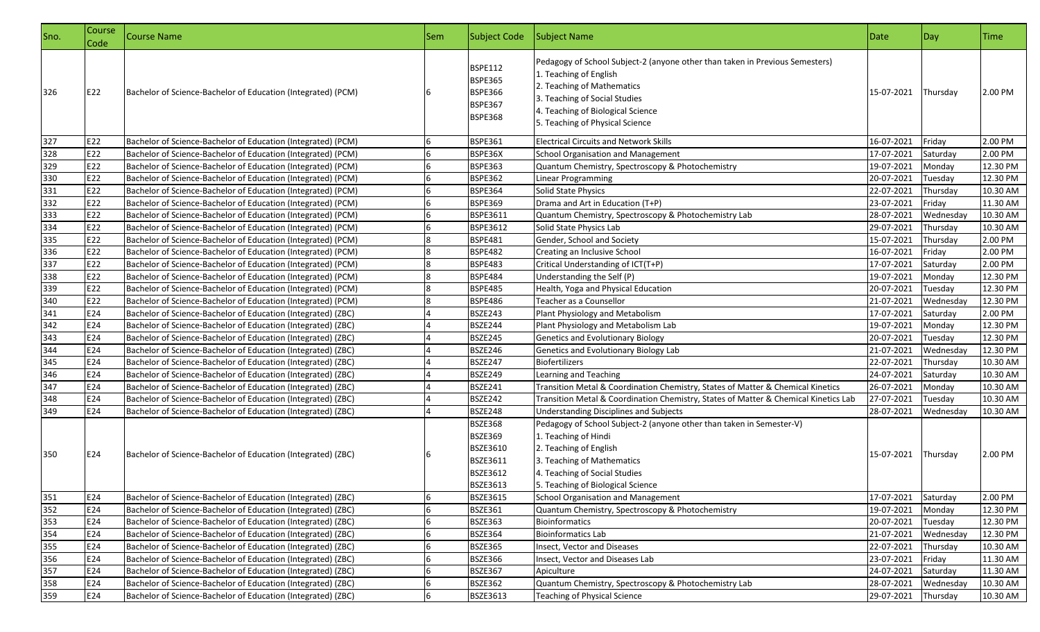| ISno. | Course<br>Code | Course Name                                                  | <b>Sem</b> | Subject Code                                                                           | Subject Name                                                                                                                                                                                                                                  | Date       | Day       | <b>Time</b> |
|-------|----------------|--------------------------------------------------------------|------------|----------------------------------------------------------------------------------------|-----------------------------------------------------------------------------------------------------------------------------------------------------------------------------------------------------------------------------------------------|------------|-----------|-------------|
| 326   | E22            | Bachelor of Science-Bachelor of Education (Integrated) (PCM) |            | <b>BSPE112</b><br><b>BSPE365</b><br><b>BSPE366</b><br><b>BSPE367</b><br><b>BSPE368</b> | Pedagogy of School Subject-2 (anyone other than taken in Previous Semesters)<br>1. Teaching of English<br>2. Teaching of Mathematics<br>3. Teaching of Social Studies<br>4. Teaching of Biological Science<br>5. Teaching of Physical Science | 15-07-2021 | Thursday  | 2.00 PM     |
| 327   | E22            | Bachelor of Science-Bachelor of Education (Integrated) (PCM) |            | <b>BSPE361</b>                                                                         | <b>Electrical Circuits and Network Skills</b>                                                                                                                                                                                                 | 16-07-2021 | Friday    | 2.00 PM     |
| 328   | E22            | Bachelor of Science-Bachelor of Education (Integrated) (PCM) |            | BSPE36X                                                                                | <b>School Organisation and Management</b>                                                                                                                                                                                                     | 17-07-2021 | Saturday  | 2.00 PM     |
| 329   | E22            | Bachelor of Science-Bachelor of Education (Integrated) (PCM) |            | <b>BSPE363</b>                                                                         | Quantum Chemistry, Spectroscopy & Photochemistry                                                                                                                                                                                              | 19-07-2021 | Monday    | 12.30 PM    |
| 330   | E22            | Bachelor of Science-Bachelor of Education (Integrated) (PCM) |            | <b>BSPE362</b>                                                                         | Linear Programming                                                                                                                                                                                                                            | 20-07-2021 | Tuesday   | 12.30 PM    |
| 331   | E22            | Bachelor of Science-Bachelor of Education (Integrated) (PCM) |            | <b>BSPE364</b>                                                                         | Solid State Physics                                                                                                                                                                                                                           | 22-07-2021 | Thursday  | 10.30 AM    |
| 332   | E22            | Bachelor of Science-Bachelor of Education (Integrated) (PCM) |            | <b>BSPE369</b>                                                                         | Drama and Art in Education (T+P)                                                                                                                                                                                                              | 23-07-2021 | Friday    | 11.30 AM    |
| 333   | E22            | Bachelor of Science-Bachelor of Education (Integrated) (PCM) |            | <b>BSPE3611</b>                                                                        | Quantum Chemistry, Spectroscopy & Photochemistry Lab                                                                                                                                                                                          | 28-07-2021 | Wednesday | 10.30 AM    |
| 334   | E22            | Bachelor of Science-Bachelor of Education (Integrated) (PCM) |            | <b>BSPE3612</b>                                                                        | Solid State Physics Lab                                                                                                                                                                                                                       | 29-07-2021 | Thursday  | 10.30 AM    |
| 335   | E22            | Bachelor of Science-Bachelor of Education (Integrated) (PCM) |            | <b>BSPE481</b>                                                                         | Gender, School and Society                                                                                                                                                                                                                    | 15-07-2021 | Thursday  | 2.00 PM     |
| 336   | E22            | Bachelor of Science-Bachelor of Education (Integrated) (PCM) |            | <b>BSPE482</b>                                                                         | Creating an Inclusive School                                                                                                                                                                                                                  | 16-07-2021 | Friday    | 2.00 PM     |
| 337   | E22            | Bachelor of Science-Bachelor of Education (Integrated) (PCM) |            | <b>BSPE483</b>                                                                         | Critical Understanding of ICT(T+P)                                                                                                                                                                                                            | 17-07-2021 | Saturday  | 2.00 PM     |
| 338   | E22            | Bachelor of Science-Bachelor of Education (Integrated) (PCM) |            | <b>BSPE484</b>                                                                         | Understanding the Self (P)                                                                                                                                                                                                                    | 19-07-2021 | Monday    | 12.30 PM    |
| 339   | E22            | Bachelor of Science-Bachelor of Education (Integrated) (PCM) |            | <b>BSPE485</b>                                                                         | Health, Yoga and Physical Education                                                                                                                                                                                                           | 20-07-2021 | Tuesday   | 12.30 PM    |
| 340   | E22            | Bachelor of Science-Bachelor of Education (Integrated) (PCM) |            | <b>BSPE486</b>                                                                         | Teacher as a Counsellor                                                                                                                                                                                                                       | 21-07-2021 | Wednesday | 12.30 PM    |
| 341   | E24            | Bachelor of Science-Bachelor of Education (Integrated) (ZBC) |            | <b>BSZE243</b>                                                                         | Plant Physiology and Metabolism                                                                                                                                                                                                               | 17-07-2021 | Saturday  | 2.00 PM     |
| 342   | E24            | Bachelor of Science-Bachelor of Education (Integrated) (ZBC) |            | <b>BSZE244</b>                                                                         | Plant Physiology and Metabolism Lab                                                                                                                                                                                                           | 19-07-2021 | Monday    | 12.30 PM    |
| 343   | E24            | Bachelor of Science-Bachelor of Education (Integrated) (ZBC) |            | <b>BSZE245</b>                                                                         | <b>Genetics and Evolutionary Biology</b>                                                                                                                                                                                                      | 20-07-2021 | Tuesday   | 12.30 PM    |
| 344   | E24            | Bachelor of Science-Bachelor of Education (Integrated) (ZBC) |            | <b>BSZE246</b>                                                                         | Genetics and Evolutionary Biology Lab                                                                                                                                                                                                         | 21-07-2021 | Wednesday | 12.30 PM    |
| 345   | E24            | Bachelor of Science-Bachelor of Education (Integrated) (ZBC) |            | <b>BSZE247</b>                                                                         | <b>Biofertilizers</b>                                                                                                                                                                                                                         | 22-07-2021 | Thursday  | 10.30 AM    |
| 346   | E24            | Bachelor of Science-Bachelor of Education (Integrated) (ZBC) |            | <b>BSZE249</b>                                                                         | Learning and Teaching                                                                                                                                                                                                                         | 24-07-2021 | Saturday  | 10.30 AM    |
| 347   | E24            | Bachelor of Science-Bachelor of Education (Integrated) (ZBC) |            | <b>BSZE241</b>                                                                         | Transition Metal & Coordination Chemistry, States of Matter & Chemical Kinetics                                                                                                                                                               | 26-07-2021 | Monday    | 10.30 AM    |
| 348   | E24            | Bachelor of Science-Bachelor of Education (Integrated) (ZBC) |            | <b>BSZE242</b>                                                                         | Transition Metal & Coordination Chemistry, States of Matter & Chemical Kinetics Lab                                                                                                                                                           | 27-07-2021 | Tuesday   | 10.30 AM    |
| 349   | E24            | Bachelor of Science-Bachelor of Education (Integrated) (ZBC) |            | <b>BSZE248</b>                                                                         | <b>Understanding Disciplines and Subjects</b>                                                                                                                                                                                                 | 28-07-2021 | Wednesday | 10.30 AM    |
|       |                |                                                              |            | <b>BSZE368</b>                                                                         | Pedagogy of School Subject-2 (anyone other than taken in Semester-V)                                                                                                                                                                          |            |           |             |
|       |                |                                                              |            | <b>BSZE369</b>                                                                         | 1. Teaching of Hindi                                                                                                                                                                                                                          |            |           |             |
|       |                |                                                              |            | <b>BSZE3610</b>                                                                        | 2. Teaching of English                                                                                                                                                                                                                        |            |           |             |
| 350   | E24            | Bachelor of Science-Bachelor of Education (Integrated) (ZBC) |            | BSZE3611                                                                               | 3. Teaching of Mathematics                                                                                                                                                                                                                    | 15-07-2021 | Thursday  | 2.00 PM     |
|       |                |                                                              |            | BSZE3612                                                                               | 4. Teaching of Social Studies                                                                                                                                                                                                                 |            |           |             |
|       |                |                                                              |            | BSZE3613                                                                               | 5. Teaching of Biological Science                                                                                                                                                                                                             |            |           |             |
| 351   | E24            | Bachelor of Science-Bachelor of Education (Integrated) (ZBC) |            | <b>BSZE3615</b>                                                                        | <b>School Organisation and Management</b>                                                                                                                                                                                                     | 17-07-2021 | Saturday  | 2.00 PM     |
| 352   | E24            | Bachelor of Science-Bachelor of Education (Integrated) (ZBC) |            | <b>BSZE361</b>                                                                         | Quantum Chemistry, Spectroscopy & Photochemistry                                                                                                                                                                                              | 19-07-2021 | Monday    | 12.30 PM    |
| 353   | E24            | Bachelor of Science-Bachelor of Education (Integrated) (ZBC) |            | <b>BSZE363</b>                                                                         | Bioinformatics                                                                                                                                                                                                                                | 20-07-2021 | Tuesday   | 12.30 PM    |
| 354   | E24            | Bachelor of Science-Bachelor of Education (Integrated) (ZBC) |            | <b>BSZE364</b>                                                                         | <b>Bioinformatics Lab</b>                                                                                                                                                                                                                     | 21-07-2021 | Wednesday | 12.30 PM    |
| 355   | E24            | Bachelor of Science-Bachelor of Education (Integrated) (ZBC) |            | <b>BSZE365</b>                                                                         | Insect, Vector and Diseases                                                                                                                                                                                                                   | 22-07-2021 | Thursday  | 10.30 AM    |
| 356   | E24            | Bachelor of Science-Bachelor of Education (Integrated) (ZBC) |            | <b>BSZE366</b>                                                                         | Insect, Vector and Diseases Lab                                                                                                                                                                                                               | 23-07-2021 | Friday    | 11.30 AM    |
| 357   | E24            | Bachelor of Science-Bachelor of Education (Integrated) (ZBC) |            | <b>BSZE367</b>                                                                         | Apiculture                                                                                                                                                                                                                                    | 24-07-2021 | Saturday  | 11.30 AM    |
| 358   | E24            | Bachelor of Science-Bachelor of Education (Integrated) (ZBC) |            | <b>BSZE362</b>                                                                         | Quantum Chemistry, Spectroscopy & Photochemistry Lab                                                                                                                                                                                          | 28-07-2021 | Wednesday | 10.30 AM    |
| 359   | E24            | Bachelor of Science-Bachelor of Education (Integrated) (ZBC) | 6          | <b>BSZE3613</b>                                                                        | <b>Teaching of Physical Science</b>                                                                                                                                                                                                           | 29-07-2021 | Thursday  | 10.30 AM    |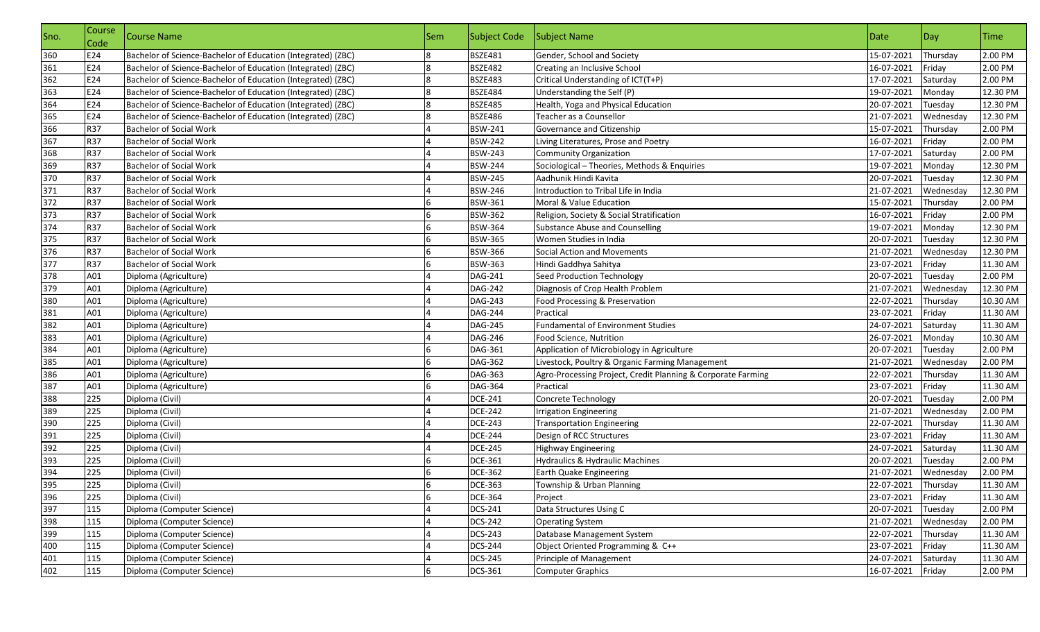| Sno. | <b>Course</b><br>Code | Course Name                                                  | Sem | Subject Code Subject Name |                                                              | Date       | Day       | <b>Time</b> |
|------|-----------------------|--------------------------------------------------------------|-----|---------------------------|--------------------------------------------------------------|------------|-----------|-------------|
| 360  | E24                   | Bachelor of Science-Bachelor of Education (Integrated) (ZBC) |     | <b>BSZE481</b>            | Gender, School and Society                                   | 15-07-2021 | Thursday  | 2.00 PM     |
| 361  | E24                   | Bachelor of Science-Bachelor of Education (Integrated) (ZBC) |     | <b>BSZE482</b>            | Creating an Inclusive School                                 | 16-07-2021 | Friday    | 2.00 PM     |
| 362  | E24                   | Bachelor of Science-Bachelor of Education (Integrated) (ZBC) |     | <b>BSZE483</b>            | Critical Understanding of ICT(T+P)                           | 17-07-2021 | Saturday  | 2.00 PM     |
| 363  | E24                   | Bachelor of Science-Bachelor of Education (Integrated) (ZBC) |     | <b>BSZE484</b>            | Understanding the Self (P)                                   | 19-07-2021 | Monday    | 12.30 PM    |
| 364  | E24                   | Bachelor of Science-Bachelor of Education (Integrated) (ZBC) |     | <b>BSZE485</b>            | Health, Yoga and Physical Education                          | 20-07-2021 | Tuesday   | 12.30 PM    |
| 365  | E24                   | Bachelor of Science-Bachelor of Education (Integrated) (ZBC) |     | <b>BSZE486</b>            | Teacher as a Counsellor                                      | 21-07-2021 | Wednesday | 12.30 PM    |
| 366  | R37                   | <b>Bachelor of Social Work</b>                               |     | <b>BSW-241</b>            | Governance and Citizenship                                   | 15-07-2021 | Thursday  | 2.00 PM     |
| 367  | R37                   | <b>Bachelor of Social Work</b>                               |     | <b>BSW-242</b>            | Living Literatures, Prose and Poetry                         | 16-07-2021 | Friday    | 2.00 PM     |
| 368  | R37                   | <b>Bachelor of Social Work</b>                               |     | <b>BSW-243</b>            | <b>Community Organization</b>                                | 17-07-2021 | Saturday  | 2.00 PM     |
| 369  | R37                   | <b>Bachelor of Social Work</b>                               |     | <b>BSW-244</b>            | Sociological - Theories, Methods & Enquiries                 | 19-07-2021 | Monday    | 12.30 PM    |
| 370  | R37                   | <b>Bachelor of Social Work</b>                               |     | <b>BSW-245</b>            | Aadhunik Hindi Kavita                                        | 20-07-2021 | Tuesday   | 12.30 PM    |
| 371  | R37                   | <b>Bachelor of Social Work</b>                               |     | <b>BSW-246</b>            | Introduction to Tribal Life in India                         | 21-07-2021 | Wednesday | 12.30 PM    |
| 372  | R37                   | <b>Bachelor of Social Work</b>                               |     | <b>BSW-361</b>            | Moral & Value Education                                      | 15-07-2021 | Thursday  | 2.00 PM     |
| 373  | R37                   | <b>Bachelor of Social Work</b>                               |     | <b>BSW-362</b>            | Religion, Society & Social Stratification                    | 16-07-2021 | Friday    | 2.00 PM     |
| 374  | R37                   | <b>Bachelor of Social Work</b>                               |     | <b>BSW-364</b>            | Substance Abuse and Counselling                              | 19-07-2021 | Monday    | 12.30 PM    |
| 375  | R37                   | <b>Bachelor of Social Work</b>                               |     | <b>BSW-365</b>            | Women Studies in India                                       | 20-07-2021 | Tuesday   | 12.30 PM    |
| 376  | R37                   | <b>Bachelor of Social Work</b>                               |     | <b>BSW-366</b>            | Social Action and Movements                                  | 21-07-2021 | Wednesday | 12.30 PM    |
| 377  | R37                   | <b>Bachelor of Social Work</b>                               |     | <b>BSW-363</b>            | Hindi Gaddhya Sahitya                                        | 23-07-2021 | Friday    | 11.30 AM    |
| 378  | A01                   | Diploma (Agriculture)                                        |     | <b>DAG-241</b>            | Seed Production Technology                                   | 20-07-2021 | Tuesday   | 2.00 PM     |
| 379  | A01                   | Diploma (Agriculture)                                        |     | <b>DAG-242</b>            | Diagnosis of Crop Health Problem                             | 21-07-2021 | Wednesday | 12.30 PM    |
| 380  | A01                   | Diploma (Agriculture)                                        |     | <b>DAG-243</b>            | Food Processing & Preservation                               | 22-07-2021 | Thursday  | 10.30 AM    |
| 381  | A01                   | Diploma (Agriculture)                                        |     | <b>DAG-244</b>            | Practical                                                    | 23-07-2021 | Friday    | 11.30 AM    |
| 382  | A01                   | Diploma (Agriculture)                                        |     | <b>DAG-245</b>            | Fundamental of Environment Studies                           | 24-07-2021 | Saturday  | 11.30 AM    |
| 383  | A01                   | Diploma (Agriculture)                                        |     | <b>DAG-246</b>            | Food Science, Nutrition                                      | 26-07-2021 | Monday    | 10.30 AM    |
| 384  | A01                   | Diploma (Agriculture)                                        |     | DAG-361                   | Application of Microbiology in Agriculture                   | 20-07-2021 | Tuesday   | 2.00 PM     |
| 385  | A01                   | Diploma (Agriculture)                                        |     | DAG-362                   | Livestock, Poultry & Organic Farming Management              | 21-07-2021 | Wednesday | 2.00 PM     |
| 386  | A01                   | Diploma (Agriculture)                                        |     | DAG-363                   | Agro-Processing Project, Credit Planning & Corporate Farming | 22-07-2021 | Thursday  | 11.30 AM    |
| 387  | A01                   | Diploma (Agriculture)                                        |     | <b>DAG-364</b>            | Practical                                                    | 23-07-2021 | Friday    | 11.30 AM    |
| 388  | 225                   | Diploma (Civil)                                              |     | <b>DCE-241</b>            | <b>Concrete Technology</b>                                   | 20-07-2021 | Tuesday   | 2.00 PM     |
| 389  | 225                   | Diploma (Civil)                                              |     | <b>DCE-242</b>            | <b>Irrigation Engineering</b>                                | 21-07-2021 | Wednesday | 2.00 PM     |
| 390  | 225                   | Diploma (Civil)                                              |     | <b>DCE-243</b>            | <b>Transportation Engineering</b>                            | 22-07-2021 | Thursday  | 11.30 AM    |
| 391  | 225                   | Diploma (Civil)                                              |     | <b>DCE-244</b>            | Design of RCC Structures                                     | 23-07-2021 | Friday    | 11.30 AM    |
| 392  | 225                   | Diploma (Civil)                                              |     | <b>DCE-245</b>            | <b>Highway Engineering</b>                                   | 24-07-2021 | Saturday  | 11.30 AM    |
| 393  | 225                   | Diploma (Civil)                                              |     | <b>DCE-361</b>            | <b>Hydraulics &amp; Hydraulic Machines</b>                   | 20-07-2021 | Tuesday   | 2.00 PM     |
| 394  | 225                   | Diploma (Civil)                                              |     | <b>DCE-362</b>            | Earth Quake Engineering                                      | 21-07-2021 | Wednesday | 2.00 PM     |
| 395  | 225                   | Diploma (Civil)                                              |     | <b>DCE-363</b>            | Township & Urban Planning                                    | 22-07-2021 | Thursday  | 11.30 AM    |
| 396  | 225                   | Diploma (Civil)                                              |     | <b>DCE-364</b>            | Project                                                      | 23-07-2021 | Friday    | 11.30 AM    |
| 397  | 115                   | Diploma (Computer Science)                                   |     | <b>DCS-241</b>            | Data Structures Using C                                      | 20-07-2021 | Tuesday   | 2.00 PM     |
| 398  | 115                   | Diploma (Computer Science)                                   |     | <b>DCS-242</b>            | <b>Operating System</b>                                      | 21-07-2021 | Wednesday | 2.00 PM     |
| 399  | 115                   | Diploma (Computer Science)                                   |     | <b>DCS-243</b>            | Database Management System                                   | 22-07-2021 | Thursday  | 11.30 AM    |
| 400  | 115                   | Diploma (Computer Science)                                   |     | <b>DCS-244</b>            | Object Oriented Programming & C++                            | 23-07-2021 | Friday    | 11.30 AM    |
| 401  | 115                   | Diploma (Computer Science)                                   |     | <b>DCS-245</b>            | Principle of Management                                      | 24-07-2021 | Saturday  | 11.30 AM    |
| 402  | 115                   | Diploma (Computer Science)                                   |     | DCS-361                   | <b>Computer Graphics</b>                                     | 16-07-2021 | Friday    | 2.00 PM     |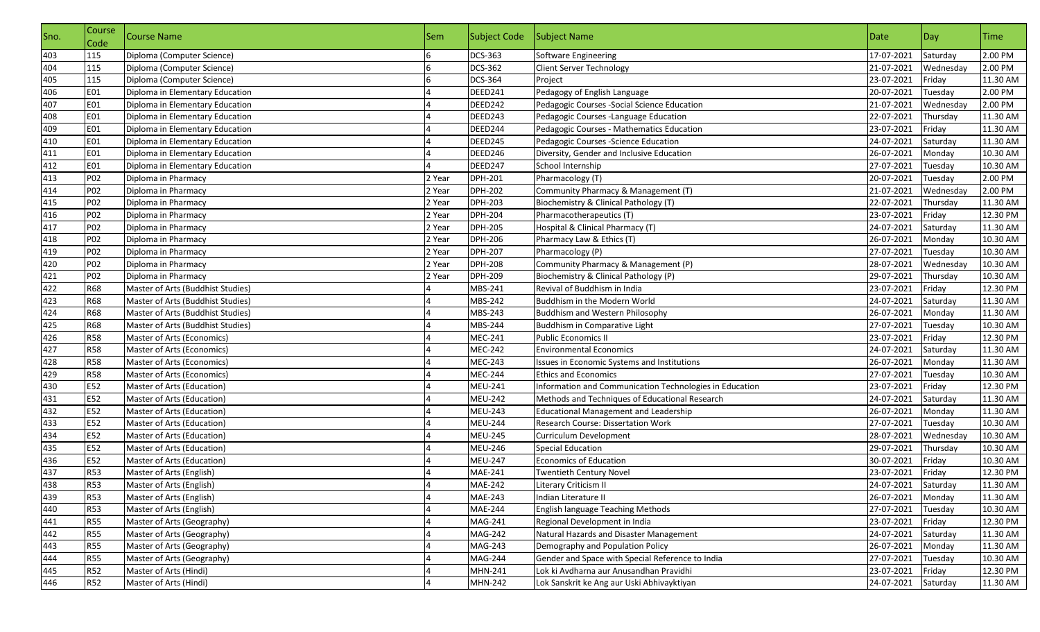| Sno. | <b>Course</b><br>Code | Course Name                       | Sem    | Subject Code                   | Subject Name                                            | Date       | Day       | <b>Time</b> |
|------|-----------------------|-----------------------------------|--------|--------------------------------|---------------------------------------------------------|------------|-----------|-------------|
| 403  | 115                   | Diploma (Computer Science)        |        | <b>DCS-363</b>                 | Software Engineering                                    | 17-07-2021 | Saturday  | 2.00 PM     |
| 404  | 115                   | Diploma (Computer Science)        |        | DCS-362                        | <b>Client Server Technology</b>                         | 21-07-2021 | Wednesday | 2.00 PM     |
| 405  | 115                   | Diploma (Computer Science)        |        | DCS-364                        | Project                                                 | 23-07-2021 | Friday    | 11.30 AM    |
| 406  | E01                   | Diploma in Elementary Education   |        | DEED241                        | Pedagogy of English Language                            | 20-07-2021 | Tuesday   | 2.00 PM     |
| 407  | E01                   | Diploma in Elementary Education   |        | DEED242                        | Pedagogic Courses - Social Science Education            | 21-07-2021 | Wednesday | 2.00 PM     |
| 408  | E01                   | Diploma in Elementary Education   |        | DEED243                        | Pedagogic Courses - Language Education                  | 22-07-2021 | Thursday  | 11.30 AM    |
| 409  | E01                   | Diploma in Elementary Education   |        | DEED244                        | Pedagogic Courses - Mathematics Education               | 23-07-2021 | Friday    | 11.30 AM    |
| 410  | E01                   | Diploma in Elementary Education   |        | DEED245                        | Pedagogic Courses - Science Education                   | 24-07-2021 | Saturday  | 11.30 AM    |
| 411  | E01                   | Diploma in Elementary Education   |        | DEED246                        | Diversity, Gender and Inclusive Education               | 26-07-2021 | Monday    | 10.30 AM    |
| 412  | E01                   | Diploma in Elementary Education   |        | DEED247                        | School Internship                                       | 27-07-2021 | Tuesday   | 10.30 AM    |
| 413  | P02                   | Diploma in Pharmacy               | 2 Year | DPH-201                        | Pharmacology (T)                                        | 20-07-2021 | Tuesday   | 2.00 PM     |
| 414  | P02                   | Diploma in Pharmacy               | 2 Year | <b>DPH-202</b>                 | Community Pharmacy & Management (T)                     | 21-07-2021 | Wednesday | 2.00 PM     |
| 415  | P02                   | Diploma in Pharmacy               | 2 Year | DPH-203                        | Biochemistry & Clinical Pathology (T)                   | 22-07-2021 | Thursday  | 11.30 AM    |
| 416  | P02                   | Diploma in Pharmacy               | 2 Year | <b>DPH-204</b>                 | Pharmacotherapeutics (T)                                | 23-07-2021 | Friday    | 12.30 PM    |
| 417  | P02                   | Diploma in Pharmacy               | 2 Year | <b>DPH-205</b>                 | Hospital & Clinical Pharmacy (T)                        | 24-07-2021 | Saturday  | 11.30 AM    |
| 418  | P02                   | Diploma in Pharmacy               | 2 Year | <b>DPH-206</b>                 | Pharmacy Law & Ethics (T)                               | 26-07-2021 | Monday    | 10.30 AM    |
| 419  | P02                   | Diploma in Pharmacy               | 2 Year | <b>DPH-207</b>                 | Pharmacology (P)                                        | 27-07-2021 | Tuesday   | 10.30 AM    |
| 420  | P <sub>02</sub>       | Diploma in Pharmacy               | 2 Year | <b>DPH-208</b>                 | Community Pharmacy & Management (P)                     | 28-07-2021 | Wednesday | 10.30 AM    |
| 421  | P02                   | Diploma in Pharmacy               | 2 Year | <b>DPH-209</b>                 | Biochemistry & Clinical Pathology (P)                   | 29-07-2021 | Thursday  | 10.30 AM    |
| 422  | <b>R68</b>            | Master of Arts (Buddhist Studies) |        | MBS-241                        | Revival of Buddhism in India                            | 23-07-2021 | Friday    | 12.30 PM    |
| 423  | <b>R68</b>            | Master of Arts (Buddhist Studies) |        | MBS-242                        | Buddhism in the Modern World                            | 24-07-2021 | Saturday  | 11.30 AM    |
| 424  | <b>R68</b>            | Master of Arts (Buddhist Studies) |        | MBS-243                        | Buddhism and Western Philosophy                         | 26-07-2021 | Monday    | 11.30 AM    |
| 425  | <b>R68</b>            | Master of Arts (Buddhist Studies) |        | MBS-244                        | Buddhism in Comparative Light                           | 27-07-2021 | Tuesday   | 10.30 AM    |
| 426  | <b>R58</b>            | Master of Arts (Economics)        |        | MEC-241                        | <b>Public Economics II</b>                              | 23-07-2021 | Friday    | 12.30 PM    |
| 427  | <b>R58</b>            | Master of Arts (Economics)        |        | <b>MEC-242</b>                 | <b>Environmental Economics</b>                          | 24-07-2021 | Saturday  | 11.30 AM    |
| 428  | <b>R58</b>            | Master of Arts (Economics)        |        | <b>MEC-243</b>                 | Issues in Economic Systems and Institutions             | 26-07-2021 | Monday    | 11.30 AM    |
| 429  | <b>R58</b>            | Master of Arts (Economics)        |        | <b>MEC-244</b>                 | <b>Ethics and Economics</b>                             | 27-07-2021 | Tuesday   | 10.30 AM    |
| 430  | E52                   | Master of Arts (Education)        |        | <b>MEU-241</b>                 | Information and Communication Technologies in Education | 23-07-2021 | Friday    | 12.30 PM    |
| 431  | E52                   | Master of Arts (Education)        |        | <b>MEU-242</b>                 | Methods and Techniques of Educational Research          | 24-07-2021 | Saturday  | 11.30 AM    |
| 432  | E52                   | Master of Arts (Education)        |        | <b>MEU-243</b>                 | <b>Educational Management and Leadership</b>            | 26-07-2021 | Monday    | 11.30 AM    |
| 433  | E52                   | Master of Arts (Education)        |        | <b>MEU-244</b>                 | Research Course: Dissertation Work                      | 27-07-2021 | Tuesday   | 10.30 AM    |
| 434  | E52                   | Master of Arts (Education)        |        | <b>MEU-245</b>                 | Curriculum Development                                  | 28-07-2021 | Wednesday | 10.30 AM    |
| 435  | E52                   | Master of Arts (Education)        |        | <b>MEU-246</b>                 | <b>Special Education</b>                                | 29-07-2021 | Thursday  | 10.30 AM    |
| 436  | E52                   | Master of Arts (Education)        |        | <b>MEU-247</b>                 | <b>Economics of Education</b>                           | 30-07-2021 | Friday    | 10.30 AM    |
| 437  | <b>R53</b>            | Master of Arts (English)          |        | <b>MAE-241</b>                 | <b>Twentieth Century Novel</b>                          | 23-07-2021 | Friday    | 12.30 PM    |
| 438  | <b>R53</b>            | Master of Arts (English)          |        | <b>MAE-242</b>                 | Literary Criticism II                                   | 24-07-2021 | Saturday  | 11.30 AM    |
| 439  | <b>R53</b>            | Master of Arts (English)          |        | $\overline{\mathsf{MAE}}$ -243 | Indian Literature II                                    | 26-07-2021 | Monday    | 11.30 AM    |
| 440  | <b>R53</b>            | Master of Arts (English)          |        | <b>MAE-244</b>                 | English language Teaching Methods                       | 27-07-2021 | Tuesday   | 10.30 AM    |
| 441  | <b>R55</b>            | Master of Arts (Geography)        |        | <b>MAG-241</b>                 | Regional Development in India                           | 23-07-2021 | Friday    | 12.30 PM    |
| 442  | <b>R55</b>            | Master of Arts (Geography)        |        | <b>MAG-242</b>                 | Natural Hazards and Disaster Management                 | 24-07-2021 | Saturday  | 11.30 AM    |
| 443  | <b>R55</b>            | Master of Arts (Geography)        |        | <b>MAG-243</b>                 | Demography and Population Policy                        | 26-07-2021 | Monday    | 11.30 AM    |
| 444  | <b>R55</b>            | Master of Arts (Geography)        |        | <b>MAG-244</b>                 | Gender and Space with Special Reference to India        | 27-07-2021 | Tuesday   | 10.30 AM    |
| 445  | <b>R52</b>            | Master of Arts (Hindi)            |        | MHN-241                        | Lok ki Avdharna aur Anusandhan Pravidhi                 | 23-07-2021 | Friday    | 12.30 PM    |
| 446  | <b>R52</b>            | Master of Arts (Hindi)            |        | <b>MHN-242</b>                 | Lok Sanskrit ke Ang aur Uski Abhivayktiyan              | 24-07-2021 | Saturday  | 11.30 AM    |
|      |                       |                                   |        |                                |                                                         |            |           |             |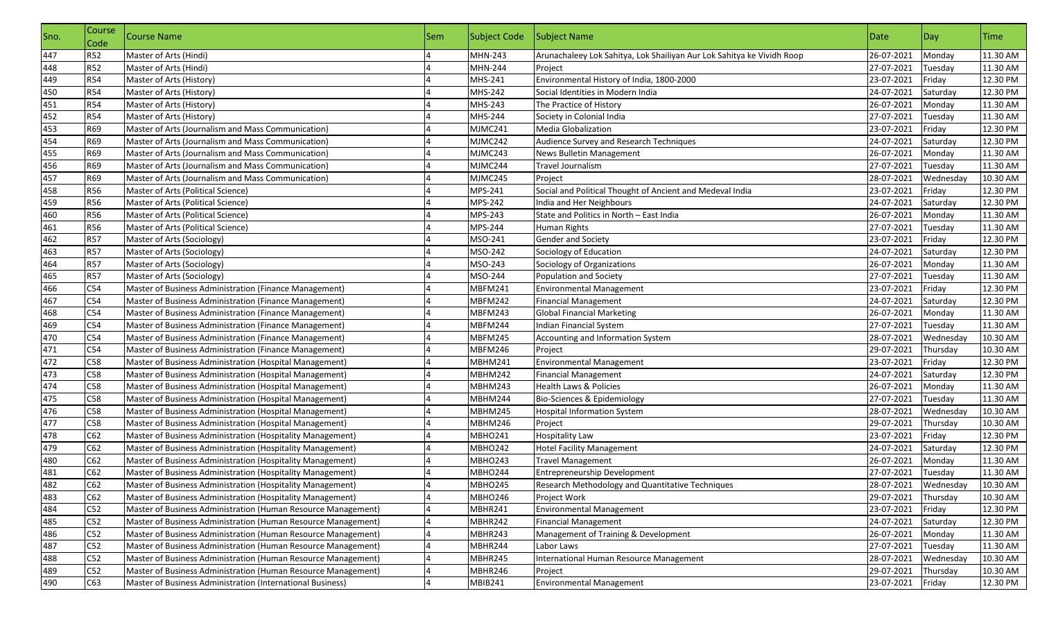| ISno. | Course<br>Code | Course Name                                                   | Sem | Subject Code   | Subject Name                                                           | Date       | Day       | Time     |
|-------|----------------|---------------------------------------------------------------|-----|----------------|------------------------------------------------------------------------|------------|-----------|----------|
| 447   | <b>R52</b>     | Master of Arts (Hindi)                                        |     | <b>MHN-243</b> | Arunachaleey Lok Sahitya, Lok Shailiyan Aur Lok Sahitya ke Vividh Roop | 26-07-2021 | Monday    | 11.30 AM |
| 448   | <b>R52</b>     | Master of Arts (Hindi)                                        |     | MHN-244        | Project                                                                | 27-07-2021 | Tuesday   | 11.30 AM |
| 449   | <b>R54</b>     | Master of Arts (History)                                      |     | MHS-241        | Environmental History of India, 1800-2000                              | 23-07-2021 | Friday    | 12.30 PM |
| 450   | <b>R54</b>     | Master of Arts (History)                                      |     | <b>MHS-242</b> | Social Identities in Modern India                                      | 24-07-2021 | Saturday  | 12.30 PM |
| 451   | <b>R54</b>     | Master of Arts (History)                                      |     | MHS-243        | The Practice of History                                                | 26-07-2021 | Monday    | 11.30 AM |
| 452   | <b>R54</b>     | Master of Arts (History)                                      |     | MHS-244        | Society in Colonial India                                              | 27-07-2021 | Tuesday   | 11.30 AM |
| 453   | R69            | Master of Arts (Journalism and Mass Communication)            |     | MJMC241        | <b>Media Globalization</b>                                             | 23-07-2021 | Friday    | 12.30 PM |
| 454   | R69            | Master of Arts (Journalism and Mass Communication)            |     | MJMC242        | Audience Survey and Research Techniques                                | 24-07-2021 | Saturday  | 12.30 PM |
| 455   | R69            | Master of Arts (Journalism and Mass Communication)            |     | MJMC243        | News Bulletin Management                                               | 26-07-2021 | Monday    | 11.30 AM |
| 456   | R69            | Master of Arts (Journalism and Mass Communication)            |     | MJMC244        | Travel Journalism                                                      | 27-07-2021 | Tuesday   | 11.30 AM |
| 457   | R69            | Master of Arts (Journalism and Mass Communication)            |     | MJMC245        | Project                                                                | 28-07-2021 | Wednesday | 10.30 AM |
| 458   | <b>R56</b>     | Master of Arts (Political Science)                            |     | MPS-241        | Social and Political Thought of Ancient and Medeval India              | 23-07-2021 | Friday    | 12.30 PM |
| 459   | <b>R56</b>     | Master of Arts (Political Science)                            |     | MPS-242        | India and Her Neighbours                                               | 24-07-2021 | Saturday  | 12.30 PM |
| 460   | <b>R56</b>     | Master of Arts (Political Science)                            |     | MPS-243        | State and Politics in North - East India                               | 26-07-2021 | Monday    | 11.30 AM |
| 461   | <b>R56</b>     | Master of Arts (Political Science)                            |     | MPS-244        | <b>Human Rights</b>                                                    | 27-07-2021 | Tuesday   | 11.30 AM |
| 462   | <b>R57</b>     | Master of Arts (Sociology)                                    |     | MSO-241        | Gender and Society                                                     | 23-07-2021 | Friday    | 12.30 PM |
| 463   | <b>R57</b>     | Master of Arts (Sociology)                                    |     | MSO-242        | Sociology of Education                                                 | 24-07-2021 | Saturday  | 12.30 PM |
| 464   | <b>R57</b>     | Master of Arts (Sociology)                                    |     | MSO-243        | Sociology of Organizations                                             | 26-07-2021 | Monday    | 11.30 AM |
| 465   | <b>R57</b>     | Master of Arts (Sociology)                                    |     | MSO-244        | Population and Society                                                 | 27-07-2021 | Tuesday   | 11.30 AM |
| 466   | C54            | Master of Business Administration (Finance Management)        |     | <b>MBFM241</b> | <b>Environmental Management</b>                                        | 23-07-2021 | Friday    | 12.30 PM |
| 467   | C54            | Master of Business Administration (Finance Management)        |     | <b>MBFM242</b> | <b>Financial Management</b>                                            | 24-07-2021 | Saturday  | 12.30 PM |
| 468   | C54            | Master of Business Administration (Finance Management)        |     | <b>MBFM243</b> | <b>Global Financial Marketing</b>                                      | 26-07-2021 | Monday    | 11.30 AM |
| 469   | C54            | Master of Business Administration (Finance Management)        |     | MBFM244        | Indian Financial System                                                | 27-07-2021 | Tuesday   | 11.30 AM |
| 470   | C54            | Master of Business Administration (Finance Management)        |     | MBFM245        | Accounting and Information System                                      | 28-07-2021 | Wednesday | 10.30 AM |
| 471   | C54            | Master of Business Administration (Finance Management)        |     | MBFM246        | Project                                                                | 29-07-2021 | Thursday  | 10.30 AM |
| 472   | C58            | Master of Business Administration (Hospital Management)       |     | MBHM241        | <b>Environmental Management</b>                                        | 23-07-2021 | Friday    | 12.30 PM |
| 473   | C58            | Master of Business Administration (Hospital Management)       |     | MBHM242        | <b>Financial Management</b>                                            | 24-07-2021 | Saturday  | 12.30 PM |
| 474   | C58            | Master of Business Administration (Hospital Management)       |     | MBHM243        | <b>Health Laws &amp; Policies</b>                                      | 26-07-2021 | Monday    | 11.30 AM |
| 475   | C58            | Master of Business Administration (Hospital Management)       |     | MBHM244        | Bio-Sciences & Epidemiology                                            | 27-07-2021 | Tuesday   | 11.30 AM |
| 476   | C58            | Master of Business Administration (Hospital Management)       |     | MBHM245        | <b>Hospital Information System</b>                                     | 28-07-2021 | Wednesday | 10.30 AM |
| 477   | C58            | Master of Business Administration (Hospital Management)       |     | MBHM246        | Project                                                                | 29-07-2021 | Thursday  | 10.30 AM |
| 478   | C62            | Master of Business Administration (Hospitality Management)    |     | <b>MBHO241</b> | <b>Hospitality Law</b>                                                 | 23-07-2021 | Friday    | 12.30 PM |
| 479   | C62            | Master of Business Administration (Hospitality Management)    |     | <b>MBHO242</b> | <b>Hotel Facility Management</b>                                       | 24-07-2021 | Saturday  | 12.30 PM |
| 480   | C62            | Master of Business Administration (Hospitality Management)    |     | <b>MBHO243</b> | <b>Travel Management</b>                                               | 26-07-2021 | Monday    | 11.30 AM |
| 481   | C62            | Master of Business Administration (Hospitality Management)    |     | MBHO244        | <b>Entrepreneurship Development</b>                                    | 27-07-2021 | Tuesday   | 11.30 AM |
| 482   | C62            | Master of Business Administration (Hospitality Management)    |     | MBHO245        | Research Methodology and Quantitative Techniques                       | 28-07-2021 | Wednesday | 10.30 AM |
| 483   | C62            | Master of Business Administration (Hospitality Management)    |     | <b>MBHO246</b> | Project Work                                                           | 29-07-2021 | Thursday  | 10.30 AM |
| 484   | C52            | Master of Business Administration (Human Resource Management) |     | MBHR241        | Environmental Management                                               | 23-07-2021 | Friday    | 12.30 PM |
| 485   | C52            | Master of Business Administration (Human Resource Management) |     | MBHR242        | <b>Financial Management</b>                                            | 24-07-2021 | Saturday  | 12.30 PM |
| 486   | C52            | Master of Business Administration (Human Resource Management) |     | MBHR243        | Management of Training & Development                                   | 26-07-2021 | Monday    | 11.30 AM |
| 487   | C52            | Master of Business Administration (Human Resource Management) |     | MBHR244        | Labor Laws                                                             | 27-07-2021 | Tuesday   | 11.30 AM |
| 488   | C52            | Master of Business Administration (Human Resource Management) |     | MBHR245        | International Human Resource Management                                | 28-07-2021 | Wednesday | 10.30 AM |
| 489   | C52            | Master of Business Administration (Human Resource Management) |     | MBHR246        | Project                                                                | 29-07-2021 | Thursday  | 10.30 AM |
| 490   | C63            | Master of Business Administration (International Business)    |     | MBIB241        | <b>Environmental Management</b>                                        | 23-07-2021 | Friday    | 12.30 PM |
|       |                |                                                               |     |                |                                                                        |            |           |          |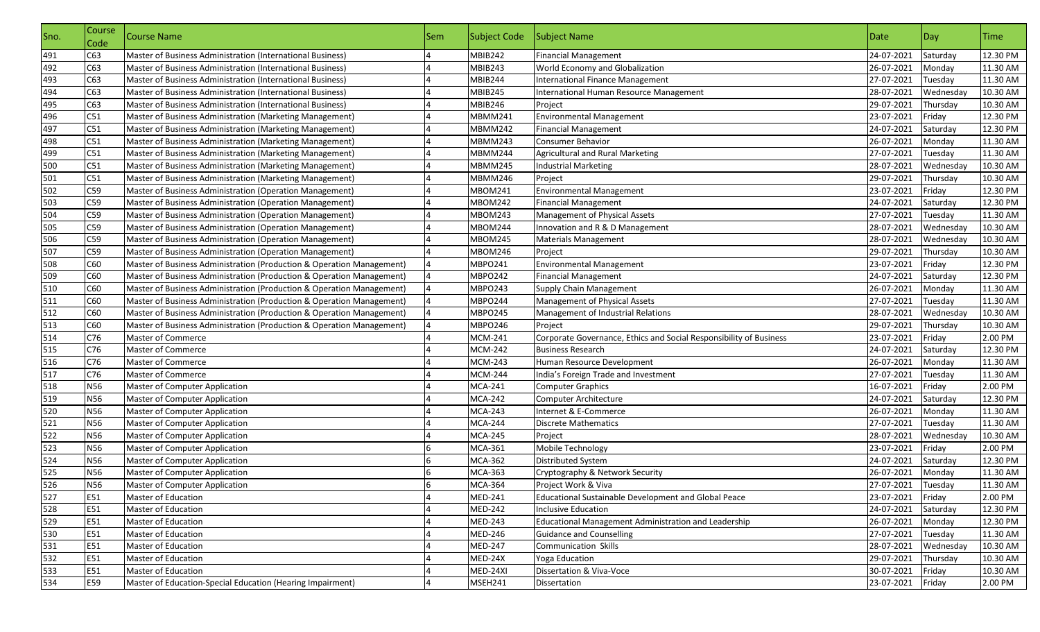| ISno. | Course<br>Code | Course Name                                                           | Sem | Subject Code          | Subject Name                                                       | Date       | Day       | <b>Time</b> |
|-------|----------------|-----------------------------------------------------------------------|-----|-----------------------|--------------------------------------------------------------------|------------|-----------|-------------|
| 491   | C63            | Master of Business Administration (International Business)            |     | MBIB242               | <b>Financial Management</b>                                        | 24-07-2021 | Saturday  | 12.30 PM    |
| 492   | C63            | Master of Business Administration (International Business)            |     | MBIB243               | World Economy and Globalization                                    | 26-07-2021 | Monday    | 11.30 AM    |
| 493   | C63            | Master of Business Administration (International Business)            |     | MBIB244               | <b>International Finance Management</b>                            | 27-07-2021 | Tuesday   | 11.30 AM    |
| 494   | C63            | Master of Business Administration (International Business)            |     | MBIB245               | International Human Resource Management                            | 28-07-2021 | Wednesday | 10.30 AM    |
| 495   | C63            | Master of Business Administration (International Business)            |     | MBIB246               | Project                                                            | 29-07-2021 | Thursday  | 10.30 AM    |
| 496   | C51            | Master of Business Administration (Marketing Management)              |     | <b>MBMM241</b>        | <b>Environmental Management</b>                                    | 23-07-2021 | Friday    | 12.30 PM    |
| 497   | C51            | Master of Business Administration (Marketing Management)              |     | MBMM242               | <b>Financial Management</b>                                        | 24-07-2021 | Saturday  | 12.30 PM    |
| 498   | C51            | Master of Business Administration (Marketing Management)              |     | MBMM243               | Consumer Behavior                                                  | 26-07-2021 | Monday    | 11.30 AM    |
| 499   | C51            | Master of Business Administration (Marketing Management)              |     | MBMM244               | Agricultural and Rural Marketing                                   | 27-07-2021 | Tuesday   | 11.30 AM    |
| 500   | C51            | Master of Business Administration (Marketing Management)              |     | <b>MBMM245</b>        | <b>Industrial Marketing</b>                                        | 28-07-2021 | Wednesday | 10.30 AM    |
| 501   | C51            | Master of Business Administration (Marketing Management)              |     | <b>MBMM246</b>        | Project                                                            | 29-07-2021 | Thursday  | 10.30 AM    |
| 502   | C59            | Master of Business Administration (Operation Management)              |     | MBOM241               | <b>Environmental Management</b>                                    | 23-07-2021 | Friday    | 12.30 PM    |
| 503   | C59            | Master of Business Administration (Operation Management)              |     | <b>MBOM242</b>        | <b>Financial Management</b>                                        | 24-07-2021 | Saturday  | 12.30 PM    |
| 504   | C59            | Master of Business Administration (Operation Management)              |     | MBOM243               | Management of Physical Assets                                      | 27-07-2021 | Tuesday   | 11.30 AM    |
| 505   | C59            | Master of Business Administration (Operation Management)              |     | MBOM244               | Innovation and R & D Management                                    | 28-07-2021 | Wednesday | 10.30 AM    |
| 506   | C59            | Master of Business Administration (Operation Management)              |     | <b>MBOM245</b>        | <b>Materials Management</b>                                        | 28-07-2021 | Wednesday | 10.30 AM    |
| 507   | C59            | Master of Business Administration (Operation Management)              |     | MBOM246               | Project                                                            | 29-07-2021 | Thursday  | 10.30 AM    |
| 508   | C60            | Master of Business Administration (Production & Operation Management) |     | MBPO241               | <b>Environmental Management</b>                                    | 23-07-2021 | Friday    | 12.30 PM    |
| 509   | C60            | Master of Business Administration (Production & Operation Management) |     | <b>MBPO242</b>        | <b>Financial Management</b>                                        | 24-07-2021 | Saturday  | 12.30 PM    |
| 510   | C60            | Master of Business Administration (Production & Operation Management) |     | MBPO243               | <b>Supply Chain Management</b>                                     | 26-07-2021 | Monday    | 11.30 AM    |
| 511   | C60            | Master of Business Administration (Production & Operation Management) |     | MBPO244               | Management of Physical Assets                                      | 27-07-2021 | Tuesday   | 11.30 AM    |
| 512   | C60            | Master of Business Administration (Production & Operation Management) |     | <b>MBPO245</b>        | Management of Industrial Relations                                 | 28-07-2021 | Wednesday | 10.30 AM    |
| 513   | C60            | Master of Business Administration (Production & Operation Management) |     | <b>MBPO246</b>        | Project                                                            | 29-07-2021 | Thursday  | 10.30 AM    |
| 514   | C76            | <b>Master of Commerce</b>                                             |     | <b>MCM-241</b>        | Corporate Governance, Ethics and Social Responsibility of Business | 23-07-2021 | Friday    | 2.00 PM     |
| 515   | C76            | Master of Commerce                                                    |     | <b>MCM-242</b>        | <b>Business Research</b>                                           | 24-07-2021 | Saturday  | 12.30 PM    |
| 516   | C76            | Master of Commerce                                                    |     | <b>MCM-243</b>        | Human Resource Development                                         | 26-07-2021 | Monday    | 11.30 AM    |
| 517   | C76            | <b>Master of Commerce</b>                                             |     | <b>MCM-244</b>        | India's Foreign Trade and Investment                               | 27-07-2021 | Tuesday   | 11.30 AM    |
| 518   | N56            | Master of Computer Application                                        |     | <b>MCA-241</b>        | <b>Computer Graphics</b>                                           | 16-07-2021 | Friday    | 2.00 PM     |
| 519   | N56            | Master of Computer Application                                        |     | <b>MCA-242</b>        | Computer Architecture                                              | 24-07-2021 | Saturday  | 12.30 PM    |
| 520   | N56            | Master of Computer Application                                        |     | <b>MCA-243</b>        | Internet & E-Commerce                                              | 26-07-2021 | Monday    | 11.30 AM    |
| 521   | N56            | Master of Computer Application                                        |     | <b>MCA-244</b>        | <b>Discrete Mathematics</b>                                        | 27-07-2021 | Tuesday   | 11.30 AM    |
| 522   | <b>N56</b>     | Master of Computer Application                                        |     | <b>MCA-245</b>        | Project                                                            | 28-07-2021 | Wednesday | 10.30 AM    |
| 523   | N56            | Master of Computer Application                                        |     | <b>MCA-361</b>        | Mobile Technology                                                  | 23-07-2021 | Friday    | 2.00 PM     |
| 524   | N56            | Master of Computer Application                                        |     | <b>MCA-362</b>        | <b>Distributed System</b>                                          | 24-07-2021 | Saturday  | 12.30 PM    |
| 525   | N56            | Master of Computer Application                                        |     | <b>MCA-363</b>        | Cryptography & Network Security                                    | 26-07-2021 | Monday    | 11.30 AM    |
| 526   | N56            | Master of Computer Application                                        |     | $\overline{M}$ CA-364 | Project Work & Viva                                                | 27-07-2021 | Tuesday   | 11.30 AM    |
| 527   | E51            | Master of Education                                                   |     | <b>MED-241</b>        | Educational Sustainable Development and Global Peace               | 23-07-2021 | Friday    | 2.00 PM     |
| 528   | E51            | Master of Education                                                   |     | <b>MED-242</b>        | <b>Inclusive Education</b>                                         | 24-07-2021 | Saturday  | 12.30 PM    |
| 529   | E51            | Master of Education                                                   |     | <b>MED-243</b>        | Educational Management Administration and Leadership               | 26-07-2021 | Monday    | 12.30 PM    |
| 530   | E51            | Master of Education                                                   |     | <b>MED-246</b>        | <b>Guidance and Counselling</b>                                    | 27-07-2021 | Tuesday   | 11.30 AM    |
| 531   | E51            | Master of Education                                                   |     | <b>MED-247</b>        | Communication Skills                                               | 28-07-2021 | Wednesday | 10.30 AM    |
| 532   | E51            | Master of Education                                                   |     | MED-24X               | <b>Yoga Education</b>                                              | 29-07-2021 | Thursday  | 10.30 AM    |
| 533   | E51            | Master of Education                                                   |     | MED-24XI              | Dissertation & Viva-Voce                                           | 30-07-2021 | Friday    | 10.30 AM    |
| 534   | E59            | Master of Education-Special Education (Hearing Impairment)            |     | MSEH241               | Dissertation                                                       | 23-07-2021 | Friday    | 2.00 PM     |
|       |                |                                                                       |     |                       |                                                                    |            |           |             |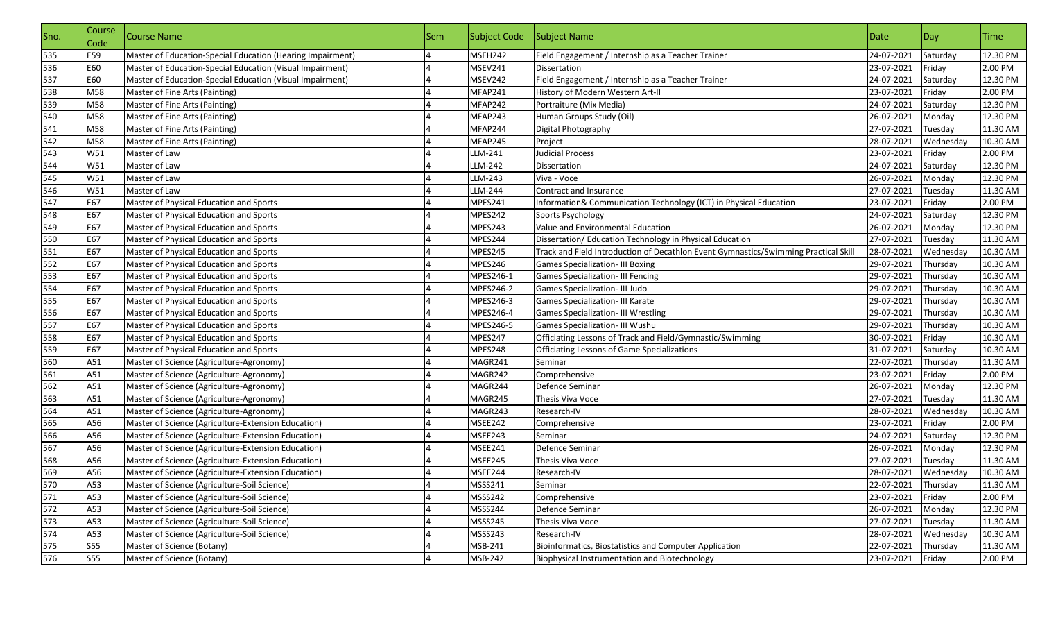| Sno. | Course<br>Code | Course Name                                                | Sem | Subject Code   | Subject Name                                                                        | Date       | Day       | Time     |
|------|----------------|------------------------------------------------------------|-----|----------------|-------------------------------------------------------------------------------------|------------|-----------|----------|
| 535  | E59            | Master of Education-Special Education (Hearing Impairment) |     | MSEH242        | Field Engagement / Internship as a Teacher Trainer                                  | 24-07-2021 | Saturday  | 12.30 PM |
| 536  | E60            | Master of Education-Special Education (Visual Impairment)  |     | MSEV241        | Dissertation                                                                        | 23-07-2021 | Friday    | 2.00 PM  |
| 537  | E60            | Master of Education-Special Education (Visual Impairment)  |     | MSEV242        | Field Engagement / Internship as a Teacher Trainer                                  | 24-07-2021 | Saturday  | 12.30 PM |
| 538  | M58            | Master of Fine Arts (Painting)                             |     | MFAP241        | History of Modern Western Art-II                                                    | 23-07-2021 | Friday    | 2.00 PM  |
| 539  | M58            | Master of Fine Arts (Painting)                             |     | MFAP242        | Portraiture (Mix Media)                                                             | 24-07-2021 | Saturday  | 12.30 PM |
| 540  | M58            | Master of Fine Arts (Painting)                             |     | MFAP243        | Human Groups Study (Oil)                                                            | 26-07-2021 | Monday    | 12.30 PM |
| 541  | M58            | Master of Fine Arts (Painting)                             |     | MFAP244        | Digital Photography                                                                 | 27-07-2021 | Tuesday   | 11.30 AM |
| 542  | M58            | Master of Fine Arts (Painting)                             |     | <b>MFAP245</b> | Project                                                                             | 28-07-2021 | Wednesday | 10.30 AM |
| 543  | W51            | Master of Law                                              |     | LLM-241        | Judicial Process                                                                    | 23-07-2021 | Friday    | 2.00 PM  |
| 544  | W51            | Master of Law                                              |     | LLM-242        | Dissertation                                                                        | 24-07-2021 | Saturday  | 12.30 PM |
| 545  | W51            | Master of Law                                              |     | LLM-243        | Viva - Voce                                                                         | 26-07-2021 | Monday    | 12.30 PM |
| 546  | W51            | Master of Law                                              |     | LLM-244        | Contract and Insurance                                                              | 27-07-2021 | Tuesday   | 11.30 AM |
| 547  | E67            | Master of Physical Education and Sports                    |     | MPES241        | Information& Communication Technology (ICT) in Physical Education                   | 23-07-2021 | Friday    | 2.00 PM  |
| 548  | E67            | Master of Physical Education and Sports                    |     | MPES242        | Sports Psychology                                                                   | 24-07-2021 | Saturday  | 12.30 PM |
| 549  | E67            | Master of Physical Education and Sports                    |     | MPES243        | Value and Environmental Education                                                   | 26-07-2021 | Monday    | 12.30 PM |
| 550  | E67            | Master of Physical Education and Sports                    |     | MPES244        | Dissertation/ Education Technology in Physical Education                            | 27-07-2021 | Tuesday   | 11.30 AM |
| 551  | E67            | Master of Physical Education and Sports                    |     | MPES245        | Track and Field Introduction of Decathlon Event Gymnastics/Swimming Practical Skill | 28-07-2021 | Wednesday | 10.30 AM |
| 552  | E67            | Master of Physical Education and Sports                    |     | MPES246        | <b>Games Specialization- III Boxing</b>                                             | 29-07-2021 | Thursday  | 10.30 AM |
| 553  | E67            | Master of Physical Education and Sports                    |     | MPES246-1      | <b>Games Specialization- III Fencing</b>                                            | 29-07-2021 | Thursday  | 10.30 AM |
| 554  | E67            | Master of Physical Education and Sports                    |     | MPES246-2      | Games Specialization- III Judo                                                      | 29-07-2021 | Thursday  | 10.30 AM |
| 555  | E67            | Master of Physical Education and Sports                    |     | MPES246-3      | Games Specialization- III Karate                                                    | 29-07-2021 | Thursday  | 10.30 AM |
| 556  | E67            | Master of Physical Education and Sports                    |     | MPES246-4      | <b>Games Specialization- III Wrestling</b>                                          | 29-07-2021 | Thursday  | 10.30 AM |
| 557  | E67            | Master of Physical Education and Sports                    |     | MPES246-5      | Games Specialization- III Wushu                                                     | 29-07-2021 | Thursday  | 10.30 AM |
| 558  | E67            | Master of Physical Education and Sports                    |     | MPES247        | Officiating Lessons of Track and Field/Gymnastic/Swimming                           | 30-07-2021 | Friday    | 10.30 AM |
| 559  | E67            | Master of Physical Education and Sports                    |     | MPES248        | Officiating Lessons of Game Specializations                                         | 31-07-2021 | Saturday  | 10.30 AM |
| 560  | A51            | Master of Science (Agriculture-Agronomy)                   |     | MAGR241        | Seminar                                                                             | 22-07-2021 | Thursday  | 11.30 AM |
| 561  | A51            | Master of Science (Agriculture-Agronomy)                   |     | MAGR242        | Comprehensive                                                                       | 23-07-2021 | Friday    | 2.00 PM  |
| 562  | A51            | Master of Science (Agriculture-Agronomy)                   |     | MAGR244        | Defence Seminar                                                                     | 26-07-2021 | Monday    | 12.30 PM |
| 563  | A51            | Master of Science (Agriculture-Agronomy)                   |     | MAGR245        | Thesis Viva Voce                                                                    | 27-07-2021 | Tuesday   | 11.30 AM |
| 564  | A51            | Master of Science (Agriculture-Agronomy)                   |     | MAGR243        | Research-IV                                                                         | 28-07-2021 | Wednesday | 10.30 AM |
| 565  | A56            | Master of Science (Agriculture-Extension Education)        |     | MSEE242        | Comprehensive                                                                       | 23-07-2021 | Friday    | 2.00 PM  |
| 566  | A56            | Master of Science (Agriculture-Extension Education)        |     | MSEE243        | Seminar                                                                             | 24-07-2021 | Saturday  | 12.30 PM |
| 567  | A56            | Master of Science (Agriculture-Extension Education)        |     | MSEE241        | Defence Seminar                                                                     | 26-07-2021 | Monday    | 12.30 PM |
| 568  | A56            | Master of Science (Agriculture-Extension Education)        |     | MSEE245        | Thesis Viva Voce                                                                    | 27-07-2021 | Tuesday   | 11.30 AM |
| 569  | A56            | Master of Science (Agriculture-Extension Education)        |     | MSEE244        | Research-IV                                                                         | 28-07-2021 | Wednesday | 10.30 AM |
| 570  | A53            | Master of Science (Agriculture-Soil Science)               |     | MSSS241        | Seminar                                                                             | 22-07-2021 | Thursday  | 11.30 AM |
| 571  | A53            | Master of Science (Agriculture-Soil Science)               |     | MSSS242        | Comprehensive                                                                       | 23-07-2021 | Friday    | 2.00 PM  |
| 572  | A53            | Master of Science (Agriculture-Soil Science)               |     | MSSS244        | Defence Seminar                                                                     | 26-07-2021 | Monday    | 12.30 PM |
| 573  | A53            | Master of Science (Agriculture-Soil Science)               |     | MSSS245        | Thesis Viva Voce                                                                    | 27-07-2021 | Tuesday   | 11.30 AM |
| 574  | A53            | Master of Science (Agriculture-Soil Science)               |     | MSSS243        | Research-IV                                                                         | 28-07-2021 | Wednesday | 10.30 AM |
| 575  | <b>S55</b>     | Master of Science (Botany)                                 |     | MSB-241        | Bioinformatics, Biostatistics and Computer Application                              | 22-07-2021 | Thursday  | 11.30 AM |
| 576  | <b>S55</b>     | Master of Science (Botany)                                 |     | MSB-242        | Biophysical Instrumentation and Biotechnology                                       | 23-07-2021 | Friday    | 2.00 PM  |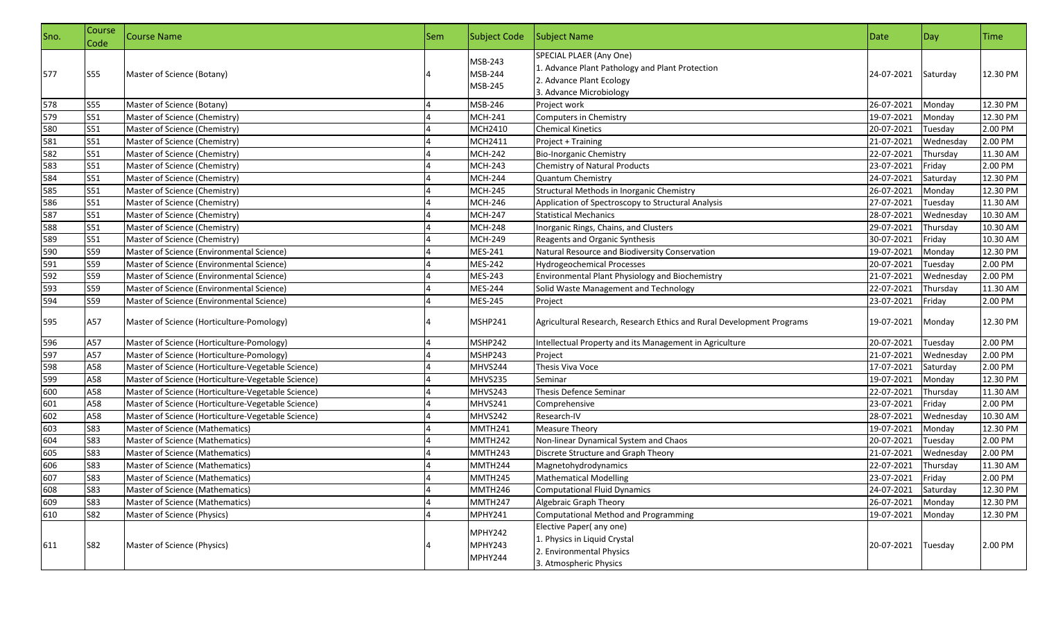| Sno. | Course<br>Code | <b>Course Name</b>                                 | Sem | Subject Code                  | Subject Name                                                                                                                      | Date       | Day       | Time     |
|------|----------------|----------------------------------------------------|-----|-------------------------------|-----------------------------------------------------------------------------------------------------------------------------------|------------|-----------|----------|
| 577  | S55            | Master of Science (Botany)                         |     | MSB-243<br>MSB-244<br>MSB-245 | SPECIAL PLAER (Any One)<br>1. Advance Plant Pathology and Plant Protection<br>2. Advance Plant Ecology<br>3. Advance Microbiology | 24-07-2021 | Saturday  | 12.30 PM |
| 578  | <b>S55</b>     | Master of Science (Botany)                         |     | MSB-246                       | Project work                                                                                                                      | 26-07-2021 | Monday    | 12.30 PM |
| 579  | S51            | Master of Science (Chemistry)                      |     | <b>MCH-241</b>                | Computers in Chemistry                                                                                                            | 19-07-2021 | Monday    | 12.30 PM |
| 580  | S51            | Master of Science (Chemistry)                      |     | MCH2410                       | <b>Chemical Kinetics</b>                                                                                                          | 20-07-2021 | Tuesday   | 2.00 PM  |
| 581  | S51            | Master of Science (Chemistry)                      |     | MCH2411                       | Project + Training                                                                                                                | 21-07-2021 | Wednesday | 2.00 PM  |
| 582  | S51            | Master of Science (Chemistry)                      |     | <b>MCH-242</b>                | <b>Bio-Inorganic Chemistry</b>                                                                                                    | 22-07-2021 | Thursday  | 11.30 AM |
| 583  | S51            | Master of Science (Chemistry)                      |     | <b>MCH-243</b>                | <b>Chemistry of Natural Products</b>                                                                                              | 23-07-2021 | Friday    | 2.00 PM  |
| 584  | S51            | Master of Science (Chemistry)                      |     | <b>MCH-244</b>                | Quantum Chemistry                                                                                                                 | 24-07-2021 | Saturday  | 12.30 PM |
| 585  | S51            | Master of Science (Chemistry)                      |     | <b>MCH-245</b>                | Structural Methods in Inorganic Chemistry                                                                                         | 26-07-2021 | Monday    | 12.30 PM |
| 586  | S51            | Master of Science (Chemistry)                      |     | <b>MCH-246</b>                | Application of Spectroscopy to Structural Analysis                                                                                | 27-07-2021 | Tuesday   | 11.30 AM |
| 587  | S51            | Master of Science (Chemistry)                      |     | <b>MCH-247</b>                | <b>Statistical Mechanics</b>                                                                                                      | 28-07-2021 | Wednesday | 10.30 AM |
| 588  | S51            | Master of Science (Chemistry)                      |     | <b>MCH-248</b>                | Inorganic Rings, Chains, and Clusters                                                                                             | 29-07-2021 | Thursday  | 10.30 AM |
| 589  | S51            | Master of Science (Chemistry)                      |     | <b>MCH-249</b>                | Reagents and Organic Synthesis                                                                                                    | 30-07-2021 | Friday    | 10.30 AM |
| 590  | S59            | Master of Science (Environmental Science)          |     | MES-241                       | Natural Resource and Biodiversity Conservation                                                                                    | 19-07-2021 | Monday    | 12.30 PM |
| 591  | S59            | Master of Science (Environmental Science)          |     | MES-242                       | <b>Hydrogeochemical Processes</b>                                                                                                 | 20-07-2021 | Tuesday   | 2.00 PM  |
| 592  | S59            | Master of Science (Environmental Science)          |     | MES-243                       | Environmental Plant Physiology and Biochemistry                                                                                   | 21-07-2021 | Wednesday | 2.00 PM  |
| 593  | S59            | Master of Science (Environmental Science)          |     | <b>MES-244</b>                | Solid Waste Management and Technology                                                                                             | 22-07-2021 | Thursday  | 11.30 AM |
| 594  | S59            | Master of Science (Environmental Science)          |     | <b>MES-245</b>                | Project                                                                                                                           | 23-07-2021 | Friday    | 2.00 PM  |
| 595  | A57            | Master of Science (Horticulture-Pomology)          |     | MSHP241                       | Agricultural Research, Research Ethics and Rural Development Programs                                                             | 19-07-2021 | Monday    | 12.30 PM |
| 596  | A57            | Master of Science (Horticulture-Pomology)          |     | MSHP242                       | Intellectual Property and its Management in Agriculture                                                                           | 20-07-2021 | Tuesday   | 2.00 PM  |
| 597  | A57            | Master of Science (Horticulture-Pomology)          |     | MSHP243                       | Project                                                                                                                           | 21-07-2021 | Wednesday | 2.00 PM  |
| 598  | A58            | Master of Science (Horticulture-Vegetable Science) |     | MHVS244                       | Thesis Viva Voce                                                                                                                  | 17-07-2021 | Saturday  | 2.00 PM  |
| 599  | A58            | Master of Science (Horticulture-Vegetable Science) |     | MHVS235                       | Seminar                                                                                                                           | 19-07-2021 | Monday    | 12.30 PM |
| 600  | A58            | Master of Science (Horticulture-Vegetable Science) |     | MHVS243                       | Thesis Defence Seminar                                                                                                            | 22-07-2021 | Thursday  | 11.30 AM |
| 601  | A58            | Master of Science (Horticulture-Vegetable Science) |     | MHVS241                       | Comprehensive                                                                                                                     | 23-07-2021 | Friday    | 2.00 PM  |
| 602  | A58            | Master of Science (Horticulture-Vegetable Science) |     | MHVS242                       | Research-IV                                                                                                                       | 28-07-2021 | Wednesday | 10.30 AM |
| 603  | <b>S83</b>     | Master of Science (Mathematics)                    |     | MMTH241                       | <b>Measure Theory</b>                                                                                                             | 19-07-2021 | Monday    | 12.30 PM |
| 604  | <b>S83</b>     | Master of Science (Mathematics)                    |     | MMTH242                       | Non-linear Dynamical System and Chaos                                                                                             | 20-07-2021 | Tuesday   | 2.00 PM  |
| 605  | <b>S83</b>     | Master of Science (Mathematics)                    |     | MMTH243                       | Discrete Structure and Graph Theory                                                                                               | 21-07-2021 | Wednesday | 2.00 PM  |
| 606  | <b>S83</b>     | Master of Science (Mathematics)                    |     | MMTH244                       | Magnetohydrodynamics                                                                                                              | 22-07-2021 | Thursday  | 11.30 AM |
| 607  | <b>S83</b>     | Master of Science (Mathematics)                    |     | MMTH245                       | <b>Mathematical Modelling</b>                                                                                                     | 23-07-2021 | Friday    | 2.00 PM  |
| 608  | S83            | Master of Science (Mathematics)                    |     | MMTH246                       | Computational Fluid Dynamics                                                                                                      | 24-07-2021 | Saturday  | 12.30 PM |
| 609  | S83            | Master of Science (Mathematics)                    |     | MMTH247                       | Algebraic Graph Theory                                                                                                            | 26-07-2021 | Monday    | 12.30 PM |
| 610  | S82            | Master of Science (Physics)                        |     | <b>MPHY241</b>                | Computational Method and Programming                                                                                              | 19-07-2021 | Monday    | 12.30 PM |
| 611  | S82            | Master of Science (Physics)                        |     | MPHY242<br>MPHY243<br>MPHY244 | Elective Paper(any one)<br>1. Physics in Liquid Crystal<br>2. Environmental Physics<br>3. Atmospheric Physics                     | 20-07-2021 | Tuesday   | 2.00 PM  |